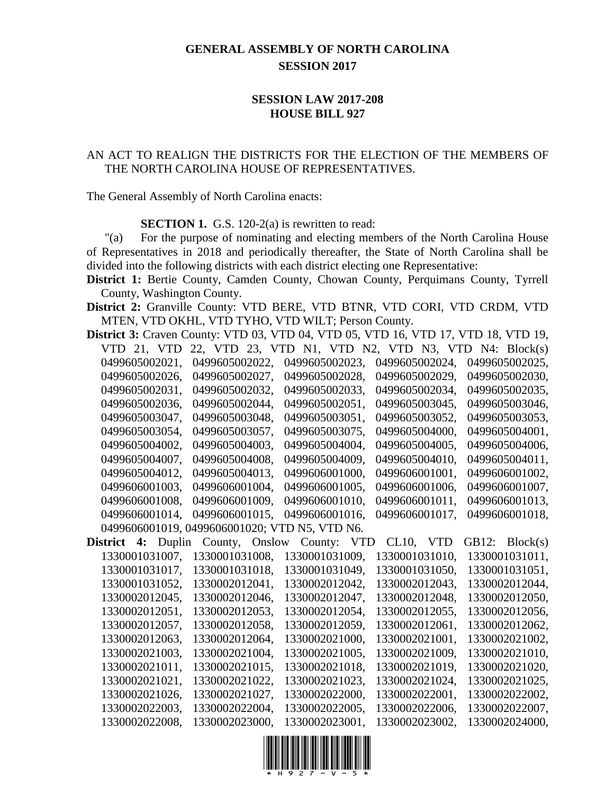## **GENERAL ASSEMBLY OF NORTH CAROLINA SESSION 2017**

## **SESSION LAW 2017-208 HOUSE BILL 927**

## AN ACT TO REALIGN THE DISTRICTS FOR THE ELECTION OF THE MEMBERS OF THE NORTH CAROLINA HOUSE OF REPRESENTATIVES.

The General Assembly of North Carolina enacts:

**SECTION 1.** G.S. 120-2(a) is rewritten to read:

"(a) For the purpose of nominating and electing members of the North Carolina House of Representatives in 2018 and periodically thereafter, the State of North Carolina shall be divided into the following districts with each district electing one Representative:

**District 1:** Bertie County, Camden County, Chowan County, Perquimans County, Tyrrell County, Washington County.

**District 2:** Granville County: VTD BERE, VTD BTNR, VTD CORI, VTD CRDM, VTD MTEN, VTD OKHL, VTD TYHO, VTD WILT; Person County.

**District 3:** Craven County: VTD 03, VTD 04, VTD 05, VTD 16, VTD 17, VTD 18, VTD 19, VTD 21, VTD 22, VTD 23, VTD N1, VTD N2, VTD N3, VTD N4: Block(s) 0499605002021, 0499605002022, 0499605002023, 0499605002024, 0499605002025, 0499605002026, 0499605002027, 0499605002028, 0499605002029, 0499605002030, 0499605002031, 0499605002032, 0499605002033, 0499605002034, 0499605002035, 0499605002036, 0499605002044, 0499605002051, 0499605003045, 0499605003046, 0499605003047, 0499605003048, 0499605003051, 0499605003052, 0499605003053, 0499605003054, 0499605003057, 0499605003075, 0499605004000, 0499605004001, 0499605004002, 0499605004003, 0499605004004, 0499605004005, 0499605004006, 0499605004007, 0499605004008, 0499605004009, 0499605004010, 0499605004011, 0499605004012, 0499605004013, 0499606001000, 0499606001001, 0499606001002, 0499606001003, 0499606001004, 0499606001005, 0499606001006, 0499606001007, 0499606001008, 0499606001009, 0499606001010, 0499606001011, 0499606001013, 0499606001014, 0499606001015, 0499606001016, 0499606001017, 0499606001018, 0499606001019, 0499606001020; VTD N5, VTD N6. **District 4:** Duplin County, Onslow County: VTD CL10, VTD GB12: Block(s) 1330001031007, 1330001031008, 1330001031009, 1330001031010, 1330001031011, 1330001031017, 1330001031018, 1330001031049, 1330001031050, 1330001031051, 1330001031052, 1330002012041, 1330002012042, 1330002012043, 1330002012044, 1330002012045, 1330002012046, 1330002012047, 1330002012048, 1330002012050, 1330002012051, 1330002012053, 1330002012054, 1330002012055, 1330002012056, 1330002012057, 1330002012058, 1330002012059, 1330002012061, 1330002012062, 1330002012063, 1330002012064, 1330002021000, 1330002021001, 1330002021002, 1330002021003, 1330002021004, 1330002021005, 1330002021009, 1330002021010, 1330002021011, 1330002021015, 1330002021018, 1330002021019, 1330002021020, 1330002021021, 1330002021022, 1330002021023, 1330002021024, 1330002021025, 1330002021026, 1330002021027, 1330002022000, 1330002022001, 1330002022002, 1330002022003, 1330002022004, 1330002022005, 1330002022006, 1330002022007, 1330002022008, 1330002023000, 1330002023001, 1330002023002, 1330002024000,

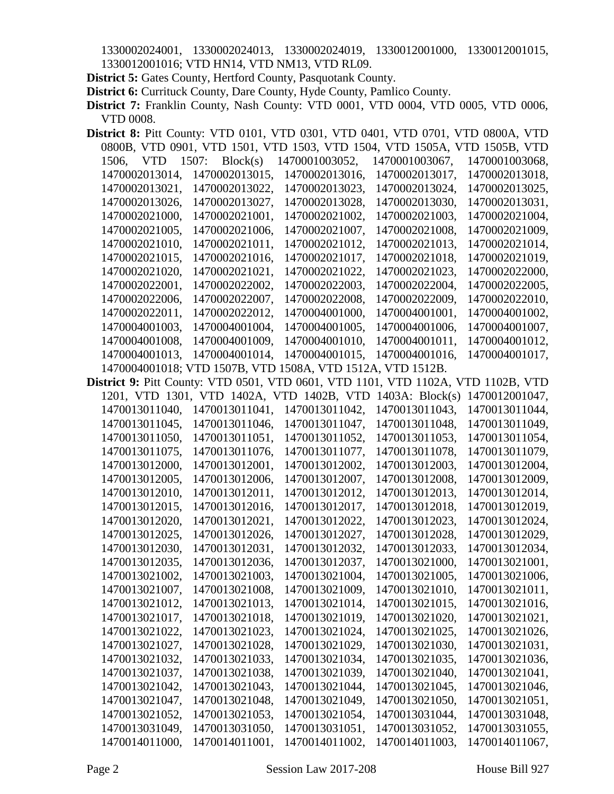1330002024001, 1330002024013, 1330002024019, 1330012001000, 1330012001015, 1330012001016; VTD HN14, VTD NM13, VTD RL09.

**District 5:** Gates County, Hertford County, Pasquotank County.

**District 6:** Currituck County, Dare County, Hyde County, Pamlico County.

**District 7:** Franklin County, Nash County: VTD 0001, VTD 0004, VTD 0005, VTD 0006, VTD 0008.

| <b>District 8:</b> Pitt County: VTD 0101, VTD 0301, VTD 0401, VTD 0701, VTD 0800A, VTD  |                   |                                                            |                                                                          |                |
|-----------------------------------------------------------------------------------------|-------------------|------------------------------------------------------------|--------------------------------------------------------------------------|----------------|
|                                                                                         |                   |                                                            | 0800B, VTD 0901, VTD 1501, VTD 1503, VTD 1504, VTD 1505A, VTD 1505B, VTD |                |
| 1506,<br><b>VTD</b>                                                                     | 1507:<br>Block(s) | 1470001003052,                                             | 1470001003067,                                                           | 1470001003068, |
| 1470002013014,                                                                          | 1470002013015,    | 1470002013016,                                             | 1470002013017,                                                           | 1470002013018, |
| 1470002013021,                                                                          | 1470002013022,    | 1470002013023,                                             | 1470002013024,                                                           | 1470002013025. |
| 1470002013026,                                                                          | 1470002013027,    | 1470002013028,                                             | 1470002013030,                                                           | 1470002013031, |
| 1470002021000,                                                                          | 1470002021001,    | 1470002021002,                                             | 1470002021003,                                                           | 1470002021004, |
| 1470002021005,                                                                          | 1470002021006,    | 1470002021007,                                             | 1470002021008,                                                           | 1470002021009, |
| 1470002021010,                                                                          | 1470002021011,    | 1470002021012,                                             | 1470002021013,                                                           | 1470002021014, |
| 1470002021015,                                                                          | 1470002021016,    | 1470002021017,                                             | 1470002021018,                                                           | 1470002021019, |
| 1470002021020,                                                                          | 1470002021021,    | 1470002021022,                                             | 1470002021023,                                                           | 1470002022000, |
| 1470002022001,                                                                          | 1470002022002,    | 1470002022003,                                             | 1470002022004,                                                           | 1470002022005, |
| 1470002022006,                                                                          | 1470002022007,    | 1470002022008,                                             | 1470002022009,                                                           | 1470002022010, |
| 1470002022011,                                                                          | 1470002022012,    | 1470004001000,                                             | 1470004001001,                                                           | 1470004001002, |
| 1470004001003,                                                                          | 1470004001004,    | 1470004001005,                                             | 1470004001006,                                                           | 1470004001007, |
| 1470004001008,                                                                          | 1470004001009.    | 1470004001010,                                             | 1470004001011,                                                           | 1470004001012, |
| 1470004001013,                                                                          | 1470004001014,    | 1470004001015,                                             | 1470004001016,                                                           | 1470004001017, |
|                                                                                         |                   | 1470004001018; VTD 1507B, VTD 1508A, VTD 1512A, VTD 1512B. |                                                                          |                |
| <b>District 9:</b> Pitt County: VTD 0501, VTD 0601, VTD 1101, VTD 1102A, VTD 1102B, VTD |                   |                                                            |                                                                          |                |
|                                                                                         |                   | 1201, VTD 1301, VTD 1402A, VTD 1402B, VTD                  | 1403A: $Block(s)$                                                        | 1470012001047, |
| 1470013011040,                                                                          | 1470013011041,    | 1470013011042,                                             | 1470013011043,                                                           | 1470013011044, |
| 1470013011045,                                                                          | 1470013011046,    | 1470013011047,                                             | 1470013011048,                                                           | 1470013011049, |
| 1470013011050,                                                                          | 1470013011051,    | 1470013011052,                                             | 1470013011053,                                                           | 1470013011054, |
| 1470013011075,                                                                          | 1470013011076,    | 1470013011077,                                             | 1470013011078,                                                           | 1470013011079, |
| 1470013012000,                                                                          | 1470013012001,    | 1470013012002,                                             | 1470013012003,                                                           | 1470013012004, |
| 1470013012005,                                                                          | 1470013012006,    | 1470013012007,                                             | 1470013012008,                                                           | 1470013012009, |
| 1470013012010,                                                                          | 1470013012011,    | 1470013012012,                                             | 1470013012013,                                                           | 1470013012014, |
| 1470013012015,                                                                          | 1470013012016,    | 1470013012017,                                             | 1470013012018,                                                           | 1470013012019, |
| 1470013012020,                                                                          | 1470013012021,    | 1470013012022,                                             | 1470013012023,                                                           | 1470013012024, |
| 1470013012025,                                                                          | 1470013012026,    | 1470013012027,                                             | 1470013012028,                                                           | 1470013012029, |
| 1470013012030,                                                                          | 1470013012031,    | 1470013012032,                                             | 1470013012033,                                                           | 1470013012034, |
| 1470013012035,                                                                          | 1470013012036,    | 1470013012037,                                             | 1470013021000,                                                           | 1470013021001, |
| 1470013021002,                                                                          | 1470013021003,    | 1470013021004,                                             | 1470013021005,                                                           | 1470013021006, |
| 1470013021007,                                                                          | 1470013021008,    | 1470013021009,                                             | 1470013021010,                                                           | 1470013021011, |
| 1470013021012,                                                                          | 1470013021013,    | 1470013021014,                                             | 1470013021015,                                                           | 1470013021016, |
| 1470013021017,                                                                          | 1470013021018,    | 1470013021019,                                             | 1470013021020,                                                           | 1470013021021, |
| 1470013021022,                                                                          | 1470013021023,    | 1470013021024,                                             | 1470013021025,                                                           | 1470013021026, |
| 1470013021027,                                                                          | 1470013021028,    | 1470013021029,                                             | 1470013021030,                                                           | 1470013021031, |
| 1470013021032,                                                                          | 1470013021033,    | 1470013021034,                                             | 1470013021035,                                                           | 1470013021036, |
| 1470013021037,                                                                          | 1470013021038,    | 1470013021039,                                             | 1470013021040,                                                           | 1470013021041, |
| 1470013021042,                                                                          | 1470013021043,    | 1470013021044,                                             | 1470013021045,                                                           | 1470013021046, |
| 1470013021047,                                                                          | 1470013021048,    | 1470013021049,                                             | 1470013021050,                                                           | 1470013021051, |
| 1470013021052,                                                                          | 1470013021053,    | 1470013021054,                                             | 1470013031044,                                                           | 1470013031048, |
| 1470013031049,                                                                          | 1470013031050,    | 1470013031051,                                             | 1470013031052,                                                           | 1470013031055, |
| 1470014011000,                                                                          | 1470014011001,    | 1470014011002,                                             | 1470014011003,                                                           | 1470014011067, |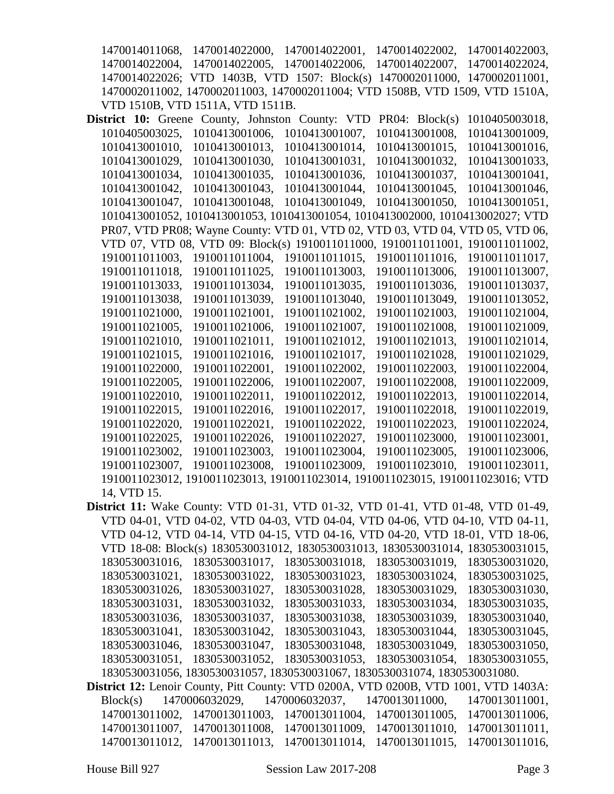1470014011068, 1470014022000, 1470014022001, 1470014022002, 1470014022003, 1470014022004, 1470014022005, 1470014022006, 1470014022007, 1470014022024, 1470014022026; VTD 1403B, VTD 1507: Block(s) 1470002011000, 1470002011001, 1470002011002, 1470002011003, 1470002011004; VTD 1508B, VTD 1509, VTD 1510A, VTD 1510B, VTD 1511A, VTD 1511B.

- **District 10:** Greene County, Johnston County: VTD PR04: Block(s) 1010405003018, 1010405003025, 1010413001006, 1010413001007, 1010413001008, 1010413001009, 1010413001010, 1010413001013, 1010413001014, 1010413001015, 1010413001016, 1010413001029, 1010413001030, 1010413001031, 1010413001032, 1010413001033, 1010413001034, 1010413001035, 1010413001036, 1010413001037, 1010413001041, 1010413001042, 1010413001043, 1010413001044, 1010413001045, 1010413001046, 1010413001047, 1010413001048, 1010413001049, 1010413001050, 1010413001051, 1010413001052, 1010413001053, 1010413001054, 1010413002000, 1010413002027; VTD PR07, VTD PR08; Wayne County: VTD 01, VTD 02, VTD 03, VTD 04, VTD 05, VTD 06, VTD 07, VTD 08, VTD 09: Block(s) 1910011011000, 1910011011001, 1910011011002, 1910011011003, 1910011011004, 1910011011015, 1910011011016, 1910011011017, 1910011011018, 1910011011025, 1910011013003, 1910011013006, 1910011013007, 1910011013033, 1910011013034, 1910011013035, 1910011013036, 1910011013037, 1910011013038, 1910011013039, 1910011013040, 1910011013049, 1910011013052, 1910011021000, 1910011021001, 1910011021002, 1910011021003, 1910011021004, 1910011021005, 1910011021006, 1910011021007, 1910011021008, 1910011021009, 1910011021010, 1910011021011, 1910011021012, 1910011021013, 1910011021014, 1910011021015, 1910011021016, 1910011021017, 1910011021028, 1910011021029, 1910011022000, 1910011022001, 1910011022002, 1910011022003, 1910011022004, 1910011022005, 1910011022006, 1910011022007, 1910011022008, 1910011022009, 1910011022010, 1910011022011, 1910011022012, 1910011022013, 1910011022014, 1910011022015, 1910011022016, 1910011022017, 1910011022018, 1910011022019, 1910011022020, 1910011022021, 1910011022022, 1910011022023, 1910011022024, 1910011022025, 1910011022026, 1910011022027, 1910011023000, 1910011023001, 1910011023002, 1910011023003, 1910011023004, 1910011023005, 1910011023006, 1910011023007, 1910011023008, 1910011023009, 1910011023010, 1910011023011, 1910011023012, 1910011023013, 1910011023014, 1910011023015, 1910011023016; VTD 14, VTD 15.
- **District 11:** Wake County: VTD 01-31, VTD 01-32, VTD 01-41, VTD 01-48, VTD 01-49, VTD 04-01, VTD 04-02, VTD 04-03, VTD 04-04, VTD 04-06, VTD 04-10, VTD 04-11, VTD 04-12, VTD 04-14, VTD 04-15, VTD 04-16, VTD 04-20, VTD 18-01, VTD 18-06, VTD 18-08: Block(s) 1830530031012, 1830530031013, 1830530031014, 1830530031015, 1830530031016, 1830530031017, 1830530031018, 1830530031019, 1830530031020, 1830530031021, 1830530031022, 1830530031023, 1830530031024, 1830530031025, 1830530031026, 1830530031027, 1830530031028, 1830530031029, 1830530031030, 1830530031031, 1830530031032, 1830530031033, 1830530031034, 1830530031035, 1830530031036, 1830530031037, 1830530031038, 1830530031039, 1830530031040, 1830530031041, 1830530031042, 1830530031043, 1830530031044, 1830530031045, 1830530031046, 1830530031047, 1830530031048, 1830530031049, 1830530031050, 1830530031051, 1830530031052, 1830530031053, 1830530031054, 1830530031055, 1830530031056, 1830530031057, 1830530031067, 1830530031074, 1830530031080. **District 12:** Lenoir County, Pitt County: VTD 0200A, VTD 0200B, VTD 1001, VTD 1403A:
- Block(s) 1470006032029, 1470006032037, 1470013011000, 1470013011001, 1470013011002, 1470013011003, 1470013011004, 1470013011005, 1470013011006, 1470013011007, 1470013011008, 1470013011009, 1470013011010, 1470013011011, 1470013011012, 1470013011013, 1470013011014, 1470013011015, 1470013011016,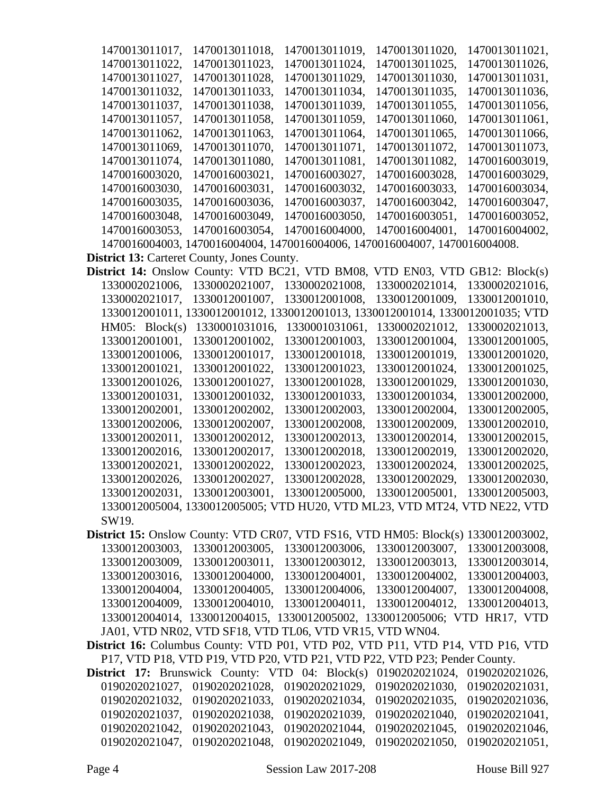| 1470013011017,                                                                      | 1470013011018.                | 1470013011019,                                                                 | 1470013011020,                | 1470013011021, |
|-------------------------------------------------------------------------------------|-------------------------------|--------------------------------------------------------------------------------|-------------------------------|----------------|
| 1470013011022,                                                                      | 1470013011023,                | 1470013011024,                                                                 | 1470013011025,                | 1470013011026, |
| 1470013011027,                                                                      | 1470013011028,                | 1470013011029,                                                                 | 1470013011030,                | 1470013011031, |
| 1470013011032,                                                                      | 1470013011033,                | 1470013011034,                                                                 | 1470013011035,                | 1470013011036, |
| 1470013011037,                                                                      | 1470013011038,                | 1470013011039,                                                                 | 1470013011055,                | 1470013011056, |
| 1470013011057,                                                                      | 1470013011058,                | 1470013011059,                                                                 | 1470013011060,                | 1470013011061, |
| 1470013011062,                                                                      | 1470013011063,                | 1470013011064,                                                                 | 1470013011065,                | 1470013011066, |
| 1470013011069,                                                                      | 1470013011070,                | 1470013011071,                                                                 | 1470013011072.                | 1470013011073, |
| 1470013011074,                                                                      | 1470013011080,                | 1470013011081,                                                                 | 1470013011082,                | 1470016003019, |
| 1470016003020,                                                                      | 1470016003021,                | 1470016003027,                                                                 | 1470016003028,                | 1470016003029, |
| 1470016003030,                                                                      | 1470016003031,                | 1470016003032,                                                                 | 1470016003033.                | 1470016003034, |
| 1470016003035,                                                                      | 1470016003036,                | 1470016003037,                                                                 | 1470016003042,                | 1470016003047, |
| 1470016003048,                                                                      | 1470016003049,                | 1470016003050,                                                                 | 1470016003051,                | 1470016003052, |
| 1470016003053,                                                                      | 1470016003054,                | 1470016004000,                                                                 | 1470016004001,                | 1470016004002, |
|                                                                                     |                               | 1470016004003, 1470016004004, 1470016004006, 1470016004007, 1470016004008.     |                               |                |
| <b>District 13: Carteret County, Jones County.</b>                                  |                               |                                                                                |                               |                |
| <b>District 14:</b> Onslow County: VTD BC21, VTD BM08, VTD EN03, VTD GB12: Block(s) |                               |                                                                                |                               |                |
| 1330002021006,                                                                      | 1330002021007,                | 1330002021008,                                                                 | 1330002021014,                | 1330002021016, |
| 1330002021017,                                                                      | 1330012001007,                | 1330012001008,                                                                 | 1330012001009.                | 1330012001010, |
|                                                                                     |                               | 1330012001011, 1330012001012, 1330012001013, 1330012001014, 1330012001035; VTD |                               |                |
| HM05: Block(s)                                                                      | 1330001031016,                | 1330001031061,                                                                 | 1330002021012,                | 1330002021013, |
| 1330012001001,                                                                      | 1330012001002,                | 1330012001003,                                                                 | 1330012001004,                | 1330012001005, |
| 1330012001006,                                                                      | 1330012001017,                | 1330012001018,                                                                 | 1330012001019,                | 1330012001020, |
| 1330012001021,                                                                      | 1330012001022,                | 1330012001023,                                                                 | 1330012001024,                | 1330012001025, |
| 1330012001026,                                                                      | 1330012001027,                | 1330012001028,                                                                 | 1330012001029,                | 1330012001030, |
| 1330012001031,                                                                      | 1330012001032,                | 1330012001033,                                                                 | 1330012001034,                | 1330012002000, |
| 1330012002001,                                                                      | 1330012002002,                | 1330012002003,                                                                 | 1330012002004,                | 1330012002005, |
| 1330012002006,                                                                      | 1330012002007,                | 1330012002008,                                                                 | 1330012002009,                | 1330012002010, |
| 1330012002011,                                                                      | 1330012002012,                | 1330012002013,                                                                 | 1330012002014,                | 1330012002015. |
| 1330012002016,                                                                      | 1330012002017,                | 1330012002018,                                                                 | 1330012002019,                | 1330012002020, |
| 1330012002021,                                                                      | 1330012002022,                | 1330012002023,                                                                 | 1330012002024,                | 1330012002025, |
| 1330012002026,                                                                      | 1330012002027,                | 1330012002028,                                                                 | 1330012002029,                | 1330012002030, |
|                                                                                     |                               | 1330012002031, 1330012003001, 1330012005000, 1330012005001, 1330012005003,     |                               |                |
|                                                                                     |                               | 1330012005004, 1330012005005; VTD HU20, VTD ML23, VTD MT24, VTD NE22, VTD      |                               |                |
| SW19.                                                                               |                               |                                                                                |                               |                |
| District 15: Onslow County: VTD CR07, VTD FS16, VTD HM05: Block(s) 1330012003002,   |                               |                                                                                |                               |                |
|                                                                                     |                               | 1330012003003, 1330012003005, 1330012003006, 1330012003007, 1330012003008,     |                               |                |
|                                                                                     | 1330012003009, 1330012003011, |                                                                                | 1330012003012, 1330012003013, | 1330012003014, |
|                                                                                     |                               | 1330012003016, 1330012004000, 1330012004001, 1330012004002, 1330012004003,     |                               |                |
|                                                                                     |                               | 1330012004004, 1330012004005, 1330012004006, 1330012004007, 1330012004008,     |                               |                |
|                                                                                     | 1330012004009, 1330012004010, | 1330012004011, 1330012004012,                                                  |                               | 1330012004013, |
|                                                                                     |                               | 1330012004014, 1330012004015, 1330012005002, 1330012005006; VTD HR17, VTD      |                               |                |
|                                                                                     |                               | JA01, VTD NR02, VTD SF18, VTD TL06, VTD VR15, VTD WN04.                        |                               |                |
| District 16: Columbus County: VTD P01, VTD P02, VTD P11, VTD P14, VTD P16, VTD      |                               |                                                                                |                               |                |
|                                                                                     |                               | P17, VTD P18, VTD P19, VTD P20, VTD P21, VTD P22, VTD P23; Pender County.      |                               |                |
| <b>District 17:</b> Brunswick County: VTD 04: Block(s) $0190202021024$ ,            |                               |                                                                                |                               | 0190202021026, |
| 0190202021027,                                                                      | 0190202021028,                | 0190202021029, 0190202021030,                                                  |                               | 0190202021031, |
| 0190202021032,                                                                      | 0190202021033,                | 0190202021034,                                                                 | 0190202021035,                | 0190202021036, |
| 0190202021037,                                                                      | 0190202021038,                | 0190202021039,                                                                 | 0190202021040,                | 0190202021041, |
| 0190202021042,                                                                      | 0190202021043,                | 0190202021044,                                                                 | 0190202021045,                | 0190202021046, |
| 0190202021047,                                                                      | 0190202021048,                | 0190202021049,                                                                 | 0190202021050,                | 0190202021051, |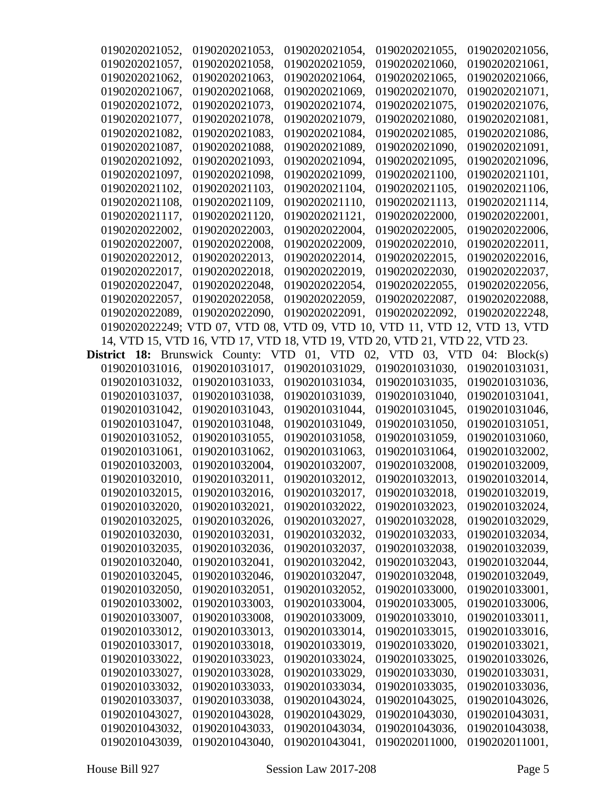| 0190202021052,                        | 0190202021053,                                                              | 0190202021054,                             | 0190202021055, | 0190202021056,                   |
|---------------------------------------|-----------------------------------------------------------------------------|--------------------------------------------|----------------|----------------------------------|
| 0190202021057,                        | 0190202021058,                                                              | 0190202021059.                             | 0190202021060, | 0190202021061,                   |
| 0190202021062,                        | 0190202021063,                                                              | 0190202021064.                             | 0190202021065, | 0190202021066,                   |
| 0190202021067,                        | 0190202021068,                                                              | 0190202021069,                             | 0190202021070, | 0190202021071,                   |
| 0190202021072,                        | 0190202021073,                                                              | 0190202021074,                             | 0190202021075, | 0190202021076.                   |
| 0190202021077,                        | 0190202021078,                                                              | 0190202021079,                             | 0190202021080, | 0190202021081.                   |
| 0190202021082,                        | 0190202021083,                                                              | 0190202021084,                             | 0190202021085, | 0190202021086,                   |
| 0190202021087,                        | 0190202021088,                                                              | 0190202021089,                             | 0190202021090, | 0190202021091,                   |
| 0190202021092.                        | 0190202021093,                                                              | 0190202021094,                             | 0190202021095, | 0190202021096,                   |
| 0190202021097,                        | 0190202021098,                                                              | 0190202021099,                             | 0190202021100, | 0190202021101,                   |
| 0190202021102,                        | 0190202021103,                                                              | 0190202021104,                             | 0190202021105, | 0190202021106,                   |
| 0190202021108,                        | 0190202021109,                                                              | 0190202021110,                             | 0190202021113, | 0190202021114,                   |
| 0190202021117,                        | 0190202021120,                                                              | 0190202021121,                             | 0190202022000, | 0190202022001,                   |
| 0190202022002,                        | 0190202022003,                                                              | 0190202022004,                             | 0190202022005, | 0190202022006,                   |
| 0190202022007,                        | 0190202022008,                                                              | 0190202022009,                             | 0190202022010, | 0190202022011,                   |
| 0190202022012,                        | 0190202022013,                                                              | 0190202022014,                             | 0190202022015, | 0190202022016,                   |
| 0190202022017,                        | 0190202022018,                                                              | 0190202022019,                             | 0190202022030, | 0190202022037,                   |
| 0190202022047.                        | 0190202022048,                                                              | 0190202022054,                             | 0190202022055, | 0190202022056,                   |
| 0190202022057,                        | 0190202022058,                                                              | 0190202022059,                             | 0190202022087, | 0190202022088.                   |
| 0190202022089,                        | 0190202022090,                                                              | 0190202022091,                             | 0190202022092, | 0190202022248,                   |
|                                       | 0190202022249; VTD 07, VTD 08, VTD 09, VTD 10, VTD 11, VTD 12, VTD 13, VTD  |                                            |                |                                  |
|                                       | 14, VTD 15, VTD 16, VTD 17, VTD 18, VTD 19, VTD 20, VTD 21, VTD 22, VTD 23. |                                            |                |                                  |
| <b>District 18:</b> Brunswick County: |                                                                             | VTD 01, VTD 02, VTD 03, VTD 04: $Block(s)$ |                |                                  |
| 0190201031016,                        | 0190201031017,                                                              | 0190201031029,                             | 0190201031030, | 0190201031031,                   |
| 0190201031032,                        | 0190201031033,                                                              | 0190201031034,                             | 0190201031035, | 0190201031036,                   |
| 0190201031037,                        | 0190201031038,                                                              | 0190201031039,                             | 0190201031040, | 0190201031041,                   |
| 0190201031042,                        | 0190201031043,                                                              | 0190201031044,                             | 0190201031045, | 0190201031046,                   |
| 0190201031047,                        | 0190201031048,                                                              | 0190201031049,                             | 0190201031050, | 0190201031051,                   |
| 0190201031052,                        | 0190201031055,                                                              | 0190201031058,                             | 0190201031059, | 0190201031060,                   |
| 0190201031061,                        | 0190201031062,                                                              | 0190201031063,                             | 0190201031064, | 0190201032002,                   |
| 0190201032003,                        | 0190201032004,                                                              | 0190201032007,                             | 0190201032008, | 0190201032009,                   |
| 0190201032010,                        | 0190201032011,                                                              | 0190201032012,                             | 0190201032013, | 0190201032014,                   |
| 0190201032015,                        | 0190201032016,                                                              | 0190201032017,                             | 0190201032018, | 0190201032019,                   |
| 0190201032020,                        | 0190201032021,                                                              | 0190201032022,                             | 0190201032023, | 0190201032024,                   |
| 0190201032025,                        | 0190201032026,                                                              | 0190201032027,                             | 0190201032028, | 0190201032029,                   |
| 0190201032030,                        | 0190201032031,                                                              | 0190201032032,                             | 0190201032033, | 0190201032034,                   |
| 0190201032035,                        | 0190201032036,                                                              | 0190201032037,                             | 0190201032038, | 0190201032039,                   |
| 0190201032040,                        | 0190201032041,                                                              | 0190201032042,                             | 0190201032043, | 0190201032044,                   |
| 0190201032045,                        | 0190201032046,                                                              | 0190201032047,                             | 0190201032048, | 0190201032049,                   |
|                                       | 0190201032051,                                                              |                                            | 0190201033000, |                                  |
| 0190201032050,                        | 0190201033003,                                                              | 0190201032052,                             |                | 0190201033001,<br>0190201033006, |
| 0190201033002,                        |                                                                             | 0190201033004,<br>0190201033009,           | 0190201033005, | 0190201033011,                   |
| 0190201033007,                        | 0190201033008,                                                              |                                            | 0190201033010, |                                  |
| 0190201033012,                        | 0190201033013,                                                              | 0190201033014,                             | 0190201033015, | 0190201033016,                   |
| 0190201033017,                        | 0190201033018,                                                              | 0190201033019,                             | 0190201033020, | 0190201033021,                   |
| 0190201033022,                        | 0190201033023,                                                              | 0190201033024,                             | 0190201033025, | 0190201033026,                   |
| 0190201033027,                        | 0190201033028,                                                              | 0190201033029,                             | 0190201033030, | 0190201033031,                   |
| 0190201033032,                        | 0190201033033,                                                              | 0190201033034,                             | 0190201033035, | 0190201033036,                   |
| 0190201033037,                        | 0190201033038,                                                              | 0190201043024,                             | 0190201043025, | 0190201043026,                   |
| 0190201043027,                        | 0190201043028,                                                              | 0190201043029,                             | 0190201043030, | 0190201043031,                   |
| 0190201043032,                        | 0190201043033,                                                              | 0190201043034,                             | 0190201043036, | 0190201043038,                   |
| 0190201043039,                        | 0190201043040,                                                              | 0190201043041,                             | 0190202011000, | 0190202011001,                   |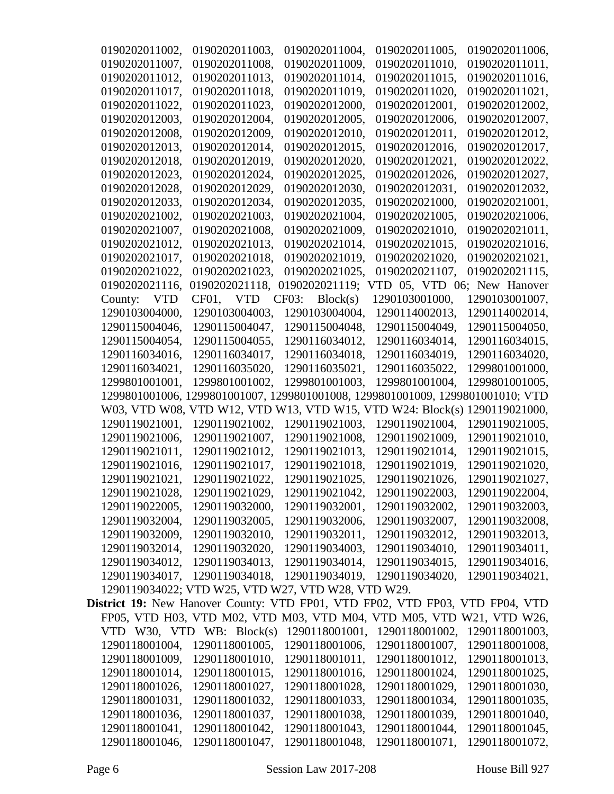| 0190202011002,                   | 0190202011003.                                                                      | 0190202011004,                   | 0190202011005,                   | 0190202011006,                   |
|----------------------------------|-------------------------------------------------------------------------------------|----------------------------------|----------------------------------|----------------------------------|
| 0190202011007,                   | 0190202011008,                                                                      | 0190202011009,                   | 0190202011010,                   | 0190202011011.                   |
| 0190202011012,                   | 0190202011013.                                                                      | 0190202011014,                   | 0190202011015,                   | 0190202011016,                   |
| 0190202011017,                   | 0190202011018,                                                                      | 0190202011019,                   | 0190202011020,                   | 0190202011021,                   |
| 0190202011022.                   | 0190202011023,                                                                      | 0190202012000,                   | 0190202012001,                   | 0190202012002,                   |
| 0190202012003,                   | 0190202012004,                                                                      | 0190202012005,                   | 0190202012006,                   | 0190202012007,                   |
| 0190202012008,                   | 0190202012009,                                                                      | 0190202012010,                   | 0190202012011,                   | 0190202012012,                   |
| 0190202012013,                   | 0190202012014,                                                                      | 0190202012015,                   | 0190202012016,                   | 0190202012017,                   |
| 0190202012018,                   | 0190202012019,                                                                      | 0190202012020,                   | 0190202012021,                   | 0190202012022,                   |
| 0190202012023,                   | 0190202012024,                                                                      | 0190202012025,                   | 0190202012026,                   | 0190202012027,                   |
| 0190202012028,                   | 0190202012029,                                                                      | 0190202012030,                   | 0190202012031,                   | 0190202012032,                   |
| 0190202012033,                   | 0190202012034,                                                                      | 0190202012035,                   | 0190202021000,                   | 0190202021001,                   |
| 0190202021002,                   | 0190202021003,                                                                      | 0190202021004,                   | 0190202021005,                   | 0190202021006,                   |
| 0190202021007,                   | 0190202021008,                                                                      | 0190202021009,                   | 0190202021010,                   | 0190202021011,                   |
| 0190202021012.                   | 0190202021013,                                                                      | 0190202021014,                   | 0190202021015,                   | 0190202021016.                   |
| 0190202021017,                   | 0190202021018,                                                                      | 0190202021019,                   | 0190202021020,                   | 0190202021021,                   |
| 0190202021022,                   | 0190202021023,                                                                      | 0190202021025,                   | 0190202021107,                   | 0190202021115,                   |
| 0190202021116,                   | 0190202021118,                                                                      | 0190202021119;                   | VTD 05, VTD 06; New Hanover      |                                  |
| <b>VTD</b><br>County:            | CF01, VTD                                                                           | Block(s)<br>CF03:                | 1290103001000,                   | 1290103001007,                   |
| 1290103004000,                   | 1290103004003,                                                                      | 1290103004004,                   | 1290114002013,                   | 1290114002014,                   |
| 1290115004046,                   | 1290115004047,                                                                      | 1290115004048,                   | 1290115004049,                   | 1290115004050,                   |
| 1290115004054,                   | 1290115004055,                                                                      | 1290116034012,                   | 1290116034014,                   | 1290116034015,                   |
| 1290116034016,                   | 1290116034017,                                                                      | 1290116034018,                   | 1290116034019,                   | 1290116034020,                   |
| 1290116034021,                   | 1290116035020,                                                                      | 1290116035021,                   | 1290116035022,                   | 1299801001000,                   |
| 1299801001001,                   | 1299801001002,                                                                      | 1299801001003,                   | 1299801001004,                   | 1299801001005,                   |
|                                  | 1299801001006, 1299801001007, 1299801001008, 1299801001009, 1299801001010; VTD      |                                  |                                  |                                  |
|                                  | W03, VTD W08, VTD W12, VTD W13, VTD W15, VTD W24: Block(s) 1290119021000,           |                                  |                                  |                                  |
| 1290119021001,                   | 1290119021002,                                                                      | 1290119021003,                   | 1290119021004,                   | 1290119021005,                   |
| 1290119021006,                   | 1290119021007,                                                                      | 1290119021008,                   | 1290119021009,                   | 1290119021010,                   |
| 1290119021011,                   | 1290119021012,                                                                      | 1290119021013,                   | 1290119021014,                   | 1290119021015,                   |
| 1290119021016,                   | 1290119021017,                                                                      | 1290119021018,                   | 1290119021019,                   | 1290119021020,                   |
| 1290119021021,                   | 1290119021022,                                                                      | 1290119021025,                   | 1290119021026,                   | 1290119021027,                   |
|                                  | 1290119021029,                                                                      |                                  |                                  |                                  |
| 1290119021028,<br>1290119022005, | 1290119032000,                                                                      | 1290119021042,<br>1290119032001, | 1290119022003,<br>1290119032002, | 1290119022004,<br>1290119032003, |
| 1290119032004,                   | 1290119032005,                                                                      | 1290119032006,                   | 1290119032007,                   | 1290119032008,                   |
| 1290119032009,                   | 1290119032010,                                                                      | 1290119032011,                   | 1290119032012,                   | 1290119032013,                   |
| 1290119032014,                   | 1290119032020,                                                                      | 1290119034003,                   | 1290119034010,                   | 1290119034011,                   |
| 1290119034012,                   | 1290119034013.                                                                      | 1290119034014,                   | 1290119034015,                   | 1290119034016,                   |
| 1290119034017,                   | 1290119034018,                                                                      | 1290119034019.                   | 1290119034020,                   | 1290119034021,                   |
|                                  | 1290119034022; VTD W25, VTD W27, VTD W28, VTD W29.                                  |                                  |                                  |                                  |
|                                  | <b>District 19:</b> New Hanover County: VTD FP01, VTD FP02, VTD FP03, VTD FP04, VTD |                                  |                                  |                                  |
|                                  | FP05, VTD H03, VTD M02, VTD M03, VTD M04, VTD M05, VTD W21, VTD W26,                |                                  |                                  |                                  |
|                                  | VTD W30, VTD WB: Block(s)                                                           | 1290118001001,                   | 1290118001002,                   | 1290118001003,                   |
| 1290118001004,                   | 1290118001005,                                                                      | 1290118001006,                   | 1290118001007,                   | 1290118001008,                   |
| 1290118001009,                   | 1290118001010,                                                                      | 1290118001011,                   | 1290118001012,                   | 1290118001013,                   |
| 1290118001014,                   | 1290118001015,                                                                      | 1290118001016,                   | 1290118001024,                   | 1290118001025,                   |
| 1290118001026,                   | 1290118001027,                                                                      | 1290118001028,                   | 1290118001029,                   | 1290118001030,                   |
| 1290118001031,                   | 1290118001032,                                                                      | 1290118001033,                   | 1290118001034,                   | 1290118001035,                   |
| 1290118001036,                   | 1290118001037,                                                                      | 1290118001038,                   | 1290118001039,                   | 1290118001040,                   |
| 1290118001041,                   | 1290118001042,                                                                      | 1290118001043,                   | 1290118001044,                   | 1290118001045,                   |
| 1290118001046,                   | 1290118001047,                                                                      | 1290118001048,                   | 1290118001071,                   | 1290118001072,                   |
|                                  |                                                                                     |                                  |                                  |                                  |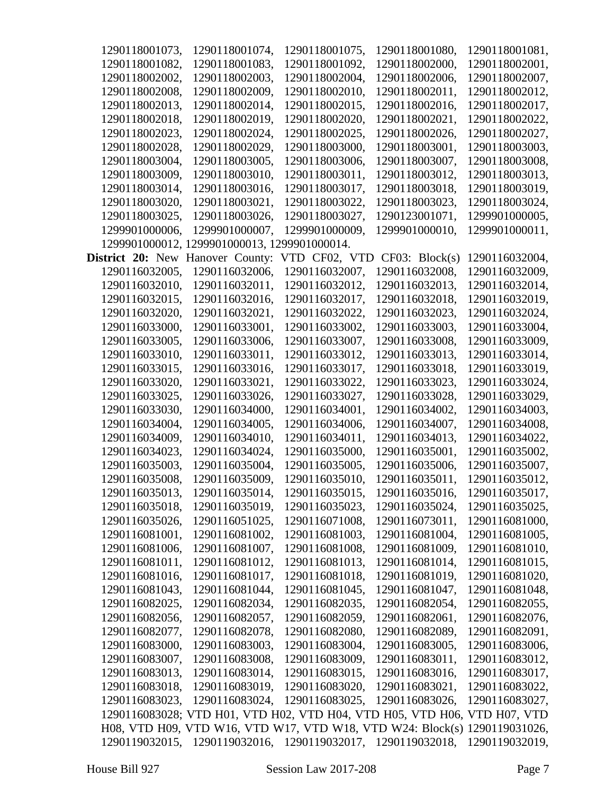| 1290118001073,          | 1290118001074,                                                             | 1290118001075, | 1290118001080, | 1290118001081, |
|-------------------------|----------------------------------------------------------------------------|----------------|----------------|----------------|
| 1290118001082,          | 1290118001083,                                                             | 1290118001092, | 1290118002000, | 1290118002001, |
| 1290118002002,          | 1290118002003,                                                             | 1290118002004, | 1290118002006, | 1290118002007, |
| 1290118002008,          | 1290118002009,                                                             | 1290118002010, | 1290118002011, | 1290118002012, |
| 1290118002013,          | 1290118002014,                                                             | 1290118002015, | 1290118002016, | 1290118002017, |
| 1290118002018,          | 1290118002019,                                                             | 1290118002020, | 1290118002021, | 1290118002022, |
| 1290118002023,          | 1290118002024,                                                             | 1290118002025, | 1290118002026, | 1290118002027, |
| 1290118002028,          | 1290118002029,                                                             | 1290118003000, | 1290118003001, | 1290118003003, |
| 1290118003004,          | 1290118003005,                                                             | 1290118003006, | 1290118003007, | 1290118003008, |
| 1290118003009,          | 1290118003010,                                                             | 1290118003011, | 1290118003012, | 1290118003013, |
| 1290118003014,          | 1290118003016,                                                             | 1290118003017, | 1290118003018, | 1290118003019, |
| 1290118003020,          | 1290118003021,                                                             | 1290118003022, | 1290118003023, | 1290118003024, |
| 1290118003025,          | 1290118003026,                                                             | 1290118003027, | 1290123001071, | 1299901000005, |
| 1299901000006,          | 1299901000007,                                                             | 1299901000009, | 1299901000010, | 1299901000011, |
|                         | 1299901000012, 1299901000013, 1299901000014.                               |                |                |                |
| <b>District 20: New</b> | Hanover County:                                                            | VTD CF02, VTD  | CF03: Block(s) | 1290116032004, |
| 1290116032005,          | 1290116032006,                                                             | 1290116032007, | 1290116032008, | 1290116032009, |
| 1290116032010,          | 1290116032011,                                                             | 1290116032012, | 1290116032013, | 1290116032014, |
| 1290116032015,          | 1290116032016,                                                             | 1290116032017, | 1290116032018, | 1290116032019, |
| 1290116032020,          | 1290116032021,                                                             | 1290116032022, | 1290116032023, | 1290116032024, |
| 1290116033000,          | 1290116033001,                                                             | 1290116033002, | 1290116033003, | 1290116033004, |
| 1290116033005,          | 1290116033006,                                                             | 1290116033007, | 1290116033008, | 1290116033009, |
| 1290116033010,          | 1290116033011,                                                             | 1290116033012, | 1290116033013, | 1290116033014, |
| 1290116033015,          | 1290116033016,                                                             | 1290116033017, | 1290116033018, | 1290116033019, |
| 1290116033020,          | 1290116033021,                                                             | 1290116033022, | 1290116033023, | 1290116033024, |
| 1290116033025,          | 1290116033026,                                                             | 1290116033027, | 1290116033028, | 1290116033029, |
| 1290116033030,          | 1290116034000,                                                             | 1290116034001, | 1290116034002, | 1290116034003, |
| 1290116034004,          | 1290116034005,                                                             | 1290116034006, | 1290116034007, | 1290116034008, |
| 1290116034009,          | 1290116034010,                                                             | 1290116034011, | 1290116034013, | 1290116034022, |
| 1290116034023,          | 1290116034024,                                                             | 1290116035000, | 1290116035001, | 1290116035002, |
| 1290116035003,          | 1290116035004,                                                             | 1290116035005, | 1290116035006, | 1290116035007, |
| 1290116035008,          | 1290116035009,                                                             | 1290116035010, | 1290116035011, | 1290116035012, |
| 1290116035013,          | 1290116035014,                                                             | 1290116035015, | 1290116035016, | 1290116035017, |
| 1290116035018,          | 1290116035019,                                                             | 1290116035023, | 1290116035024, | 1290116035025, |
| 1290116035026,          | 1290116051025,                                                             | 1290116071008, | 1290116073011, | 1290116081000, |
| 1290116081001,          | 1290116081002,                                                             | 1290116081003, | 1290116081004, | 1290116081005, |
| 1290116081006,          | 1290116081007,                                                             | 1290116081008, | 1290116081009, | 1290116081010, |
| 1290116081011,          | 1290116081012,                                                             | 1290116081013, | 1290116081014, | 1290116081015, |
| 1290116081016,          | 1290116081017,                                                             | 1290116081018, | 1290116081019, | 1290116081020, |
| 1290116081043,          | 1290116081044,                                                             | 1290116081045, | 1290116081047, | 1290116081048, |
| 1290116082025,          | 1290116082034,                                                             | 1290116082035, | 1290116082054, | 1290116082055, |
| 1290116082056,          | 1290116082057,                                                             | 1290116082059, | 1290116082061, | 1290116082076, |
| 1290116082077,          | 1290116082078,                                                             | 1290116082080, | 1290116082089, | 1290116082091, |
| 1290116083000,          | 1290116083003,                                                             | 1290116083004, | 1290116083005, | 1290116083006, |
| 1290116083007,          | 1290116083008,                                                             | 1290116083009, | 1290116083011, | 1290116083012, |
| 1290116083013,          | 1290116083014,                                                             | 1290116083015, | 1290116083016, | 1290116083017, |
| 1290116083018,          | 1290116083019,                                                             | 1290116083020, | 1290116083021, | 1290116083022, |
| 1290116083023,          | 1290116083024,                                                             | 1290116083025, | 1290116083026, | 1290116083027, |
|                         | 1290116083028; VTD H01, VTD H02, VTD H04, VTD H05, VTD H06, VTD H07, VTD   |                |                |                |
|                         | H08, VTD H09, VTD W16, VTD W17, VTD W18, VTD W24: Block(s) 1290119031026,  |                |                |                |
|                         | 1290119032015, 1290119032016, 1290119032017, 1290119032018, 1290119032019, |                |                |                |
|                         |                                                                            |                |                |                |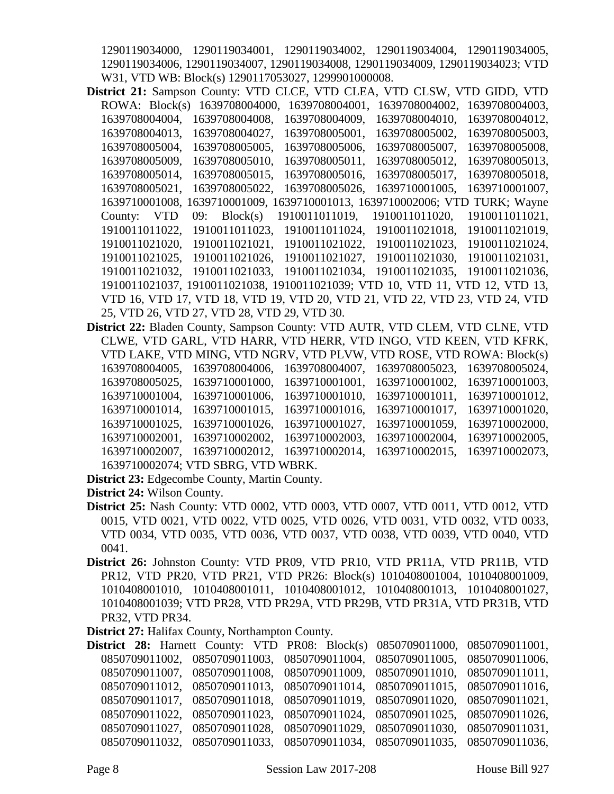1290119034000, 1290119034001, 1290119034002, 1290119034004, 1290119034005, 1290119034006, 1290119034007, 1290119034008, 1290119034009, 1290119034023; VTD W31, VTD WB: Block(s) 1290117053027, 1299901000008.

- **District 21:** Sampson County: VTD CLCE, VTD CLEA, VTD CLSW, VTD GIDD, VTD ROWA: Block(s) 1639708004000, 1639708004001, 1639708004002, 1639708004003, 1639708004004, 1639708004008, 1639708004009, 1639708004010, 1639708004012, 1639708004013, 1639708004027, 1639708005001, 1639708005002, 1639708005003, 1639708005004, 1639708005005, 1639708005006, 1639708005007, 1639708005008, 1639708005009, 1639708005010, 1639708005011, 1639708005012, 1639708005013, 1639708005014, 1639708005015, 1639708005016, 1639708005017, 1639708005018, 1639708005021, 1639708005022, 1639708005026, 1639710001005, 1639710001007, 1639710001008, 1639710001009, 1639710001013, 1639710002006; VTD TURK; Wayne County: VTD 09: Block(s) 1910011011019, 1910011011020, 1910011011021, 1910011011022, 1910011011023, 1910011011024, 1910011021018, 1910011021019, 1910011021020, 1910011021021, 1910011021022, 1910011021023, 1910011021024, 1910011021025, 1910011021026, 1910011021027, 1910011021030, 1910011021031, 1910011021032, 1910011021033, 1910011021034, 1910011021035, 1910011021036, 1910011021037, 1910011021038, 1910011021039; VTD 10, VTD 11, VTD 12, VTD 13, VTD 16, VTD 17, VTD 18, VTD 19, VTD 20, VTD 21, VTD 22, VTD 23, VTD 24, VTD 25, VTD 26, VTD 27, VTD 28, VTD 29, VTD 30.
- **District 22:** Bladen County, Sampson County: VTD AUTR, VTD CLEM, VTD CLNE, VTD CLWE, VTD GARL, VTD HARR, VTD HERR, VTD INGO, VTD KEEN, VTD KFRK, VTD LAKE, VTD MING, VTD NGRV, VTD PLVW, VTD ROSE, VTD ROWA: Block(s) 1639708004005, 1639708004006, 1639708004007, 1639708005023, 1639708005024, 1639708005025, 1639710001000, 1639710001001, 1639710001002, 1639710001003, 1639710001004, 1639710001006, 1639710001010, 1639710001011, 1639710001012, 1639710001014, 1639710001015, 1639710001016, 1639710001017, 1639710001020, 1639710001025, 1639710001026, 1639710001027, 1639710001059, 1639710002000, 1639710002001, 1639710002002, 1639710002003, 1639710002004, 1639710002005, 1639710002007, 1639710002012, 1639710002014, 1639710002015, 1639710002073, 1639710002074; VTD SBRG, VTD WBRK.

**District 23:** Edgecombe County, Martin County.

**District 24:** Wilson County.

- **District 25:** Nash County: VTD 0002, VTD 0003, VTD 0007, VTD 0011, VTD 0012, VTD 0015, VTD 0021, VTD 0022, VTD 0025, VTD 0026, VTD 0031, VTD 0032, VTD 0033, VTD 0034, VTD 0035, VTD 0036, VTD 0037, VTD 0038, VTD 0039, VTD 0040, VTD 0041.
- **District 26:** Johnston County: VTD PR09, VTD PR10, VTD PR11A, VTD PR11B, VTD PR12, VTD PR20, VTD PR21, VTD PR26: Block(s) 1010408001004, 1010408001009, 1010408001010, 1010408001011, 1010408001012, 1010408001013, 1010408001027, 1010408001039; VTD PR28, VTD PR29A, VTD PR29B, VTD PR31A, VTD PR31B, VTD PR32, VTD PR34.

**District 27:** Halifax County, Northampton County.

|  |  |  |  | <b>District 28:</b> Harnett County: VTD PR08: Block(s) 0850709011000, 0850709011001, |
|--|--|--|--|--------------------------------------------------------------------------------------|
|  |  |  |  | 0850709011002, 0850709011003, 0850709011004, 0850709011005, 0850709011006,           |
|  |  |  |  | 0850709011007, 0850709011008, 0850709011009, 0850709011010, 0850709011011,           |
|  |  |  |  | 0850709011012, 0850709011013, 0850709011014, 0850709011015, 0850709011016,           |
|  |  |  |  | 0850709011017, 0850709011018, 0850709011019, 0850709011020, 0850709011021,           |
|  |  |  |  | 0850709011022, 0850709011023, 0850709011024, 0850709011025, 0850709011026,           |
|  |  |  |  | 0850709011027, 0850709011028, 0850709011029, 0850709011030, 0850709011031,           |
|  |  |  |  | 0850709011032, 0850709011033, 0850709011034, 0850709011035, 0850709011036,           |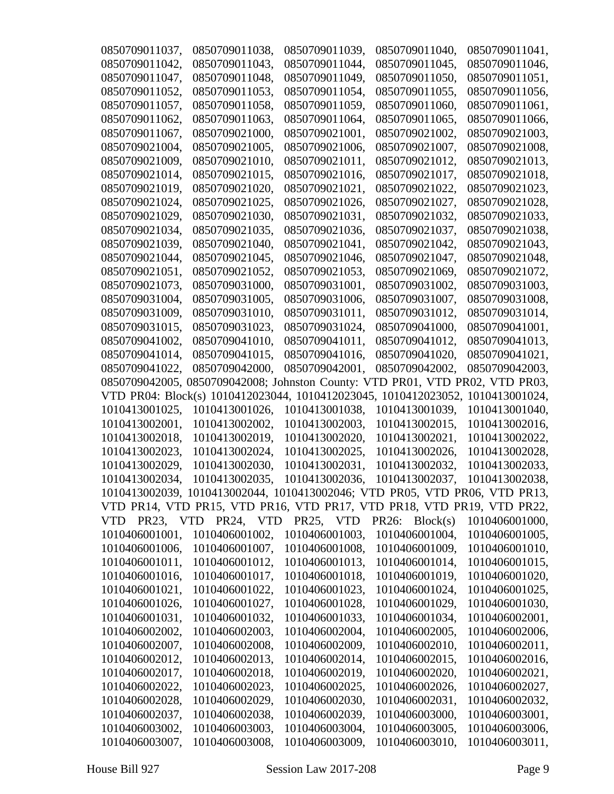| 0850709011037, | 0850709011038,          | 0850709011039, | 0850709011040,                                                             | 0850709011041, |
|----------------|-------------------------|----------------|----------------------------------------------------------------------------|----------------|
| 0850709011042, | 0850709011043,          | 0850709011044, | 0850709011045,                                                             | 0850709011046. |
| 0850709011047, | 0850709011048,          | 0850709011049, | 0850709011050,                                                             | 0850709011051, |
| 0850709011052, | 0850709011053,          | 0850709011054, | 0850709011055,                                                             | 0850709011056, |
| 0850709011057, | 0850709011058,          | 0850709011059, | 0850709011060,                                                             | 0850709011061, |
| 0850709011062, | 0850709011063,          | 0850709011064, | 0850709011065,                                                             | 0850709011066, |
| 0850709011067, | 0850709021000,          | 0850709021001, | 0850709021002,                                                             | 0850709021003, |
| 0850709021004. | 0850709021005,          | 0850709021006. | 0850709021007.                                                             | 0850709021008, |
| 0850709021009, | 0850709021010,          | 0850709021011, | 0850709021012,                                                             | 0850709021013, |
| 0850709021014, | 0850709021015,          | 0850709021016, | 0850709021017,                                                             | 0850709021018, |
| 0850709021019, | 0850709021020,          | 0850709021021, | 0850709021022,                                                             | 0850709021023, |
| 0850709021024, | 0850709021025,          | 0850709021026, | 0850709021027,                                                             | 0850709021028, |
| 0850709021029, | 0850709021030,          | 0850709021031, | 0850709021032,                                                             | 0850709021033, |
| 0850709021034, | 0850709021035,          | 0850709021036, | 0850709021037,                                                             | 0850709021038, |
| 0850709021039, | 0850709021040,          | 0850709021041, | 0850709021042,                                                             | 0850709021043, |
| 0850709021044, | 0850709021045,          | 0850709021046, | 0850709021047,                                                             | 0850709021048, |
| 0850709021051, | 0850709021052,          | 0850709021053, | 0850709021069,                                                             | 0850709021072, |
| 0850709021073, | 0850709031000,          | 0850709031001, | 0850709031002,                                                             | 0850709031003, |
| 0850709031004, | 0850709031005,          | 0850709031006, | 0850709031007,                                                             | 0850709031008, |
| 0850709031009, | 0850709031010,          | 0850709031011, | 0850709031012,                                                             | 0850709031014, |
| 0850709031015, | 0850709031023,          | 0850709031024, | 0850709041000,                                                             | 0850709041001, |
| 0850709041002, | 0850709041010,          | 0850709041011, | 0850709041012,                                                             | 0850709041013, |
| 0850709041014, | 0850709041015,          | 0850709041016, | 0850709041020,                                                             | 0850709041021, |
| 0850709041022, | 0850709042000,          | 0850709042001, | 0850709042002,                                                             | 0850709042003, |
| 0850709042005, |                         |                | 0850709042008; Johnston County: VTD PR01, VTD PR02, VTD PR03,              |                |
|                |                         |                | VTD PR04: Block(s) 1010412023044, 1010412023045, 1010412023052,            | 1010413001024, |
| 1010413001025, | 1010413001026,          | 1010413001038, | 1010413001039,                                                             | 1010413001040, |
| 1010413002001, | 1010413002002,          | 1010413002003, | 1010413002015,                                                             | 1010413002016, |
| 1010413002018, | 1010413002019,          | 1010413002020, | 1010413002021,                                                             | 1010413002022, |
| 1010413002023, | 1010413002024,          | 1010413002025, | 1010413002026,                                                             | 1010413002028, |
| 1010413002029, | 1010413002030,          | 1010413002031, | 1010413002032,                                                             | 1010413002033, |
| 1010413002034, | 1010413002035,          | 1010413002036, | 1010413002037,                                                             | 1010413002038, |
|                |                         |                | 1010413002039, 1010413002044, 1010413002046; VTD PR05, VTD PR06, VTD PR13, |                |
|                |                         |                | VTD PR14, VTD PR15, VTD PR16, VTD PR17, VTD PR18, VTD PR19, VTD PR22,      |                |
|                | VTD PR23, VTD PR24, VTD | PR25, VTD      | <b>PR26:</b><br>Block(s)                                                   | 1010406001000, |
| 1010406001001, | 1010406001002,          | 1010406001003, | 1010406001004,                                                             | 1010406001005, |
| 1010406001006, | 1010406001007,          | 1010406001008, | 1010406001009,                                                             | 1010406001010, |
| 1010406001011, | 1010406001012,          | 1010406001013, | 1010406001014,                                                             | 1010406001015, |
| 1010406001016, | 1010406001017,          | 1010406001018, | 1010406001019,                                                             | 1010406001020, |
| 1010406001021, | 1010406001022,          | 1010406001023, | 1010406001024,                                                             | 1010406001025, |
| 1010406001026, | 1010406001027,          | 1010406001028, | 1010406001029,                                                             | 1010406001030, |
| 1010406001031, | 1010406001032,          | 1010406001033, | 1010406001034,                                                             | 1010406002001, |
| 1010406002002, | 1010406002003,          | 1010406002004, | 1010406002005,                                                             | 1010406002006, |
| 1010406002007, | 1010406002008,          | 1010406002009, | 1010406002010,                                                             | 1010406002011, |
| 1010406002012, | 1010406002013,          | 1010406002014, | 1010406002015,                                                             | 1010406002016, |
| 1010406002017, | 1010406002018,          | 1010406002019, | 1010406002020,                                                             | 1010406002021, |
| 1010406002022, | 1010406002023,          | 1010406002025, | 1010406002026,                                                             | 1010406002027, |
| 1010406002028, | 1010406002029,          | 1010406002030, | 1010406002031,                                                             | 1010406002032, |
| 1010406002037, | 1010406002038,          | 1010406002039, | 1010406003000,                                                             | 1010406003001, |
| 1010406003002, | 1010406003003,          | 1010406003004, | 1010406003005,                                                             | 1010406003006, |
| 1010406003007, | 1010406003008,          | 1010406003009, | 1010406003010,                                                             | 1010406003011, |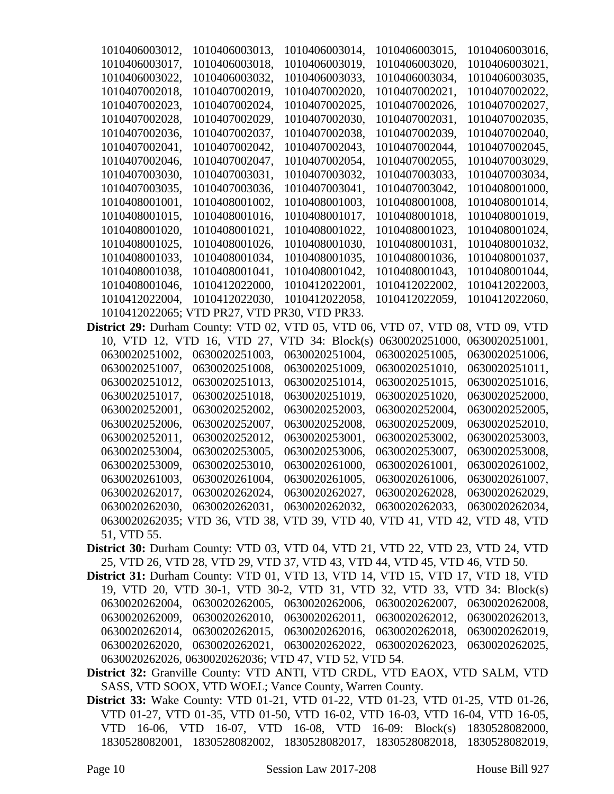| 1010406003012,                                                                  | 1010406003013,                               | 1010406003014,                                                             | 1010406003015, | 1010406003016, |
|---------------------------------------------------------------------------------|----------------------------------------------|----------------------------------------------------------------------------|----------------|----------------|
| 1010406003017,                                                                  | 1010406003018,                               | 1010406003019,                                                             | 1010406003020, | 1010406003021, |
| 1010406003022,                                                                  | 1010406003032,                               | 1010406003033,                                                             | 1010406003034, | 1010406003035, |
| 1010407002018,                                                                  | 1010407002019,                               | 1010407002020,                                                             | 1010407002021, | 1010407002022, |
| 1010407002023,                                                                  | 1010407002024,                               | 1010407002025,                                                             | 1010407002026, | 1010407002027, |
| 1010407002028,                                                                  | 1010407002029,                               | 1010407002030,                                                             | 1010407002031, | 1010407002035, |
| 1010407002036,                                                                  | 1010407002037,                               | 1010407002038,                                                             | 1010407002039, | 1010407002040, |
| 1010407002041,                                                                  | 1010407002042,                               | 1010407002043,                                                             | 1010407002044, | 1010407002045, |
| 1010407002046,                                                                  | 1010407002047,                               | 1010407002054,                                                             | 1010407002055, | 1010407003029, |
| 1010407003030,                                                                  | 1010407003031,                               | 1010407003032.                                                             | 1010407003033. | 1010407003034, |
| 1010407003035,                                                                  | 1010407003036,                               | 1010407003041,                                                             | 1010407003042, | 1010408001000, |
| 1010408001001,                                                                  | 1010408001002,                               | 1010408001003,                                                             | 1010408001008, | 1010408001014, |
| 1010408001015,                                                                  | 1010408001016,                               | 1010408001017,                                                             | 1010408001018, | 1010408001019, |
| 1010408001020,                                                                  | 1010408001021,                               | 1010408001022,                                                             | 1010408001023, | 1010408001024, |
| 1010408001025,                                                                  | 1010408001026,                               | 1010408001030,                                                             | 1010408001031, | 1010408001032, |
| 1010408001033,                                                                  | 1010408001034,                               | 1010408001035,                                                             | 1010408001036, | 1010408001037, |
| 1010408001038,                                                                  | 1010408001041,                               | 1010408001042,                                                             | 1010408001043, | 1010408001044, |
| 1010408001046,                                                                  | 1010412022000,                               | 1010412022001,                                                             | 1010412022002, | 1010412022003, |
| 1010412022004,                                                                  | 1010412022030,                               | 1010412022058,                                                             | 1010412022059, | 1010412022060, |
|                                                                                 | 1010412022065; VTD PR27, VTD PR30, VTD PR33. |                                                                            |                |                |
| District 29: Durham County: VTD 02, VTD 05, VTD 06, VTD 07, VTD 08, VTD 09, VTD |                                              |                                                                            |                |                |
|                                                                                 |                                              | 10, VTD 12, VTD 16, VTD 27, VTD 34: Block(s)                               | 0630020251000, | 0630020251001, |
| 0630020251002,                                                                  | 0630020251003,                               | 0630020251004,                                                             | 0630020251005, | 0630020251006, |
| 0630020251007,                                                                  | 0630020251008.                               | 0630020251009,                                                             | 0630020251010. | 0630020251011, |
| 0630020251012,                                                                  | 0630020251013,                               | 0630020251014,                                                             | 0630020251015, | 0630020251016, |
| 0630020251017,                                                                  | 0630020251018,                               | 0630020251019,                                                             | 0630020251020, | 0630020252000, |
| 0630020252001,                                                                  | 0630020252002,                               | 0630020252003,                                                             | 0630020252004, | 0630020252005, |
| 0630020252006,                                                                  | 0630020252007,                               | 0630020252008,                                                             | 0630020252009, | 0630020252010, |
| 0630020252011,                                                                  | 0630020252012,                               | 0630020253001,                                                             | 0630020253002, | 0630020253003, |
| 0630020253004,                                                                  | 0630020253005,                               | 0630020253006,                                                             | 0630020253007, | 0630020253008, |
| 0630020253009,                                                                  | 0630020253010,                               | 0630020261000,                                                             | 0630020261001, | 0630020261002, |
| 0630020261003.                                                                  | 0630020261004,                               | 0630020261005,                                                             | 0630020261006, | 0630020261007, |
| 0630020262017,                                                                  | 0630020262024,                               | 0630020262027,                                                             | 0630020262028, | 0630020262029, |
| 0630020262030,                                                                  | 0630020262031,                               | 0630020262032.                                                             | 0630020262033. | 0630020262034, |
|                                                                                 |                                              | 0630020262035; VTD 36, VTD 38, VTD 39, VTD 40, VTD 41, VTD 42, VTD 48, VTD |                |                |
| 51, VTD 55.                                                                     |                                              |                                                                            |                |                |
| District 30: Durham County: VTD 03, VTD 04, VTD 21, VTD 22, VTD 23, VTD 24, VTD |                                              |                                                                            |                |                |

25, VTD 26, VTD 28, VTD 29, VTD 37, VTD 43, VTD 44, VTD 45, VTD 46, VTD 50.

**District 31:** Durham County: VTD 01, VTD 13, VTD 14, VTD 15, VTD 17, VTD 18, VTD 19, VTD 20, VTD 30-1, VTD 30-2, VTD 31, VTD 32, VTD 33, VTD 34: Block(s) 0630020262004, 0630020262005, 0630020262006, 0630020262007, 0630020262008, 0630020262009, 0630020262010, 0630020262011, 0630020262012, 0630020262013, 0630020262014, 0630020262015, 0630020262016, 0630020262018, 0630020262019, 0630020262020, 0630020262021, 0630020262022, 0630020262023, 0630020262025, 0630020262026, 0630020262036; VTD 47, VTD 52, VTD 54.

**District 32:** Granville County: VTD ANTI, VTD CRDL, VTD EAOX, VTD SALM, VTD SASS, VTD SOOX, VTD WOEL; Vance County, Warren County.

**District 33:** Wake County: VTD 01-21, VTD 01-22, VTD 01-23, VTD 01-25, VTD 01-26, VTD 01-27, VTD 01-35, VTD 01-50, VTD 16-02, VTD 16-03, VTD 16-04, VTD 16-05, VTD 16-06, VTD 16-07, VTD 16-08, VTD 16-09: Block(s) 1830528082000, 1830528082001, 1830528082002, 1830528082017, 1830528082018, 1830528082019,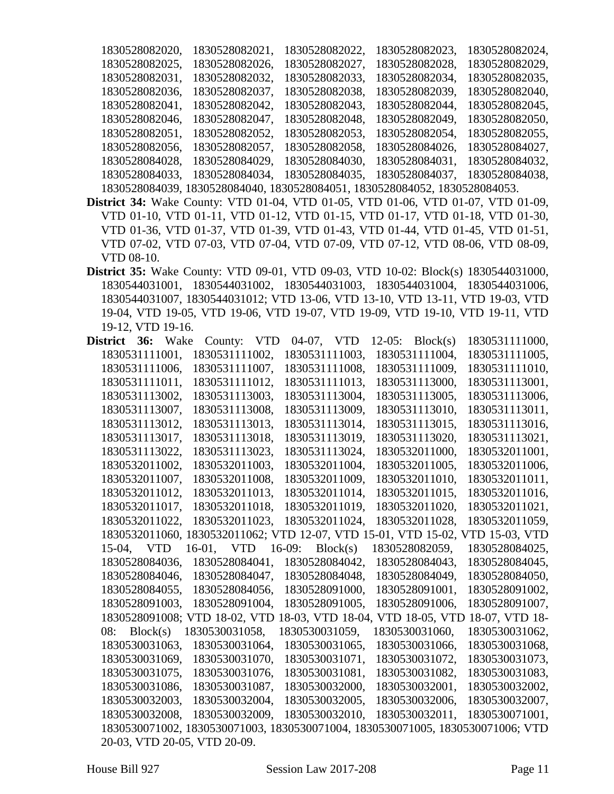| 1830528082020, | 1830528082021,                                                             | 1830528082022, | 1830528082023, | 1830528082024, |
|----------------|----------------------------------------------------------------------------|----------------|----------------|----------------|
| 1830528082025, | 1830528082026,                                                             | 1830528082027, | 1830528082028. | 1830528082029. |
| 1830528082031, | 1830528082032.                                                             | 1830528082033. | 1830528082034, | 1830528082035, |
| 1830528082036, | 1830528082037,                                                             | 1830528082038, | 1830528082039, | 1830528082040, |
| 1830528082041, | 1830528082042.                                                             | 1830528082043. | 1830528082044, | 1830528082045, |
| 1830528082046, | 1830528082047,                                                             | 1830528082048. | 1830528082049. | 1830528082050, |
| 1830528082051, | 1830528082052,                                                             | 1830528082053. | 1830528082054, | 1830528082055, |
| 1830528082056. | 1830528082057,                                                             | 1830528082058. | 1830528084026, | 1830528084027, |
| 1830528084028. | 1830528084029.                                                             | 1830528084030, | 1830528084031, | 1830528084032, |
| 1830528084033. | 1830528084034,                                                             | 1830528084035, | 1830528084037, | 1830528084038. |
|                | 1830528084039, 1830528084040, 1830528084051, 1830528084052, 1830528084053. |                |                |                |

- **District 34:** Wake County: VTD 01-04, VTD 01-05, VTD 01-06, VTD 01-07, VTD 01-09, VTD 01-10, VTD 01-11, VTD 01-12, VTD 01-15, VTD 01-17, VTD 01-18, VTD 01-30, VTD 01-36, VTD 01-37, VTD 01-39, VTD 01-43, VTD 01-44, VTD 01-45, VTD 01-51, VTD 07-02, VTD 07-03, VTD 07-04, VTD 07-09, VTD 07-12, VTD 08-06, VTD 08-09, VTD 08-10.
- **District 35:** Wake County: VTD 09-01, VTD 09-03, VTD 10-02: Block(s) 1830544031000, 1830544031001, 1830544031002, 1830544031003, 1830544031004, 1830544031006, 1830544031007, 1830544031012; VTD 13-06, VTD 13-10, VTD 13-11, VTD 19-03, VTD 19-04, VTD 19-05, VTD 19-06, VTD 19-07, VTD 19-09, VTD 19-10, VTD 19-11, VTD 19-12, VTD 19-16.

| District       | 36:      | Wake | County:                         | <b>VTD</b> |          | 04-07, VTD        | $12-05:$ | Block(s)                        | 1830531111000,                                                                 |  |
|----------------|----------|------|---------------------------------|------------|----------|-------------------|----------|---------------------------------|--------------------------------------------------------------------------------|--|
| 1830531111001, |          |      | 1830531111002,                  |            |          | 1830531111003,    |          | 1830531111004,                  | 1830531111005,                                                                 |  |
| 1830531111006, |          |      | 1830531111007,                  |            |          | 1830531111008,    |          | 1830531111009,                  | 1830531111010,                                                                 |  |
| 1830531111011, |          |      | 1830531111012,                  |            |          | 1830531111013,    |          | 1830531113000,                  | 1830531113001,                                                                 |  |
| 1830531113002, |          |      | 1830531113003,                  |            |          | 1830531113004,    |          | 1830531113005,                  | 1830531113006,                                                                 |  |
| 1830531113007, |          |      | 1830531113008,                  |            |          | 1830531113009,    |          | 1830531113010,                  | 1830531113011,                                                                 |  |
| 1830531113012, |          |      | 1830531113013,                  |            |          | 1830531113014,    |          | 1830531113015,                  | 1830531113016,                                                                 |  |
| 1830531113017, |          |      | 1830531113018,                  |            |          | 1830531113019,    |          | 1830531113020,                  | 1830531113021,                                                                 |  |
| 1830531113022, |          |      | 1830531113023,                  |            |          | 1830531113024,    |          | 1830532011000,                  | 1830532011001,                                                                 |  |
| 1830532011002, |          |      | 1830532011003,                  |            |          | 1830532011004,    |          | 1830532011005,                  | 1830532011006,                                                                 |  |
| 1830532011007, |          |      | 1830532011008,                  |            |          | 1830532011009,    |          | 1830532011010,                  | 1830532011011,                                                                 |  |
| 1830532011012. |          |      | 1830532011013.                  |            |          | 1830532011014,    |          | 1830532011015.                  | 1830532011016.                                                                 |  |
| 1830532011017, |          |      | 1830532011018,                  |            |          | 1830532011019,    |          | 1830532011020,                  | 1830532011021,                                                                 |  |
| 1830532011022, |          |      | 1830532011023,                  |            |          | 1830532011024,    |          | 1830532011028,                  | 1830532011059,                                                                 |  |
|                |          |      | 1830532011060, 1830532011062; V |            |          |                   |          | TD 12-07, VTD 15-01, VTD 15-02, | VTD 15-03, VTD                                                                 |  |
| 15-04, VTD     |          |      | 16-01, VTD                      |            | $16-09:$ | Block(s)          |          | 1830528082059,                  | 1830528084025,                                                                 |  |
| 1830528084036, |          |      | 1830528084041,                  |            |          | 1830528084042.    |          | 1830528084043,                  | 1830528084045,                                                                 |  |
| 1830528084046, |          |      | 1830528084047,                  |            |          | 1830528084048,    |          | 1830528084049,                  | 1830528084050,                                                                 |  |
| 1830528084055, |          |      | 1830528084056,                  |            |          | 1830528091000,    |          | 1830528091001,                  | 1830528091002,                                                                 |  |
| 1830528091003, |          |      | 1830528091004,                  |            |          | 1830528091005,    |          | 1830528091006,                  | 1830528091007,                                                                 |  |
|                |          |      | 1830528091008; VTD 18-02, VTD   |            |          | 18-03, VTD 18-04, |          | <b>VTD 18-05, VTD</b>           | 18-07, VTD 18-                                                                 |  |
| 08:            | Block(s) |      | 1830530031058,                  |            |          | 1830530031059,    |          | 1830530031060,                  | 1830530031062,                                                                 |  |
| 1830530031063, |          |      | 1830530031064,                  |            |          | 1830530031065,    |          | 1830530031066.                  | 1830530031068,                                                                 |  |
| 1830530031069, |          |      | 1830530031070,                  |            |          | 1830530031071,    |          | 1830530031072,                  | 1830530031073,                                                                 |  |
| 1830530031075, |          |      | 1830530031076,                  |            |          | 1830530031081,    |          | 1830530031082,                  | 1830530031083,                                                                 |  |
| 1830530031086, |          |      | 1830530031087,                  |            |          | 1830530032000,    |          | 1830530032001,                  | 1830530032002,                                                                 |  |
| 1830530032003, |          |      | 1830530032004,                  |            |          | 1830530032005,    |          | 1830530032006,                  | 1830530032007,                                                                 |  |
| 1830530032008. |          |      | 1830530032009.                  |            |          | 1830530032010,    |          | 1830530032011,                  | 1830530071001,                                                                 |  |
|                |          |      |                                 |            |          |                   |          |                                 | 1830530071002, 1830530071003, 1830530071004, 1830530071005, 1830530071006; VTD |  |
|                |          |      | 20-03, VTD 20-05, VTD 20-09.    |            |          |                   |          |                                 |                                                                                |  |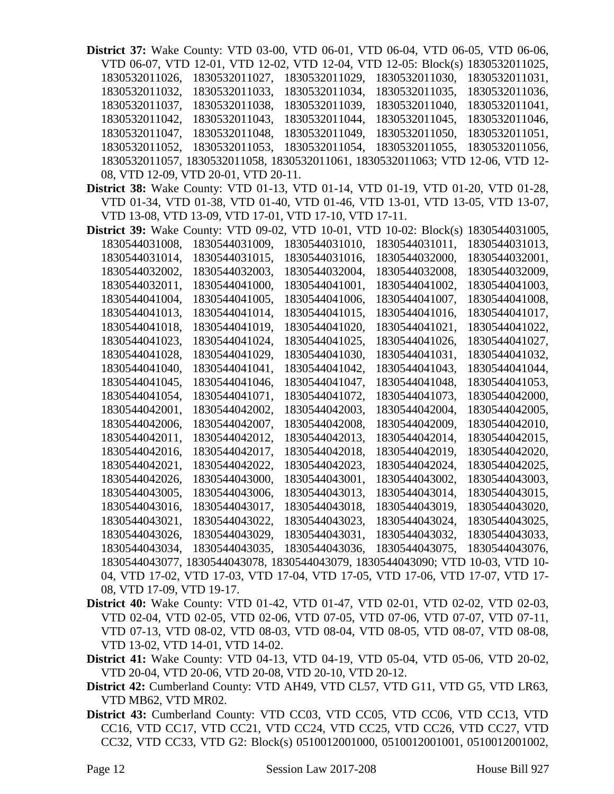| District 37: Wake County: VTD 03-00, VTD 06-01, VTD 06-04, VTD 06-05, VTD 06-06, |                                      |                                                        |                                                                                |                |
|----------------------------------------------------------------------------------|--------------------------------------|--------------------------------------------------------|--------------------------------------------------------------------------------|----------------|
|                                                                                  |                                      |                                                        | VTD 06-07, VTD 12-01, VTD 12-02, VTD 12-04, VTD 12-05: Block(s) 1830532011025, |                |
| 1830532011026,                                                                   | 1830532011027,                       | 1830532011029,                                         | 1830532011030,                                                                 | 1830532011031, |
| 1830532011032,                                                                   | 1830532011033,                       | 1830532011034,                                         | 1830532011035,                                                                 | 1830532011036, |
| 1830532011037,                                                                   | 1830532011038,                       | 1830532011039,                                         | 1830532011040,                                                                 | 1830532011041, |
| 1830532011042,                                                                   | 1830532011043,                       | 1830532011044,                                         | 1830532011045,                                                                 | 1830532011046, |
| 1830532011047,                                                                   | 1830532011048,                       | 1830532011049,                                         | 1830532011050,                                                                 | 1830532011051, |
| 1830532011052,                                                                   | 1830532011053,                       | 1830532011054,                                         | 1830532011055,                                                                 | 1830532011056, |
|                                                                                  |                                      |                                                        | 1830532011057, 1830532011058, 1830532011061, 1830532011063; VTD 12-06, VTD 12- |                |
|                                                                                  | 08, VTD 12-09, VTD 20-01, VTD 20-11. |                                                        |                                                                                |                |
| District 38: Wake County: VTD 01-13, VTD 01-14, VTD 01-19, VTD 01-20, VTD 01-28, |                                      |                                                        |                                                                                |                |
|                                                                                  |                                      |                                                        | VTD 01-34, VTD 01-38, VTD 01-40, VTD 01-46, VTD 13-01, VTD 13-05, VTD 13-07,   |                |
|                                                                                  |                                      | VTD 13-08, VTD 13-09, VTD 17-01, VTD 17-10, VTD 17-11. |                                                                                |                |
| <b>District 39:</b> Wake County: VTD 09-02, VTD 10-01, VTD 10-02: Block(s)       |                                      |                                                        |                                                                                | 1830544031005, |
| 1830544031008,                                                                   | 1830544031009,                       | 1830544031010,                                         | 1830544031011,                                                                 | 1830544031013, |
| 1830544031014,                                                                   | 1830544031015,                       | 1830544031016,                                         | 1830544032000,                                                                 | 1830544032001, |
| 1830544032002,                                                                   | 1830544032003,                       | 1830544032004,                                         | 1830544032008,                                                                 | 1830544032009, |
| 1830544032011,                                                                   | 1830544041000,                       | 1830544041001,                                         | 1830544041002,                                                                 | 1830544041003. |
| 1830544041004,                                                                   | 1830544041005,                       | 1830544041006,                                         | 1830544041007,                                                                 | 1830544041008, |
| 1830544041013,                                                                   | 1830544041014,                       | 1830544041015,                                         | 1830544041016,                                                                 | 1830544041017, |
| 1830544041018,                                                                   | 1830544041019,                       | 1830544041020,                                         | 1830544041021,                                                                 | 1830544041022, |
| 1830544041023,                                                                   | 1830544041024,                       | 1830544041025,                                         | 1830544041026,                                                                 | 1830544041027, |
| 1830544041028,                                                                   | 1830544041029,                       | 1830544041030,                                         | 1830544041031,                                                                 | 1830544041032, |
| 1830544041040,                                                                   | 1830544041041,                       | 1830544041042,                                         | 1830544041043,                                                                 | 1830544041044, |
| 1830544041045,                                                                   | 1830544041046,                       | 1830544041047,                                         | 1830544041048,                                                                 | 1830544041053, |
| 1830544041054,                                                                   | 1830544041071,                       | 1830544041072,                                         | 1830544041073,                                                                 | 1830544042000, |
| 1830544042001,                                                                   | 1830544042002,                       | 1830544042003,                                         | 1830544042004,                                                                 | 1830544042005, |
| 1830544042006,                                                                   | 1830544042007,                       | 1830544042008,                                         | 1830544042009,                                                                 | 1830544042010, |
| 1830544042011,                                                                   | 1830544042012,                       | 1830544042013,                                         | 1830544042014,                                                                 | 1830544042015, |
| 1830544042016,                                                                   | 1830544042017,                       | 1830544042018,                                         | 1830544042019,                                                                 | 1830544042020, |
| 1830544042021,                                                                   | 1830544042022,                       | 1830544042023,                                         | 1830544042024,                                                                 | 1830544042025, |
| 1830544042026,                                                                   | 1830544043000,                       | 1830544043001,                                         | 1830544043002,                                                                 | 1830544043003, |
| 1830544043005,                                                                   | 1830544043006,                       | 1830544043013,                                         | 1830544043014,                                                                 | 1830544043015, |
| 1830544043016,                                                                   | 1830544043017,                       | 1830544043018,                                         | 1830544043019,                                                                 | 1830544043020, |
| 1830544043021,                                                                   | 1830544043022,                       | 1830544043023,                                         | 1830544043024,                                                                 | 1830544043025, |
| 1830544043026,                                                                   | 1830544043029,                       | 1830544043031,                                         | 1830544043032,                                                                 | 1830544043033, |
| 1830544043034,                                                                   | 1830544043035,                       | 1830544043036,                                         | 1830544043075,                                                                 | 1830544043076, |
|                                                                                  |                                      |                                                        | 1830544043077, 1830544043078, 1830544043079, 1830544043090; VTD 10-03, VTD 10- |                |
|                                                                                  |                                      |                                                        | 04, VTD 17-02, VTD 17-03, VTD 17-04, VTD 17-05, VTD 17-06, VTD 17-07, VTD 17-  |                |
| 08, VTD 17-09, VTD 19-17.                                                        |                                      |                                                        |                                                                                |                |

- **District 40:** Wake County: VTD 01-42, VTD 01-47, VTD 02-01, VTD 02-02, VTD 02-03, VTD 02-04, VTD 02-05, VTD 02-06, VTD 07-05, VTD 07-06, VTD 07-07, VTD 07-11, VTD 07-13, VTD 08-02, VTD 08-03, VTD 08-04, VTD 08-05, VTD 08-07, VTD 08-08, VTD 13-02, VTD 14-01, VTD 14-02.
- **District 41:** Wake County: VTD 04-13, VTD 04-19, VTD 05-04, VTD 05-06, VTD 20-02, VTD 20-04, VTD 20-06, VTD 20-08, VTD 20-10, VTD 20-12.
- **District 42:** Cumberland County: VTD AH49, VTD CL57, VTD G11, VTD G5, VTD LR63, VTD MB62, VTD MR02.
- **District 43:** Cumberland County: VTD CC03, VTD CC05, VTD CC06, VTD CC13, VTD CC16, VTD CC17, VTD CC21, VTD CC24, VTD CC25, VTD CC26, VTD CC27, VTD CC32, VTD CC33, VTD G2: Block(s) 0510012001000, 0510012001001, 0510012001002,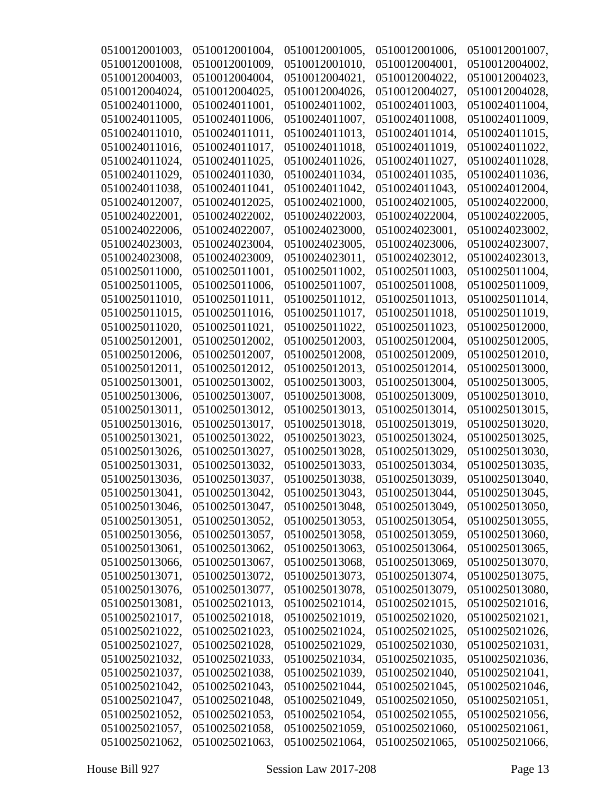| 0510012001003. | 0510012001004, | 0510012001005, | 0510012001006, | 0510012001007, |
|----------------|----------------|----------------|----------------|----------------|
| 0510012001008, | 0510012001009, | 0510012001010, | 0510012004001, | 0510012004002. |
| 0510012004003, | 0510012004004, | 0510012004021, | 0510012004022, | 0510012004023, |
| 0510012004024, | 0510012004025, | 0510012004026, | 0510012004027, | 0510012004028, |
| 0510024011000, | 0510024011001, | 0510024011002, | 0510024011003, | 0510024011004, |
| 0510024011005, | 0510024011006, | 0510024011007, | 0510024011008, | 0510024011009, |
| 0510024011010, | 0510024011011, | 0510024011013, | 0510024011014, | 0510024011015, |
| 0510024011016, | 0510024011017, | 0510024011018, | 0510024011019, | 0510024011022, |
| 0510024011024, | 0510024011025, | 0510024011026, | 0510024011027, | 0510024011028, |
| 0510024011029, | 0510024011030, | 0510024011034, | 0510024011035, | 0510024011036, |
| 0510024011038, | 0510024011041, | 0510024011042, | 0510024011043. | 0510024012004, |
| 0510024012007, | 0510024012025, | 0510024021000, | 0510024021005, | 0510024022000, |
| 0510024022001, | 0510024022002, | 0510024022003, | 0510024022004, | 0510024022005, |
| 0510024022006, | 0510024022007, | 0510024023000, | 0510024023001, | 0510024023002, |
| 0510024023003. | 0510024023004, | 0510024023005, | 0510024023006, | 0510024023007, |
| 0510024023008, | 0510024023009, | 0510024023011, | 0510024023012, | 0510024023013, |
| 0510025011000, | 0510025011001, | 0510025011002, | 0510025011003, | 0510025011004, |
| 0510025011005. | 0510025011006. | 0510025011007, | 0510025011008, | 0510025011009, |
| 0510025011010, | 0510025011011, | 0510025011012, | 0510025011013, | 0510025011014, |
| 0510025011015, | 0510025011016, | 0510025011017, | 0510025011018, | 0510025011019, |
| 0510025011020, | 0510025011021. | 0510025011022, | 0510025011023, | 0510025012000, |
| 0510025012001, | 0510025012002, | 0510025012003, | 0510025012004, | 0510025012005, |
| 0510025012006, | 0510025012007, | 0510025012008, | 0510025012009, | 0510025012010, |
| 0510025012011, | 0510025012012, | 0510025012013, | 0510025012014, | 0510025013000, |
| 0510025013001, | 0510025013002, | 0510025013003, | 0510025013004, | 0510025013005, |
| 0510025013006, | 0510025013007, | 0510025013008, | 0510025013009, | 0510025013010, |
| 0510025013011, | 0510025013012, | 0510025013013, | 0510025013014, | 0510025013015, |
| 0510025013016, | 0510025013017, | 0510025013018, | 0510025013019, | 0510025013020, |
| 0510025013021, | 0510025013022, | 0510025013023, | 0510025013024, | 0510025013025, |
| 0510025013026, | 0510025013027, | 0510025013028, | 0510025013029, | 0510025013030, |
| 0510025013031, | 0510025013032, | 0510025013033, | 0510025013034, | 0510025013035, |
| 0510025013036, | 0510025013037, | 0510025013038, | 0510025013039, | 0510025013040, |
| 0510025013041, | 0510025013042, | 0510025013043, | 0510025013044, | 0510025013045, |
| 0510025013046, | 0510025013047, | 0510025013048, | 0510025013049, | 0510025013050, |
| 0510025013051, | 0510025013052, | 0510025013053, | 0510025013054, | 0510025013055, |
| 0510025013056, | 0510025013057, | 0510025013058, | 0510025013059, | 0510025013060, |
| 0510025013061, | 0510025013062, | 0510025013063, | 0510025013064, | 0510025013065, |
| 0510025013066, | 0510025013067, | 0510025013068, | 0510025013069, | 0510025013070, |
| 0510025013071, | 0510025013072, | 0510025013073, | 0510025013074, | 0510025013075, |
| 0510025013076, | 0510025013077, | 0510025013078, | 0510025013079, | 0510025013080, |
| 0510025013081, | 0510025021013, | 0510025021014, | 0510025021015, | 0510025021016, |
| 0510025021017, | 0510025021018, | 0510025021019, | 0510025021020, | 0510025021021, |
| 0510025021022, | 0510025021023, | 0510025021024, | 0510025021025, | 0510025021026, |
| 0510025021027, | 0510025021028, | 0510025021029, | 0510025021030, | 0510025021031, |
| 0510025021032, | 0510025021033, | 0510025021034, | 0510025021035, | 0510025021036, |
| 0510025021037, | 0510025021038, | 0510025021039, | 0510025021040, | 0510025021041, |
| 0510025021042, | 0510025021043, | 0510025021044, | 0510025021045, | 0510025021046, |
| 0510025021047, | 0510025021048, | 0510025021049, | 0510025021050, | 0510025021051, |
| 0510025021052, | 0510025021053, | 0510025021054, | 0510025021055, | 0510025021056, |
| 0510025021057, | 0510025021058, | 0510025021059, | 0510025021060, | 0510025021061, |
| 0510025021062, | 0510025021063, | 0510025021064, | 0510025021065, | 0510025021066, |
|                |                |                |                |                |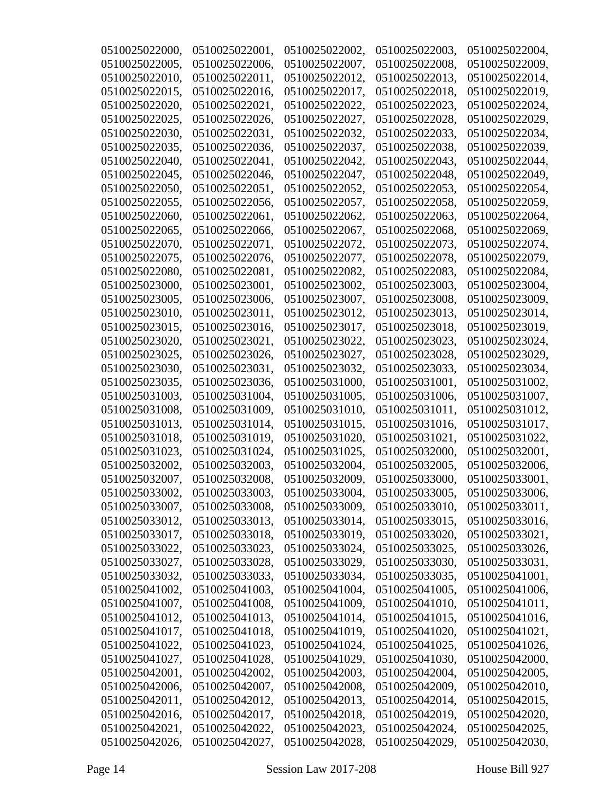| 0510025022000, | 0510025022001, | 0510025022002, | 0510025022003, | 0510025022004, |
|----------------|----------------|----------------|----------------|----------------|
| 0510025022005, | 0510025022006. | 0510025022007, | 0510025022008, | 0510025022009. |
| 0510025022010, | 0510025022011, | 0510025022012, | 0510025022013, | 0510025022014, |
| 0510025022015, | 0510025022016, | 0510025022017, | 0510025022018, | 0510025022019, |
| 0510025022020, | 0510025022021, | 0510025022022, | 0510025022023, | 0510025022024, |
| 0510025022025, | 0510025022026, | 0510025022027, | 0510025022028, | 0510025022029, |
| 0510025022030, | 0510025022031, | 0510025022032, | 0510025022033, | 0510025022034, |
| 0510025022035, | 0510025022036. | 0510025022037. | 0510025022038. | 0510025022039. |
| 0510025022040, | 0510025022041, | 0510025022042, | 0510025022043, | 0510025022044, |
| 0510025022045, | 0510025022046, | 0510025022047, | 0510025022048, | 0510025022049, |
| 0510025022050, | 0510025022051, | 0510025022052, | 0510025022053, | 0510025022054, |
| 0510025022055, | 0510025022056, | 0510025022057, | 0510025022058, | 0510025022059, |
| 0510025022060, | 0510025022061, | 0510025022062, | 0510025022063, | 0510025022064, |
| 0510025022065, | 0510025022066, | 0510025022067, | 0510025022068, | 0510025022069, |
| 0510025022070, | 0510025022071, | 0510025022072, | 0510025022073, | 0510025022074, |
| 0510025022075, | 0510025022076, | 0510025022077, | 0510025022078, | 0510025022079, |
| 0510025022080, | 0510025022081, | 0510025022082, | 0510025022083. | 0510025022084, |
| 0510025023000, | 0510025023001, | 0510025023002, | 0510025023003, | 0510025023004, |
| 0510025023005, | 0510025023006. | 0510025023007, | 0510025023008. | 0510025023009, |
| 0510025023010, | 0510025023011, | 0510025023012, | 0510025023013, | 0510025023014, |
| 0510025023015, | 0510025023016, | 0510025023017, | 0510025023018, | 0510025023019, |
| 0510025023020, | 0510025023021, | 0510025023022, | 0510025023023, | 0510025023024, |
| 0510025023025, | 0510025023026, | 0510025023027, | 0510025023028, | 0510025023029, |
| 0510025023030, | 0510025023031, | 0510025023032, | 0510025023033, | 0510025023034, |
| 0510025023035, | 0510025023036, | 0510025031000, | 0510025031001, | 0510025031002, |
| 0510025031003, | 0510025031004, | 0510025031005, | 0510025031006, | 0510025031007, |
| 0510025031008, | 0510025031009, | 0510025031010, | 0510025031011, | 0510025031012, |
| 0510025031013, | 0510025031014, | 0510025031015, | 0510025031016, | 0510025031017. |
| 0510025031018, | 0510025031019, | 0510025031020, | 0510025031021, | 0510025031022. |
| 0510025031023, | 0510025031024, | 0510025031025, | 0510025032000, | 0510025032001, |
| 0510025032002, | 0510025032003, | 0510025032004, | 0510025032005, | 0510025032006, |
| 0510025032007, | 0510025032008, | 0510025032009. | 0510025033000, | 0510025033001, |
| 0510025033002, | 0510025033003, | 0510025033004, | 0510025033005, | 0510025033006, |
| 0510025033007, | 0510025033008, | 0510025033009, | 0510025033010, | 0510025033011, |
| 0510025033012, | 0510025033013, | 0510025033014, | 0510025033015, | 0510025033016, |
| 0510025033017, | 0510025033018, | 0510025033019, | 0510025033020, | 0510025033021, |
| 0510025033022, | 0510025033023, | 0510025033024, | 0510025033025, | 0510025033026, |
| 0510025033027, | 0510025033028, | 0510025033029, | 0510025033030, | 0510025033031, |
| 0510025033032, | 0510025033033, | 0510025033034, | 0510025033035, | 0510025041001, |
| 0510025041002, | 0510025041003, | 0510025041004, | 0510025041005, | 0510025041006, |
| 0510025041007, | 0510025041008, | 0510025041009, | 0510025041010, | 0510025041011, |
| 0510025041012, | 0510025041013, | 0510025041014, | 0510025041015, | 0510025041016, |
| 0510025041017, | 0510025041018, | 0510025041019, | 0510025041020, | 0510025041021, |
| 0510025041022, | 0510025041023, | 0510025041024, | 0510025041025, | 0510025041026, |
| 0510025041027, | 0510025041028, | 0510025041029, | 0510025041030, | 0510025042000, |
| 0510025042001, | 0510025042002, | 0510025042003, | 0510025042004, | 0510025042005, |
| 0510025042006, | 0510025042007, | 0510025042008, | 0510025042009, | 0510025042010, |
| 0510025042011, | 0510025042012, | 0510025042013, | 0510025042014, | 0510025042015, |
| 0510025042016, | 0510025042017, | 0510025042018, | 0510025042019, | 0510025042020, |
| 0510025042021, | 0510025042022, | 0510025042023, | 0510025042024, | 0510025042025, |
| 0510025042026, | 0510025042027, | 0510025042028, | 0510025042029, | 0510025042030, |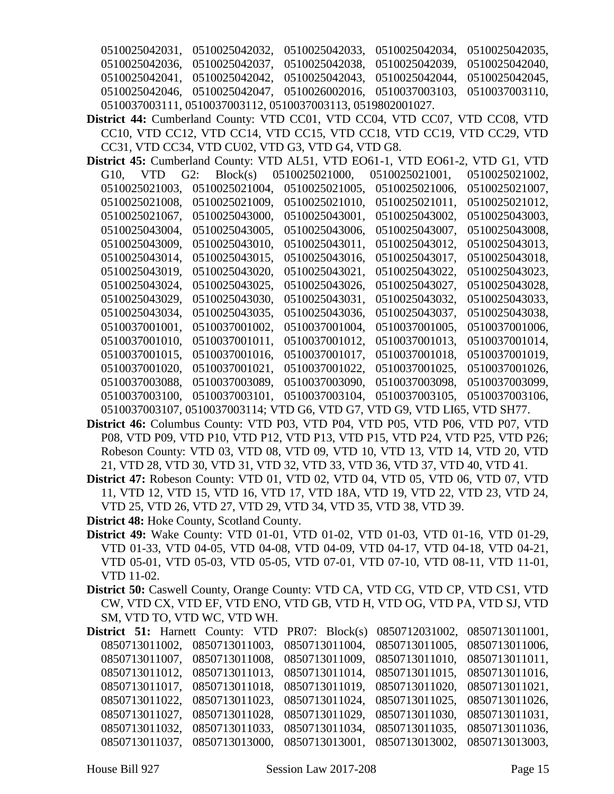0510025042031, 0510025042032, 0510025042033, 0510025042034, 0510025042035, 0510025042036, 0510025042037, 0510025042038, 0510025042039, 0510025042040, 0510025042041, 0510025042042, 0510025042043, 0510025042044, 0510025042045, 0510025042046, 0510025042047, 0510026002016, 0510037003103, 0510037003110, 0510037003111, 0510037003112, 0510037003113, 0519802001027.

- **District 44:** Cumberland County: VTD CC01, VTD CC04, VTD CC07, VTD CC08, VTD CC10, VTD CC12, VTD CC14, VTD CC15, VTD CC18, VTD CC19, VTD CC29, VTD CC31, VTD CC34, VTD CU02, VTD G3, VTD G4, VTD G8.
- **District 45:** Cumberland County: VTD AL51, VTD EO61-1, VTD EO61-2, VTD G1, VTD G10, VTD G2: Block(s) 0510025021000, 0510025021001, 0510025021002, 0510025021003, 0510025021004, 0510025021005, 0510025021006, 0510025021007, 0510025021008, 0510025021009, 0510025021010, 0510025021011, 0510025021012, 0510025021067, 0510025043000, 0510025043001, 0510025043002, 0510025043003, 0510025043004, 0510025043005, 0510025043006, 0510025043007, 0510025043008, 0510025043009, 0510025043010, 0510025043011, 0510025043012, 0510025043013, 0510025043014, 0510025043015, 0510025043016, 0510025043017, 0510025043018, 0510025043019, 0510025043020, 0510025043021, 0510025043022, 0510025043023, 0510025043024, 0510025043025, 0510025043026, 0510025043027, 0510025043028, 0510025043029, 0510025043030, 0510025043031, 0510025043032, 0510025043033, 0510025043034, 0510025043035, 0510025043036, 0510025043037, 0510025043038, 0510037001001, 0510037001002, 0510037001004, 0510037001005, 0510037001006, 0510037001010, 0510037001011, 0510037001012, 0510037001013, 0510037001014, 0510037001015, 0510037001016, 0510037001017, 0510037001018, 0510037001019, 0510037001020, 0510037001021, 0510037001022, 0510037001025, 0510037001026, 0510037003088, 0510037003089, 0510037003090, 0510037003098, 0510037003099, 0510037003100, 0510037003101, 0510037003104, 0510037003105, 0510037003106, 0510037003107, 0510037003114; VTD G6, VTD G7, VTD G9, VTD LI65, VTD SH77.
- **District 46:** Columbus County: VTD P03, VTD P04, VTD P05, VTD P06, VTD P07, VTD P08, VTD P09, VTD P10, VTD P12, VTD P13, VTD P15, VTD P24, VTD P25, VTD P26; Robeson County: VTD 03, VTD 08, VTD 09, VTD 10, VTD 13, VTD 14, VTD 20, VTD 21, VTD 28, VTD 30, VTD 31, VTD 32, VTD 33, VTD 36, VTD 37, VTD 40, VTD 41.
- **District 47:** Robeson County: VTD 01, VTD 02, VTD 04, VTD 05, VTD 06, VTD 07, VTD 11, VTD 12, VTD 15, VTD 16, VTD 17, VTD 18A, VTD 19, VTD 22, VTD 23, VTD 24, VTD 25, VTD 26, VTD 27, VTD 29, VTD 34, VTD 35, VTD 38, VTD 39.
- **District 48:** Hoke County, Scotland County.
- **District 49:** Wake County: VTD 01-01, VTD 01-02, VTD 01-03, VTD 01-16, VTD 01-29, VTD 01-33, VTD 04-05, VTD 04-08, VTD 04-09, VTD 04-17, VTD 04-18, VTD 04-21, VTD 05-01, VTD 05-03, VTD 05-05, VTD 07-01, VTD 07-10, VTD 08-11, VTD 11-01, VTD 11-02.
- **District 50:** Caswell County, Orange County: VTD CA, VTD CG, VTD CP, VTD CS1, VTD CW, VTD CX, VTD EF, VTD ENO, VTD GB, VTD H, VTD OG, VTD PA, VTD SJ, VTD SM, VTD TO, VTD WC, VTD WH.

**District 51:** Harnett County: VTD PR07: Block(s) 0850712031002, 0850713011001, 0850713011002, 0850713011003, 0850713011004, 0850713011005, 0850713011006, 0850713011007, 0850713011008, 0850713011009, 0850713011010, 0850713011011, 0850713011012, 0850713011013, 0850713011014, 0850713011015, 0850713011016, 0850713011017, 0850713011018, 0850713011019, 0850713011020, 0850713011021, 0850713011022, 0850713011023, 0850713011024, 0850713011025, 0850713011026, 0850713011027, 0850713011028, 0850713011029, 0850713011030, 0850713011031, 0850713011032, 0850713011033, 0850713011034, 0850713011035, 0850713011036, 0850713011037, 0850713013000, 0850713013001, 0850713013002, 0850713013003,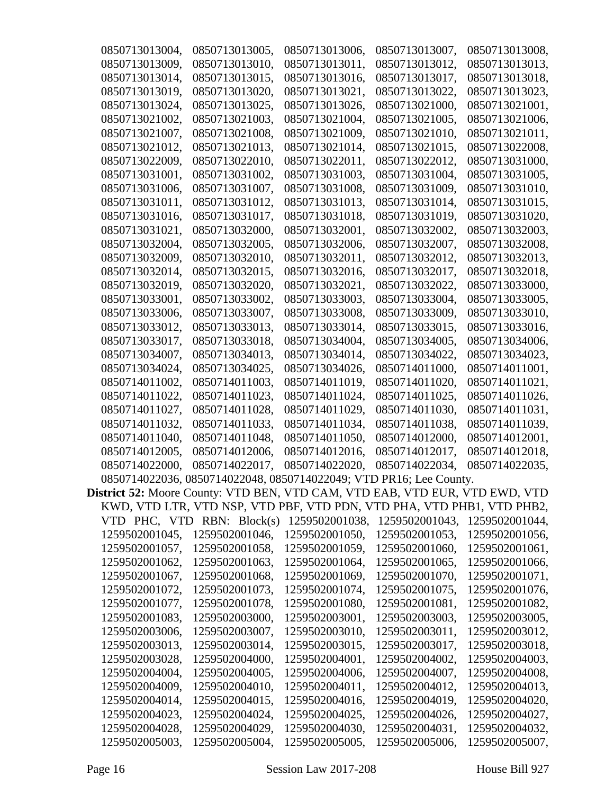| 0850713013004, | 0850713013005,                   | 0850713013006,                                                                     | 0850713013007, | 0850713013008, |
|----------------|----------------------------------|------------------------------------------------------------------------------------|----------------|----------------|
| 0850713013009, | 0850713013010,                   | 0850713013011,                                                                     | 0850713013012, | 0850713013013. |
| 0850713013014, | 0850713013015,                   | 0850713013016,                                                                     | 0850713013017, | 0850713013018, |
| 0850713013019, | 0850713013020,                   | 0850713013021,                                                                     | 0850713013022, | 0850713013023, |
| 0850713013024, | 0850713013025,                   | 0850713013026,                                                                     | 0850713021000, | 0850713021001, |
| 0850713021002, | 0850713021003,                   | 0850713021004,                                                                     | 0850713021005, | 0850713021006, |
| 0850713021007, | 0850713021008,                   | 0850713021009,                                                                     | 0850713021010, | 0850713021011, |
| 0850713021012. | 0850713021013,                   | 0850713021014,                                                                     | 0850713021015. | 0850713022008, |
| 0850713022009, | 0850713022010,                   | 0850713022011,                                                                     | 0850713022012, | 0850713031000, |
| 0850713031001, | 0850713031002,                   | 0850713031003,                                                                     | 0850713031004, | 0850713031005. |
| 0850713031006, | 0850713031007,                   | 0850713031008.                                                                     | 0850713031009. | 0850713031010, |
| 0850713031011, | 0850713031012,                   | 0850713031013,                                                                     | 0850713031014, | 0850713031015, |
| 0850713031016, | 0850713031017,                   | 0850713031018,                                                                     | 0850713031019, | 0850713031020, |
| 0850713031021, | 0850713032000,                   | 0850713032001,                                                                     | 0850713032002, | 0850713032003, |
| 0850713032004, | 0850713032005,                   | 0850713032006,                                                                     | 0850713032007, | 0850713032008, |
| 0850713032009, | 0850713032010,                   | 0850713032011,                                                                     | 0850713032012, | 0850713032013, |
| 0850713032014, | 0850713032015,                   | 0850713032016,                                                                     | 0850713032017, | 0850713032018, |
| 0850713032019, | 0850713032020,                   | 0850713032021,                                                                     | 0850713032022, | 0850713033000, |
| 0850713033001, | 0850713033002.                   | 0850713033003.                                                                     | 0850713033004, | 0850713033005. |
| 0850713033006, | 0850713033007,                   | 0850713033008,                                                                     | 0850713033009, | 0850713033010, |
| 0850713033012, | 0850713033013,                   | 0850713033014,                                                                     | 0850713033015, |                |
|                |                                  |                                                                                    |                | 0850713033016, |
| 0850713033017, | 0850713033018,                   | 0850713034004,                                                                     | 0850713034005, | 0850713034006, |
| 0850713034007, | 0850713034013,                   | 0850713034014,                                                                     | 0850713034022, | 0850713034023, |
| 0850713034024, | 0850713034025,                   | 0850713034026,                                                                     | 0850714011000, | 0850714011001, |
| 0850714011002, | 0850714011003,                   | 0850714011019,                                                                     | 0850714011020, | 0850714011021, |
| 0850714011022, | 0850714011023,                   | 0850714011024,                                                                     | 0850714011025, | 0850714011026, |
| 0850714011027, | 0850714011028,                   | 0850714011029,                                                                     | 0850714011030, | 0850714011031, |
| 0850714011032, | 0850714011033,                   | 0850714011034,                                                                     | 0850714011038, | 0850714011039, |
| 0850714011040, | 0850714011048,                   | 0850714011050,                                                                     | 0850714012000, | 0850714012001, |
| 0850714012005, | 0850714012006,                   | 0850714012016.                                                                     | 0850714012017, | 0850714012018, |
| 0850714022000, | 0850714022017,                   | 0850714022020,                                                                     | 0850714022034, | 0850714022035, |
|                |                                  | 0850714022036, 0850714022048, 0850714022049; VTD PR16; Lee County.                 |                |                |
|                |                                  | <b>District 52:</b> Moore County: VTD BEN, VTD CAM, VTD EAB, VTD EUR, VTD EWD, VTD |                |                |
|                |                                  | KWD, VTD LTR, VTD NSP, VTD PBF, VTD PDN, VTD PHA, VTD PHB1, VTD PHB2,              |                |                |
|                | $VTD$ PHC, $VTD$ RBN: $Block(s)$ | 1259502001038,                                                                     | 1259502001043, | 1259502001044, |
| 1259502001045, | 1259502001046,                   | 1259502001050,                                                                     | 1259502001053, | 1259502001056, |
| 1259502001057, | 1259502001058,                   | 1259502001059,                                                                     | 1259502001060, | 1259502001061, |
| 1259502001062, | 1259502001063,                   | 1259502001064,                                                                     | 1259502001065, | 1259502001066, |
| 1259502001067, | 1259502001068,                   | 1259502001069,                                                                     | 1259502001070, | 1259502001071, |
| 1259502001072, | 1259502001073,                   | 1259502001074,                                                                     | 1259502001075, | 1259502001076, |
| 1259502001077, | 1259502001078,                   | 1259502001080,                                                                     | 1259502001081, | 1259502001082, |
| 1259502001083, | 1259502003000,                   | 1259502003001,                                                                     | 1259502003003, | 1259502003005, |
| 1259502003006, | 1259502003007,                   | 1259502003010,                                                                     | 1259502003011, | 1259502003012, |
| 1259502003013, | 1259502003014,                   | 1259502003015,                                                                     | 1259502003017, | 1259502003018, |
| 1259502003028, | 1259502004000,                   | 1259502004001,                                                                     | 1259502004002, | 1259502004003, |
| 1259502004004, | 1259502004005,                   | 1259502004006,                                                                     | 1259502004007, | 1259502004008, |
| 1259502004009, | 1259502004010,                   | 1259502004011,                                                                     | 1259502004012, | 1259502004013, |
| 1259502004014, | 1259502004015,                   | 1259502004016,                                                                     | 1259502004019, | 1259502004020, |
| 1259502004023, | 1259502004024,                   | 1259502004025,                                                                     | 1259502004026, | 1259502004027, |
| 1259502004028, | 1259502004029,                   | 1259502004030,                                                                     | 1259502004031, | 1259502004032, |
| 1259502005003, | 1259502005004,                   | 1259502005005,                                                                     | 1259502005006, | 1259502005007, |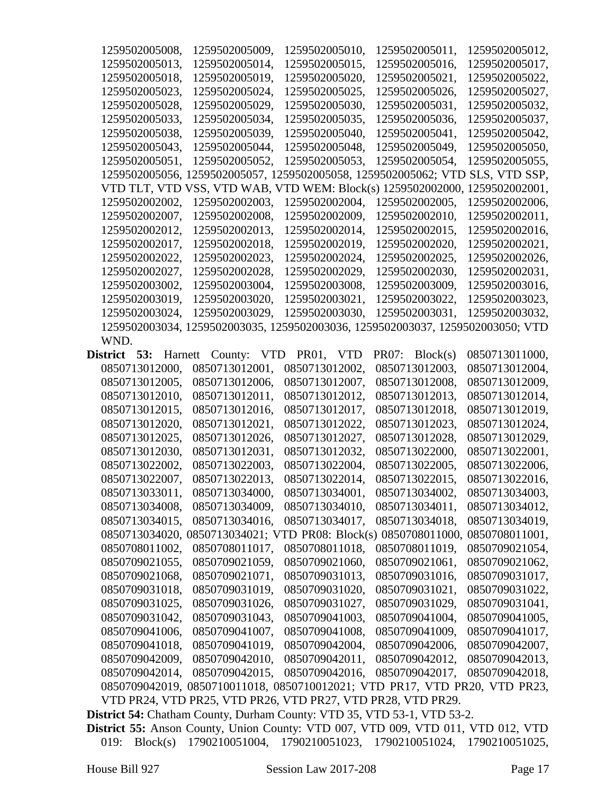| 1259502005008,                                                          | 1259502005009,                                                                 | 1259502005010, | 1259502005011,                   | 1259502005012, |
|-------------------------------------------------------------------------|--------------------------------------------------------------------------------|----------------|----------------------------------|----------------|
| 1259502005013,                                                          | 1259502005014,                                                                 | 1259502005015, | 1259502005016,                   | 1259502005017, |
| 1259502005018,                                                          | 1259502005019,                                                                 | 1259502005020, | 1259502005021,                   | 1259502005022, |
| 1259502005023,                                                          | 1259502005024,                                                                 | 1259502005025, | 1259502005026,                   | 1259502005027, |
| 1259502005028,                                                          | 1259502005029,                                                                 | 1259502005030, | 1259502005031,                   | 1259502005032. |
| 1259502005033,                                                          | 1259502005034,                                                                 | 1259502005035, | 1259502005036,                   | 1259502005037, |
| 1259502005038,                                                          | 1259502005039,                                                                 | 1259502005040, | 1259502005041,                   | 1259502005042, |
| 1259502005043,                                                          | 1259502005044,                                                                 | 1259502005048, | 1259502005049,                   | 1259502005050, |
| 1259502005051,                                                          | 1259502005052,                                                                 | 1259502005053, | 1259502005054,                   | 1259502005055, |
| 1259502005056,                                                          | 1259502005057, 1                                                               |                | 259502005058, 1259502005062; VTD | SLS, VTD SSP,  |
|                                                                         | VTD TLT, VTD VSS, VTD WAB, VTD WEM: Block(s) 1259502002000,                    |                |                                  | 1259502002001, |
| 1259502002002,                                                          | 1259502002003,                                                                 | 1259502002004, | 1259502002005,                   | 1259502002006, |
| 1259502002007,                                                          | 1259502002008,                                                                 | 1259502002009, | 1259502002010,                   | 1259502002011, |
| 1259502002012,                                                          | 1259502002013,                                                                 | 1259502002014, | 1259502002015,                   | 1259502002016, |
| 1259502002017,                                                          | 1259502002018,                                                                 | 1259502002019, | 1259502002020,                   | 1259502002021, |
| 1259502002022,                                                          | 1259502002023,                                                                 | 1259502002024, | 1259502002025,                   | 1259502002026, |
| 1259502002027,                                                          | 1259502002028,                                                                 | 1259502002029, | 1259502002030,                   | 1259502002031, |
| 1259502003002,                                                          | 1259502003004,                                                                 | 1259502003008, | 1259502003009.                   | 1259502003016, |
| 1259502003019,                                                          | 1259502003020,                                                                 | 1259502003021, | 1259502003022,                   | 1259502003023. |
| 1259502003024,                                                          | 1259502003029,                                                                 | 1259502003030, | 1259502003031,                   | 1259502003032, |
|                                                                         | 1259502003034, 1259502003035, 1259502003036, 1259502003037, 1259502003050; VTD |                |                                  |                |
| WND.                                                                    |                                                                                |                |                                  |                |
| 53:<br>District<br>Harnett                                              | County:<br><b>VTD</b>                                                          | PR01, VTD      | PR07:<br>Block(s)                | 0850713011000, |
| 0850713012000,                                                          | 0850713012001,                                                                 | 0850713012002, | 0850713012003,                   | 0850713012004, |
| 0850713012005,                                                          | 0850713012006,                                                                 | 0850713012007, | 0850713012008,                   | 0850713012009, |
| 0850713012010,                                                          | 0850713012011,                                                                 | 0850713012012, | 0850713012013,                   | 0850713012014, |
| 0850713012015,                                                          | 0850713012016,                                                                 | 0850713012017, | 0850713012018,                   | 0850713012019, |
| 0850713012020,                                                          | 0850713012021,                                                                 | 0850713012022, | 0850713012023,                   | 0850713012024, |
| 0850713012025,                                                          | 0850713012026,                                                                 |                |                                  | 0850713012029, |
|                                                                         |                                                                                | 0850713012027, | 0850713012028,                   | 0850713022001, |
| 0850713012030,                                                          | 0850713012031,                                                                 | 0850713012032, | 0850713022000,                   |                |
| 0850713022002,                                                          | 0850713022003,                                                                 | 0850713022004, | 0850713022005,                   | 0850713022006, |
| 0850713022007,                                                          | 0850713022013.                                                                 | 0850713022014, | 0850713022015,                   | 0850713022016, |
| 0850713033011.                                                          | 0850713034000,                                                                 | 0850713034001, | 0850713034002,                   | 0850713034003, |
| 0850713034008,                                                          | 0850713034009,                                                                 | 0850713034010, | 0850713034011,                   | 0850713034012, |
| 0850713034015,                                                          | 0850713034016,                                                                 | 0850713034017, | 0850713034018,                   | 0850713034019, |
|                                                                         | 0850713034020, 0850713034021; VTD PR08: Block(s) 0850708011000, 0850708011001, |                |                                  |                |
| 0850708011002,                                                          | 0850708011017,                                                                 | 0850708011018. | 0850708011019,                   | 0850709021054, |
| 0850709021055,                                                          | 0850709021059.                                                                 | 0850709021060, | 0850709021061,                   | 0850709021062, |
| 0850709021068,                                                          | 0850709021071,                                                                 | 0850709031013, | 0850709031016,                   | 0850709031017, |
| 0850709031018,                                                          | 0850709031019,                                                                 | 0850709031020, | 0850709031021,                   | 0850709031022, |
| 0850709031025,                                                          | 0850709031026,                                                                 | 0850709031027, | 0850709031029,                   | 0850709031041, |
| 0850709031042,                                                          | 0850709031043,                                                                 | 0850709041003, | 0850709041004,                   | 0850709041005, |
| 0850709041006,                                                          | 0850709041007,                                                                 | 0850709041008, | 0850709041009,                   | 0850709041017, |
| 0850709041018,                                                          | 0850709041019,                                                                 | 0850709042004, | 0850709042006,                   | 0850709042007, |
| 0850709042009,                                                          | 0850709042010,                                                                 | 0850709042011, | 0850709042012,                   | 0850709042013, |
| 0850709042014,                                                          | 0850709042015,                                                                 | 0850709042016, | 0850709042017,                   | 0850709042018, |
|                                                                         | 0850709042019, 0850710011018, 0850710012021; VTD PR17, VTD PR20, VTD PR23,     |                |                                  |                |
|                                                                         | VTD PR24, VTD PR25, VTD PR26, VTD PR27, VTD PR28, VTD PR29.                    |                |                                  |                |
| District 54: Chatham County, Durham County: VTD 35, VTD 53-1, VTD 53-2. |                                                                                |                |                                  |                |

**District 55:** Anson County, Union County: VTD 007, VTD 009, VTD 011, VTD 012, VTD 019: Block(s) 1790210051004, 1790210051023, 1790210051024, 1790210051025,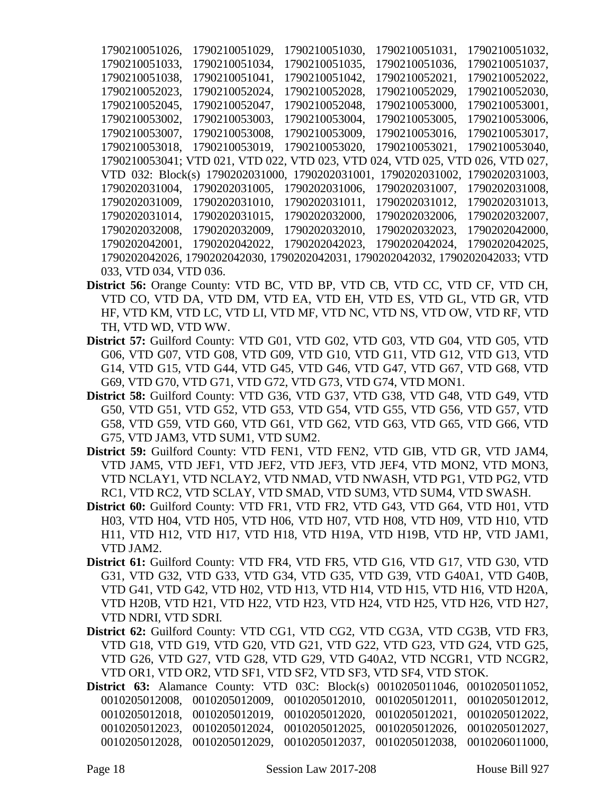1790210051026, 1790210051029, 1790210051030, 1790210051031, 1790210051032, 1790210051033, 1790210051034, 1790210051035, 1790210051036, 1790210051037, 1790210051038, 1790210051041, 1790210051042, 1790210052021, 1790210052022, 1790210052023, 1790210052024, 1790210052028, 1790210052029, 1790210052030, 1790210052045, 1790210052047, 1790210052048, 1790210053000, 1790210053001, 1790210053002, 1790210053003, 1790210053004, 1790210053005, 1790210053006, 1790210053007, 1790210053008, 1790210053009, 1790210053016, 1790210053017, 1790210053018, 1790210053019, 1790210053020, 1790210053021, 1790210053040, 1790210053041; VTD 021, VTD 022, VTD 023, VTD 024, VTD 025, VTD 026, VTD 027, VTD 032: Block(s) 1790202031000, 1790202031001, 1790202031002, 1790202031003, 1790202031004, 1790202031005, 1790202031006, 1790202031007, 1790202031008, 1790202031009, 1790202031010, 1790202031011, 1790202031012, 1790202031013, 1790202031014, 1790202031015, 1790202032000, 1790202032006, 1790202032007, 1790202032008, 1790202032009, 1790202032010, 1790202032023, 1790202042000, 1790202042001, 1790202042022, 1790202042023, 1790202042024, 1790202042025, 1790202042026, 1790202042030, 1790202042031, 1790202042032, 1790202042033; VTD 033, VTD 034, VTD 036.

- **District 56:** Orange County: VTD BC, VTD BP, VTD CB, VTD CC, VTD CF, VTD CH, VTD CO, VTD DA, VTD DM, VTD EA, VTD EH, VTD ES, VTD GL, VTD GR, VTD HF, VTD KM, VTD LC, VTD LI, VTD MF, VTD NC, VTD NS, VTD OW, VTD RF, VTD TH, VTD WD, VTD WW.
- **District 57:** Guilford County: VTD G01, VTD G02, VTD G03, VTD G04, VTD G05, VTD G06, VTD G07, VTD G08, VTD G09, VTD G10, VTD G11, VTD G12, VTD G13, VTD G14, VTD G15, VTD G44, VTD G45, VTD G46, VTD G47, VTD G67, VTD G68, VTD G69, VTD G70, VTD G71, VTD G72, VTD G73, VTD G74, VTD MON1.
- **District 58:** Guilford County: VTD G36, VTD G37, VTD G38, VTD G48, VTD G49, VTD G50, VTD G51, VTD G52, VTD G53, VTD G54, VTD G55, VTD G56, VTD G57, VTD G58, VTD G59, VTD G60, VTD G61, VTD G62, VTD G63, VTD G65, VTD G66, VTD G75, VTD JAM3, VTD SUM1, VTD SUM2.
- **District 59:** Guilford County: VTD FEN1, VTD FEN2, VTD GIB, VTD GR, VTD JAM4, VTD JAM5, VTD JEF1, VTD JEF2, VTD JEF3, VTD JEF4, VTD MON2, VTD MON3, VTD NCLAY1, VTD NCLAY2, VTD NMAD, VTD NWASH, VTD PG1, VTD PG2, VTD RC1, VTD RC2, VTD SCLAY, VTD SMAD, VTD SUM3, VTD SUM4, VTD SWASH.
- **District 60:** Guilford County: VTD FR1, VTD FR2, VTD G43, VTD G64, VTD H01, VTD H03, VTD H04, VTD H05, VTD H06, VTD H07, VTD H08, VTD H09, VTD H10, VTD H11, VTD H12, VTD H17, VTD H18, VTD H19A, VTD H19B, VTD HP, VTD JAM1, VTD JAM2.
- **District 61:** Guilford County: VTD FR4, VTD FR5, VTD G16, VTD G17, VTD G30, VTD G31, VTD G32, VTD G33, VTD G34, VTD G35, VTD G39, VTD G40A1, VTD G40B, VTD G41, VTD G42, VTD H02, VTD H13, VTD H14, VTD H15, VTD H16, VTD H20A, VTD H20B, VTD H21, VTD H22, VTD H23, VTD H24, VTD H25, VTD H26, VTD H27, VTD NDRI, VTD SDRI.
- **District 62:** Guilford County: VTD CG1, VTD CG2, VTD CG3A, VTD CG3B, VTD FR3, VTD G18, VTD G19, VTD G20, VTD G21, VTD G22, VTD G23, VTD G24, VTD G25, VTD G26, VTD G27, VTD G28, VTD G29, VTD G40A2, VTD NCGR1, VTD NCGR2, VTD OR1, VTD OR2, VTD SF1, VTD SF2, VTD SF3, VTD SF4, VTD STOK.
- **District 63:** Alamance County: VTD 03C: Block(s) 0010205011046, 0010205011052, 0010205012008, 0010205012009, 0010205012010, 0010205012011, 0010205012012, 0010205012018, 0010205012019, 0010205012020, 0010205012021, 0010205012022, 0010205012023, 0010205012024, 0010205012025, 0010205012026, 0010205012027, 0010205012028, 0010205012029, 0010205012037, 0010205012038, 0010206011000,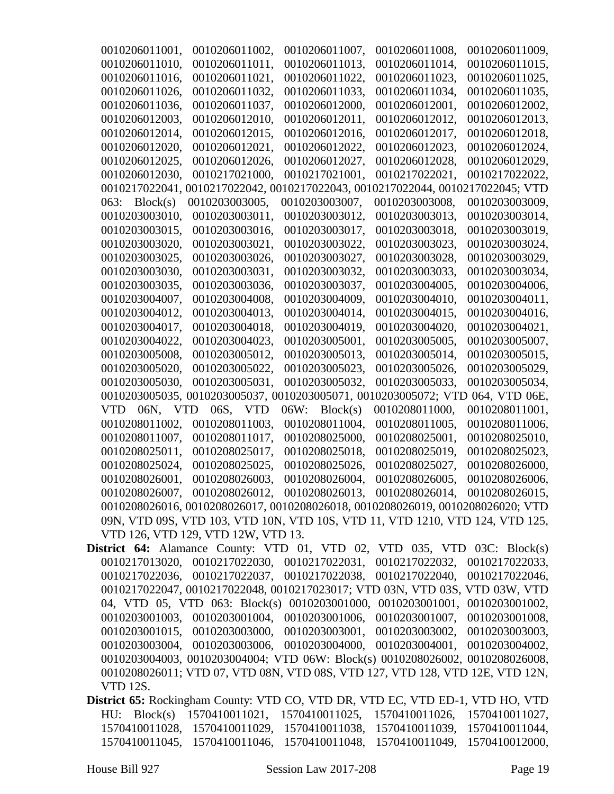| 0010206011001,   | 0010206011002,                               | 0010206011007,                                                                 | 0010206011008. | 0010206011009,                |
|------------------|----------------------------------------------|--------------------------------------------------------------------------------|----------------|-------------------------------|
| 0010206011010,   | 0010206011011,                               | 0010206011013,                                                                 | 0010206011014, | 0010206011015,                |
| 0010206011016,   | 0010206011021,                               | 0010206011022,                                                                 | 0010206011023, | 0010206011025,                |
| 0010206011026,   | 0010206011032,                               | 0010206011033,                                                                 | 0010206011034, | 0010206011035,                |
| 0010206011036,   | 0010206011037,                               | 0010206012000,                                                                 | 0010206012001, | 0010206012002,                |
| 0010206012003,   | 0010206012010,                               | 0010206012011,                                                                 | 0010206012012, | 0010206012013,                |
| 0010206012014,   | 0010206012015,                               | 0010206012016,                                                                 | 0010206012017, | 0010206012018,                |
| 0010206012020,   | 0010206012021,                               | 0010206012022,                                                                 | 0010206012023, | 0010206012024,                |
| 0010206012025,   | 0010206012026,                               | 0010206012027,                                                                 | 0010206012028, | 0010206012029,                |
| 0010206012030,   | 0010217021000,                               | 0010217021001,                                                                 | 0010217022021, | 0010217022022,                |
|                  |                                              | 0010217022041, 0010217022042, 0010217022043, 0010217022044, 0010217022045; VTD |                |                               |
| Block(s)<br>063: | 0010203003005,                               | 0010203003007,                                                                 | 0010203003008, | 0010203003009,                |
| 0010203003010,   | 0010203003011,                               | 0010203003012,                                                                 | 0010203003013, | 0010203003014,                |
| 0010203003015,   | 0010203003016,                               | 0010203003017,                                                                 | 0010203003018, | 0010203003019,                |
| 0010203003020,   | 0010203003021,                               | 0010203003022,                                                                 | 0010203003023, | 0010203003024,                |
| 0010203003025,   | 0010203003026,                               | 0010203003027,                                                                 | 0010203003028, | 0010203003029,                |
| 0010203003030,   | 0010203003031,                               | 0010203003032,                                                                 | 0010203003033, | 0010203003034,                |
| 0010203003035,   | 0010203003036,                               | 0010203003037,                                                                 | 0010203004005, | 0010203004006,                |
| 0010203004007,   | 0010203004008,                               | 0010203004009,                                                                 | 0010203004010, | 0010203004011,                |
| 0010203004012,   | 0010203004013,                               | 0010203004014,                                                                 | 0010203004015, | 0010203004016,                |
| 0010203004017,   | 0010203004018,                               | 0010203004019,                                                                 | 0010203004020, | 0010203004021,                |
| 0010203004022,   | 0010203004023,                               | 0010203005001,                                                                 | 0010203005005, | 0010203005007,                |
| 0010203005008,   | 0010203005012,                               | 0010203005013,                                                                 | 0010203005014, | 0010203005015,                |
| 0010203005020,   | 0010203005022,                               | 0010203005023,                                                                 | 0010203005026, | 0010203005029,                |
| 0010203005030,   | 0010203005031,                               | 0010203005032,                                                                 | 0010203005033, | 0010203005034,                |
|                  |                                              | 0010203005035, 0010203005037, 0010203005071, 0010203005072; VTD                |                | 064, VTD 06E,                 |
| 06N, VTD<br>VTD. | 06S, VTD                                     | Block(s)<br>06W:                                                               | 0010208011000, | 0010208011001,                |
| 0010208011002,   | 0010208011003,                               | 0010208011004,                                                                 | 0010208011005, | 0010208011006,                |
| 0010208011007,   | 0010208011017,                               | 0010208025000,                                                                 | 0010208025001, | 0010208025010,                |
| 0010208025011,   | 0010208025017,                               | 0010208025018,                                                                 | 0010208025019. | 0010208025023,                |
| 0010208025024,   | 0010208025025,                               | 0010208025026,                                                                 | 0010208025027, | 0010208026000,                |
| 0010208026001,   | 0010208026003,                               | 0010208026004,                                                                 | 0010208026005, | 0010208026006,                |
|                  |                                              | 0010208026007, 0010208026012, 0010208026013, 0010208026014, 0010208026015,     |                |                               |
|                  |                                              | 0010208026016, 0010208026017, 0010208026018, 0010208026019, 0010208026020; VTD |                |                               |
|                  |                                              | 09N, VTD 09S, VTD 103, VTD 10N, VTD 10S, VTD 11, VTD 1210, VTD 124, VTD 125,   |                |                               |
|                  | VTD 126, VTD 129, VTD 12W, VTD 13.           |                                                                                |                |                               |
|                  |                                              | District 64: Alamance County: VTD 01, VTD 02, VTD 035, VTD 03C: Block(s)       |                |                               |
|                  |                                              | 0010217013020, 0010217022030, 0010217022031,                                   |                | 0010217022032, 0010217022033, |
|                  | 0010217022036, 0010217022037, 0010217022038, |                                                                                | 0010217022040, | 0010217022046,                |
|                  |                                              | 0010217022047, 0010217022048, 0010217023017; VTD 03N, VTD 03S, VTD 03W, VTD    |                |                               |
|                  |                                              | 04, VTD 05, VTD 063: Block(s) 0010203001000, 0010203001001, 0010203001002,     |                |                               |
|                  | 0010203001003, 0010203001004, 0010203001006, |                                                                                |                | 0010203001007, 0010203001008, |
|                  | 0010203001015, 0010203003000,                | 0010203003001,                                                                 | 0010203003002, | 0010203003003,                |

0010203004003, 0010203004004; VTD 06W: Block(s) 0010208026002, 0010208026008, 0010208026011; VTD 07, VTD 08N, VTD 08S, VTD 127, VTD 128, VTD 12E, VTD 12N, VTD 12S.

0010203003004, 0010203003006, 0010203004000, 0010203004001, 0010203004002,

**District 65:** Rockingham County: VTD CO, VTD DR, VTD EC, VTD ED-1, VTD HO, VTD HU: Block(s) 1570410011021, 1570410011025, 1570410011026, 1570410011027, 1570410011028, 1570410011029, 1570410011038, 1570410011039, 1570410011044, 1570410011045, 1570410011046, 1570410011048, 1570410011049, 1570410012000,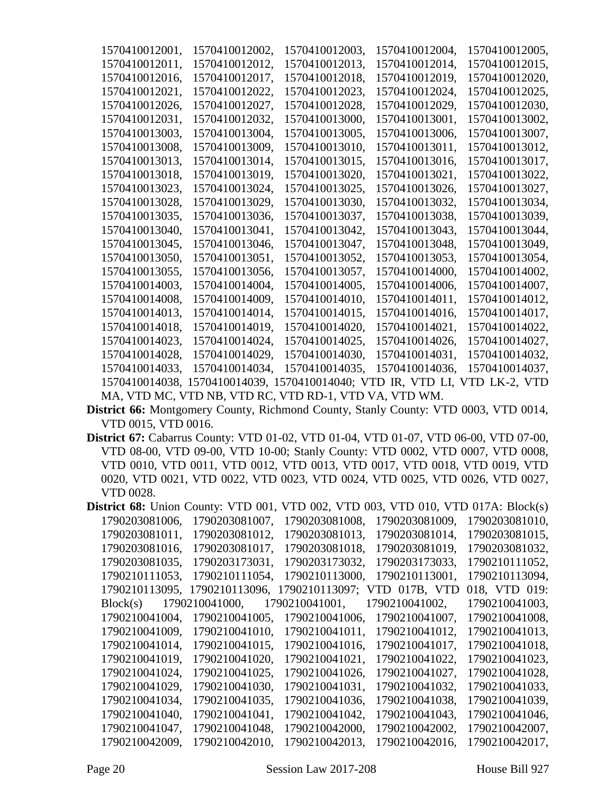| 1570410012001, | 1570410012002,                                               | 1570410012003, | 1570410012004, | 1570410012005, |
|----------------|--------------------------------------------------------------|----------------|----------------|----------------|
| 1570410012011, | 1570410012012.                                               | 1570410012013. | 1570410012014, | 1570410012015. |
| 1570410012016, | 1570410012017,                                               | 1570410012018. | 1570410012019. | 1570410012020, |
| 1570410012021, | 1570410012022,                                               | 1570410012023, | 1570410012024, | 1570410012025, |
| 1570410012026, | 1570410012027,                                               | 1570410012028, | 1570410012029, | 1570410012030, |
| 1570410012031, | 1570410012032,                                               | 1570410013000, | 1570410013001, | 1570410013002, |
| 1570410013003, | 1570410013004,                                               | 1570410013005, | 1570410013006. | 1570410013007, |
| 1570410013008. | 1570410013009.                                               | 1570410013010, | 1570410013011, | 1570410013012. |
| 1570410013013, | 1570410013014,                                               | 1570410013015. | 1570410013016, | 1570410013017, |
| 1570410013018, | 1570410013019,                                               | 1570410013020, | 1570410013021, | 1570410013022, |
| 1570410013023. | 1570410013024,                                               | 1570410013025, | 1570410013026, | 1570410013027, |
| 1570410013028, | 1570410013029.                                               | 1570410013030, | 1570410013032. | 1570410013034, |
| 1570410013035, | 1570410013036,                                               | 1570410013037, | 1570410013038, | 1570410013039, |
| 1570410013040, | 1570410013041,                                               | 1570410013042, | 1570410013043, | 1570410013044, |
| 1570410013045, | 1570410013046,                                               | 1570410013047, | 1570410013048, | 1570410013049, |
| 1570410013050, | 1570410013051,                                               | 1570410013052. | 1570410013053. | 1570410013054, |
| 1570410013055, | 1570410013056,                                               | 1570410013057, | 1570410014000. | 1570410014002, |
| 1570410014003. | 1570410014004,                                               | 1570410014005, | 1570410014006, | 1570410014007, |
| 1570410014008, | 1570410014009.                                               | 1570410014010, | 1570410014011, | 1570410014012. |
| 1570410014013, | 1570410014014,                                               | 1570410014015, | 1570410014016, | 1570410014017, |
| 1570410014018, | 1570410014019,                                               | 1570410014020, | 1570410014021, | 1570410014022. |
| 1570410014023, | 1570410014024,                                               | 1570410014025, | 1570410014026, | 1570410014027, |
| 1570410014028, | 1570410014029.                                               | 1570410014030, | 1570410014031. | 1570410014032. |
| 1570410014033. | 1570410014034,                                               | 1570410014035, | 1570410014036, | 1570410014037, |
|                | 1570410014038, 1570410014039, 1570410014040; VTD IR, VTD LI, |                |                | VTD LK-2, VTD  |
|                | MA, VTD MC, VTD NB, VTD RC, VTD RD-1, VTD VA, VTD WM.        |                |                |                |
|                |                                                              |                |                |                |

- **District 66:** Montgomery County, Richmond County, Stanly County: VTD 0003, VTD 0014, VTD 0015, VTD 0016.
- **District 67:** Cabarrus County: VTD 01-02, VTD 01-04, VTD 01-07, VTD 06-00, VTD 07-00, VTD 08-00, VTD 09-00, VTD 10-00; Stanly County: VTD 0002, VTD 0007, VTD 0008, VTD 0010, VTD 0011, VTD 0012, VTD 0013, VTD 0017, VTD 0018, VTD 0019, VTD 0020, VTD 0021, VTD 0022, VTD 0023, VTD 0024, VTD 0025, VTD 0026, VTD 0027, VTD 0028.
- **District 68:** Union County: VTD 001, VTD 002, VTD 003, VTD 010, VTD 017A: Block(s) 1790203081006, 1790203081007, 1790203081008, 1790203081009, 1790203081010, 1790203081011, 1790203081012, 1790203081013, 1790203081014, 1790203081015, 1790203081016, 1790203081017, 1790203081018, 1790203081019, 1790203081032, 1790203081035, 1790203173031, 1790203173032, 1790203173033, 1790210111052, 1790210111053, 1790210111054, 1790210113000, 1790210113001, 1790210113094, 1790210113095, 1790210113096, 1790210113097; VTD 017B, VTD 018, VTD 019: Block(s) 1790210041000, 1790210041001, 1790210041002, 1790210041003, 1790210041004, 1790210041005, 1790210041006, 1790210041007, 1790210041008, 1790210041009, 1790210041010, 1790210041011, 1790210041012, 1790210041013, 1790210041014, 1790210041015, 1790210041016, 1790210041017, 1790210041018, 1790210041019, 1790210041020, 1790210041021, 1790210041022, 1790210041023, 1790210041024, 1790210041025, 1790210041026, 1790210041027, 1790210041028, 1790210041029, 1790210041030, 1790210041031, 1790210041032, 1790210041033, 1790210041034, 1790210041035, 1790210041036, 1790210041038, 1790210041039, 1790210041040, 1790210041041, 1790210041042, 1790210041043, 1790210041046, 1790210041047, 1790210041048, 1790210042000, 1790210042002, 1790210042007, 1790210042009, 1790210042010, 1790210042013, 1790210042016, 1790210042017,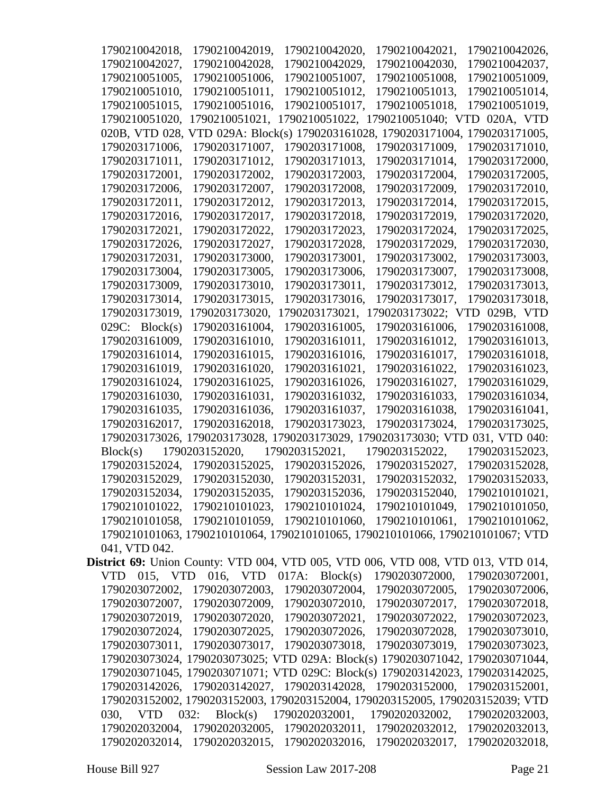| 1790210042018.                                                                          | 1790210042019,                                                                 | 1790210042020, | 1790210042021,               | 1790210042026, |
|-----------------------------------------------------------------------------------------|--------------------------------------------------------------------------------|----------------|------------------------------|----------------|
| 1790210042027,                                                                          | 1790210042028,                                                                 | 1790210042029, | 1790210042030,               | 1790210042037, |
| 1790210051005,                                                                          | 1790210051006,                                                                 | 1790210051007, | 1790210051008,               | 1790210051009, |
| 1790210051010,                                                                          | 1790210051011,                                                                 | 1790210051012, | 1790210051013,               | 1790210051014, |
| 1790210051015,                                                                          | 1790210051016,                                                                 | 1790210051017, | 1790210051018,               | 1790210051019, |
| 1790210051020,                                                                          | 1790210051021,                                                                 | 1790210051022, | 1790210051040; VTD 020A, VTD |                |
|                                                                                         | 020B, VTD 028, VTD 029A: Block(s) 1790203161028, 1790203171004, 1790203171005, |                |                              |                |
| 1790203171006,                                                                          | 1790203171007,                                                                 | 1790203171008, | 1790203171009,               | 1790203171010, |
| 1790203171011,                                                                          | 1790203171012,                                                                 | 1790203171013, | 1790203171014,               | 1790203172000, |
| 1790203172001,                                                                          | 1790203172002,                                                                 | 1790203172003, | 1790203172004,               | 1790203172005, |
| 1790203172006,                                                                          | 1790203172007,                                                                 | 1790203172008. | 1790203172009,               | 1790203172010, |
| 1790203172011,                                                                          | 1790203172012,                                                                 | 1790203172013, | 1790203172014,               | 1790203172015, |
| 1790203172016,                                                                          | 1790203172017,                                                                 | 1790203172018, | 1790203172019,               | 1790203172020, |
| 1790203172021,                                                                          | 1790203172022,                                                                 | 1790203172023, | 1790203172024,               | 1790203172025, |
| 1790203172026,                                                                          | 1790203172027,                                                                 | 1790203172028, | 1790203172029,               | 1790203172030, |
| 1790203172031,                                                                          | 1790203173000,                                                                 | 1790203173001, | 1790203173002,               | 1790203173003, |
| 1790203173004,                                                                          | 1790203173005,                                                                 | 1790203173006, | 1790203173007,               | 1790203173008, |
| 1790203173009,                                                                          | 1790203173010,                                                                 | 1790203173011, | 1790203173012,               | 1790203173013, |
| 1790203173014,                                                                          | 1790203173015,                                                                 | 1790203173016, | 1790203173017,               | 1790203173018. |
| 1790203173019,                                                                          | 1790203173020,                                                                 | 1790203173021, | 1790203173022; VTD 029B, VTD |                |
| $029C$ : Block(s)                                                                       | 1790203161004,                                                                 | 1790203161005, | 1790203161006,               | 1790203161008, |
| 1790203161009,                                                                          | 1790203161010,                                                                 | 1790203161011, | 1790203161012,               | 1790203161013, |
| 1790203161014,                                                                          | 1790203161015,                                                                 | 1790203161016, | 1790203161017,               | 1790203161018, |
| 1790203161019,                                                                          | 1790203161020,                                                                 | 1790203161021, | 1790203161022,               | 1790203161023, |
| 1790203161024,                                                                          | 1790203161025,                                                                 | 1790203161026, | 1790203161027,               | 1790203161029, |
| 1790203161030,                                                                          | 1790203161031,                                                                 | 1790203161032, | 1790203161033,               | 1790203161034, |
| 1790203161035,                                                                          | 1790203161036,                                                                 | 1790203161037, | 1790203161038,               | 1790203161041, |
| 1790203162017,                                                                          | 1790203162018,                                                                 | 1790203173023, | 1790203173024,               | 1790203173025, |
|                                                                                         | 1790203173026, 1790203173028, 1790203173029, 1790203173030; VTD                |                |                              | 031, VTD 040:  |
| Block(s)                                                                                | 1790203152020,                                                                 | 1790203152021, | 1790203152022,               | 1790203152023. |
| 1790203152024,                                                                          | 1790203152025,                                                                 | 1790203152026, | 1790203152027,               | 1790203152028, |
| 1790203152029,                                                                          | 1790203152030,                                                                 | 1790203152031, | 1790203152032,               | 1790203152033, |
|                                                                                         | 1790203152034, 1790203152035, 1790203152036, 1790203152040, 1790210101021,     |                |                              |                |
|                                                                                         | 1790210101022, 1790210101023, 1790210101024, 1790210101049, 1790210101050,     |                |                              |                |
|                                                                                         | 1790210101058, 1790210101059, 1790210101060, 1790210101061, 1790210101062,     |                |                              |                |
|                                                                                         | 1790210101063, 1790210101064, 1790210101065, 1790210101066, 1790210101067; VTD |                |                              |                |
| 041, VTD 042.                                                                           |                                                                                |                |                              |                |
| <b>District 69:</b> Union County: VTD 004, VTD 005, VTD 006, VTD 008, VTD 013, VTD 014, |                                                                                |                |                              |                |
|                                                                                         | VTD 015, VTD 016, VTD 017A: Block(s) 1790203072000, 1790203072001,             |                |                              |                |
|                                                                                         | 1790203072002, 1790203072003, 1790203072004, 1790203072005, 1790203072006,     |                |                              |                |
|                                                                                         | 1790203072007, 1790203072009, 1790203072010, 1790203072017,                    |                |                              | 1790203072018, |
|                                                                                         | 1790203072019, 1790203072020, 1790203072021, 1790203072022,                    |                |                              | 1790203072023, |
|                                                                                         | 1790203072024, 1790203072025, 1790203072026, 1790203072028, 1790203073010,     |                |                              |                |
|                                                                                         | 1790203073011, 1790203073017, 1790203073018, 1790203073019,                    |                |                              | 1790203073023, |
|                                                                                         | 1790203073024, 1790203073025; VTD 029A: Block(s) 1790203071042, 1790203071044, |                |                              |                |
|                                                                                         | 1790203071045, 1790203071071; VTD 029C: Block(s) 1790203142023, 1790203142025, |                |                              |                |
|                                                                                         | 1790203142026, 1790203142027, 1790203142028, 1790203152000,                    |                |                              | 1790203152001, |
|                                                                                         | 1790203152002, 1790203152003, 1790203152004, 1790203152005, 1790203152039; VTD |                |                              |                |
|                                                                                         | 030, VTD 032: Block(s) 1790202032001, 1790202032002,                           |                |                              | 1790202032003, |
|                                                                                         | 1790202032004, 1790202032005, 1790202032011, 1790202032012, 1790202032013,     |                |                              |                |
|                                                                                         | 1790202032014, 1790202032015, 1790202032016, 1790202032017, 1790202032018,     |                |                              |                |
|                                                                                         |                                                                                |                |                              |                |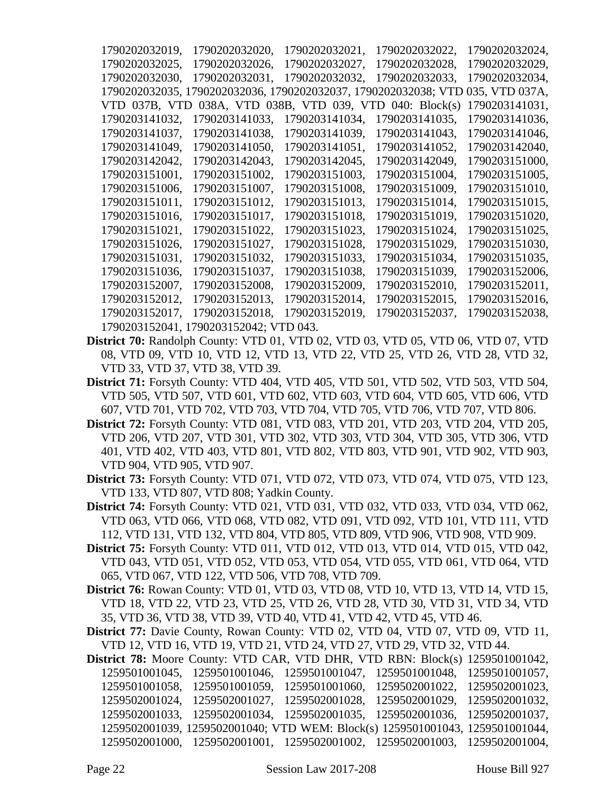| 1790202032019, | 1790202032020,                                                  | 1790202032021, | 1790202032022,   | 1790202032024, |
|----------------|-----------------------------------------------------------------|----------------|------------------|----------------|
| 1790202032025. | 1790202032026,                                                  | 1790202032027. | 1790202032028.   | 1790202032029. |
| 1790202032030. | 1790202032031,                                                  | 1790202032032. | 1790202032033.   | 1790202032034, |
|                | 1790202032035, 1790202032036, 1790202032037, 1790202032038; VTD |                |                  | 035, VTD 037A, |
| VTD 037B, VTD  | 038A, VTD 038B, VTD 039,                                        |                | TD 040: Block(s) | 1790203141031, |
| 1790203141032. | 1790203141033.                                                  | 1790203141034. | 1790203141035.   | 1790203141036. |
| 1790203141037, | 1790203141038,                                                  | 1790203141039, | 1790203141043,   | 1790203141046, |
| 1790203141049. | 1790203141050,                                                  | 1790203141051. | 1790203141052.   | 1790203142040, |
| 1790203142042, | 1790203142043,                                                  | 1790203142045, | 1790203142049,   | 1790203151000, |
| 1790203151001, | 1790203151002,                                                  | 1790203151003, | 1790203151004,   | 1790203151005, |
| 1790203151006, | 1790203151007.                                                  | 1790203151008. | 1790203151009.   | 1790203151010. |
| 1790203151011, | 1790203151012.                                                  | 1790203151013. | 1790203151014,   | 1790203151015, |
| 1790203151016, | 1790203151017,                                                  | 1790203151018, | 1790203151019,   | 1790203151020, |
| 1790203151021, | 1790203151022,                                                  | 1790203151023, | 1790203151024,   | 1790203151025, |
| 1790203151026, | 1790203151027,                                                  | 1790203151028, | 1790203151029,   | 1790203151030, |
| 1790203151031, | 1790203151032,                                                  | 1790203151033, | 1790203151034,   | 1790203151035, |
| 1790203151036, | 1790203151037,                                                  | 1790203151038, | 1790203151039,   | 1790203152006, |
| 1790203152007, | 1790203152008.                                                  | 1790203152009, | 1790203152010,   | 1790203152011, |
| 1790203152012. | 1790203152013.                                                  | 1790203152014. | 1790203152015.   | 1790203152016, |
| 1790203152017. | 1790203152018.                                                  | 1790203152019, | 1790203152037.   | 1790203152038, |
| 1790203152041, | 1790203152042; V                                                | ′TD 043.       |                  |                |

- **District 70:** Randolph County: VTD 01, VTD 02, VTD 03, VTD 05, VTD 06, VTD 07, VTD 08, VTD 09, VTD 10, VTD 12, VTD 13, VTD 22, VTD 25, VTD 26, VTD 28, VTD 32, VTD 33, VTD 37, VTD 38, VTD 39.
- **District 71:** Forsyth County: VTD 404, VTD 405, VTD 501, VTD 502, VTD 503, VTD 504, VTD 505, VTD 507, VTD 601, VTD 602, VTD 603, VTD 604, VTD 605, VTD 606, VTD 607, VTD 701, VTD 702, VTD 703, VTD 704, VTD 705, VTD 706, VTD 707, VTD 806.
- **District 72:** Forsyth County: VTD 081, VTD 083, VTD 201, VTD 203, VTD 204, VTD 205, VTD 206, VTD 207, VTD 301, VTD 302, VTD 303, VTD 304, VTD 305, VTD 306, VTD 401, VTD 402, VTD 403, VTD 801, VTD 802, VTD 803, VTD 901, VTD 902, VTD 903, VTD 904, VTD 905, VTD 907.

**District 73:** Forsyth County: VTD 071, VTD 072, VTD 073, VTD 074, VTD 075, VTD 123, VTD 133, VTD 807, VTD 808; Yadkin County.

**District 74:** Forsyth County: VTD 021, VTD 031, VTD 032, VTD 033, VTD 034, VTD 062, VTD 063, VTD 066, VTD 068, VTD 082, VTD 091, VTD 092, VTD 101, VTD 111, VTD 112, VTD 131, VTD 132, VTD 804, VTD 805, VTD 809, VTD 906, VTD 908, VTD 909.

**District 75:** Forsyth County: VTD 011, VTD 012, VTD 013, VTD 014, VTD 015, VTD 042, VTD 043, VTD 051, VTD 052, VTD 053, VTD 054, VTD 055, VTD 061, VTD 064, VTD 065, VTD 067, VTD 122, VTD 506, VTD 708, VTD 709.

**District 76:** Rowan County: VTD 01, VTD 03, VTD 08, VTD 10, VTD 13, VTD 14, VTD 15, VTD 18, VTD 22, VTD 23, VTD 25, VTD 26, VTD 28, VTD 30, VTD 31, VTD 34, VTD 35, VTD 36, VTD 38, VTD 39, VTD 40, VTD 41, VTD 42, VTD 45, VTD 46.

**District 77:** Davie County, Rowan County: VTD 02, VTD 04, VTD 07, VTD 09, VTD 11, VTD 12, VTD 16, VTD 19, VTD 21, VTD 24, VTD 27, VTD 29, VTD 32, VTD 44.

**District 78:** Moore County: VTD CAR, VTD DHR, VTD RBN: Block(s) 1259501001042, 1259501001045, 1259501001046, 1259501001047, 1259501001048, 1259501001057, 1259501001058, 1259501001059, 1259501001060, 1259502001022, 1259502001023, 1259502001024, 1259502001027, 1259502001028, 1259502001029, 1259502001032, 1259502001033, 1259502001034, 1259502001035, 1259502001036, 1259502001037, 1259502001039, 1259502001040; VTD WEM: Block(s) 1259501001043, 1259501001044, 1259502001000, 1259502001001, 1259502001002, 1259502001003, 1259502001004,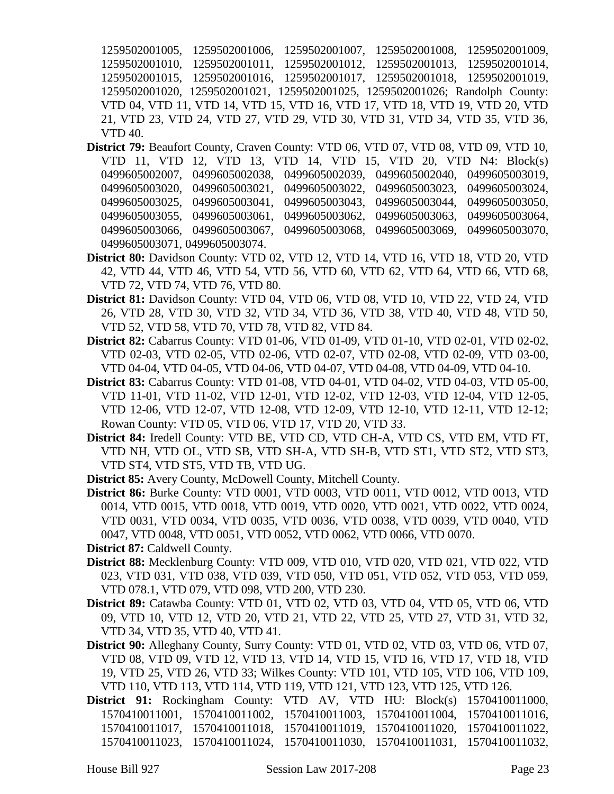1259502001005, 1259502001006, 1259502001007, 1259502001008, 1259502001009, 1259502001010, 1259502001011, 1259502001012, 1259502001013, 1259502001014, 1259502001015, 1259502001016, 1259502001017, 1259502001018, 1259502001019, 1259502001020, 1259502001021, 1259502001025, 1259502001026; Randolph County: VTD 04, VTD 11, VTD 14, VTD 15, VTD 16, VTD 17, VTD 18, VTD 19, VTD 20, VTD 21, VTD 23, VTD 24, VTD 27, VTD 29, VTD 30, VTD 31, VTD 34, VTD 35, VTD 36, VTD 40.

- **District 79:** Beaufort County, Craven County: VTD 06, VTD 07, VTD 08, VTD 09, VTD 10, VTD 11, VTD 12, VTD 13, VTD 14, VTD 15, VTD 20, VTD N4: Block(s) 0499605002007, 0499605002038, 0499605002039, 0499605002040, 0499605003019, 0499605003020, 0499605003021, 0499605003022, 0499605003023, 0499605003024, 0499605003025, 0499605003041, 0499605003043, 0499605003044, 0499605003050, 0499605003055, 0499605003061, 0499605003062, 0499605003063, 0499605003064, 0499605003066, 0499605003067, 0499605003068, 0499605003069, 0499605003070, 0499605003071, 0499605003074.
- **District 80:** Davidson County: VTD 02, VTD 12, VTD 14, VTD 16, VTD 18, VTD 20, VTD 42, VTD 44, VTD 46, VTD 54, VTD 56, VTD 60, VTD 62, VTD 64, VTD 66, VTD 68, VTD 72, VTD 74, VTD 76, VTD 80.
- **District 81:** Davidson County: VTD 04, VTD 06, VTD 08, VTD 10, VTD 22, VTD 24, VTD 26, VTD 28, VTD 30, VTD 32, VTD 34, VTD 36, VTD 38, VTD 40, VTD 48, VTD 50, VTD 52, VTD 58, VTD 70, VTD 78, VTD 82, VTD 84.
- **District 82:** Cabarrus County: VTD 01-06, VTD 01-09, VTD 01-10, VTD 02-01, VTD 02-02, VTD 02-03, VTD 02-05, VTD 02-06, VTD 02-07, VTD 02-08, VTD 02-09, VTD 03-00, VTD 04-04, VTD 04-05, VTD 04-06, VTD 04-07, VTD 04-08, VTD 04-09, VTD 04-10.
- **District 83:** Cabarrus County: VTD 01-08, VTD 04-01, VTD 04-02, VTD 04-03, VTD 05-00, VTD 11-01, VTD 11-02, VTD 12-01, VTD 12-02, VTD 12-03, VTD 12-04, VTD 12-05, VTD 12-06, VTD 12-07, VTD 12-08, VTD 12-09, VTD 12-10, VTD 12-11, VTD 12-12; Rowan County: VTD 05, VTD 06, VTD 17, VTD 20, VTD 33.
- **District 84:** Iredell County: VTD BE, VTD CD, VTD CH-A, VTD CS, VTD EM, VTD FT, VTD NH, VTD OL, VTD SB, VTD SH-A, VTD SH-B, VTD ST1, VTD ST2, VTD ST3, VTD ST4, VTD ST5, VTD TB, VTD UG.
- **District 85:** Avery County, McDowell County, Mitchell County.
- **District 86:** Burke County: VTD 0001, VTD 0003, VTD 0011, VTD 0012, VTD 0013, VTD 0014, VTD 0015, VTD 0018, VTD 0019, VTD 0020, VTD 0021, VTD 0022, VTD 0024, VTD 0031, VTD 0034, VTD 0035, VTD 0036, VTD 0038, VTD 0039, VTD 0040, VTD 0047, VTD 0048, VTD 0051, VTD 0052, VTD 0062, VTD 0066, VTD 0070.
- **District 87:** Caldwell County.
- **District 88:** Mecklenburg County: VTD 009, VTD 010, VTD 020, VTD 021, VTD 022, VTD 023, VTD 031, VTD 038, VTD 039, VTD 050, VTD 051, VTD 052, VTD 053, VTD 059, VTD 078.1, VTD 079, VTD 098, VTD 200, VTD 230.
- **District 89:** Catawba County: VTD 01, VTD 02, VTD 03, VTD 04, VTD 05, VTD 06, VTD 09, VTD 10, VTD 12, VTD 20, VTD 21, VTD 22, VTD 25, VTD 27, VTD 31, VTD 32, VTD 34, VTD 35, VTD 40, VTD 41.
- **District 90:** Alleghany County, Surry County: VTD 01, VTD 02, VTD 03, VTD 06, VTD 07, VTD 08, VTD 09, VTD 12, VTD 13, VTD 14, VTD 15, VTD 16, VTD 17, VTD 18, VTD 19, VTD 25, VTD 26, VTD 33; Wilkes County: VTD 101, VTD 105, VTD 106, VTD 109, VTD 110, VTD 113, VTD 114, VTD 119, VTD 121, VTD 123, VTD 125, VTD 126.
- **District 91:** Rockingham County: VTD AV, VTD HU: Block(s) 1570410011000, 1570410011001, 1570410011002, 1570410011003, 1570410011004, 1570410011016, 1570410011017, 1570410011018, 1570410011019, 1570410011020, 1570410011022, 1570410011023, 1570410011024, 1570410011030, 1570410011031, 1570410011032,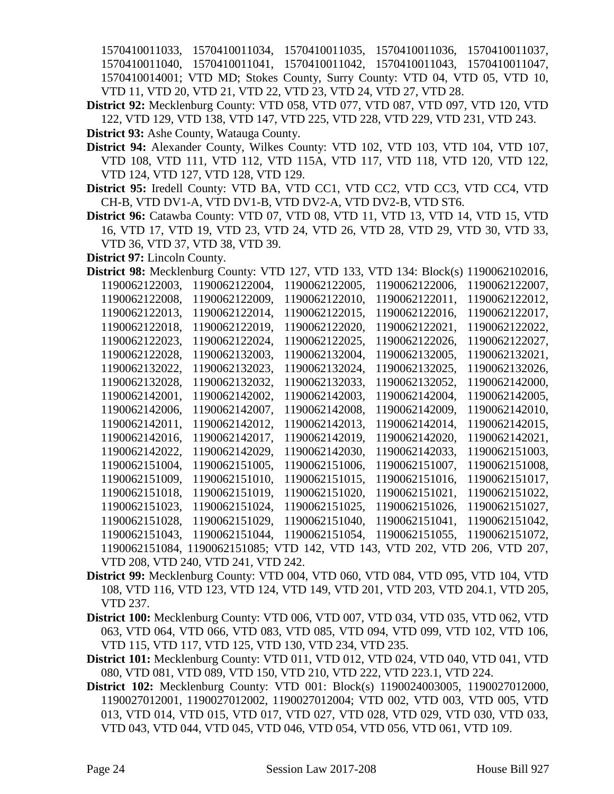1570410011033, 1570410011034, 1570410011035, 1570410011036, 1570410011037, 1570410011040, 1570410011041, 1570410011042, 1570410011043, 1570410011047, 1570410014001; VTD MD; Stokes County, Surry County: VTD 04, VTD 05, VTD 10, VTD 11, VTD 20, VTD 21, VTD 22, VTD 23, VTD 24, VTD 27, VTD 28.

- **District 92:** Mecklenburg County: VTD 058, VTD 077, VTD 087, VTD 097, VTD 120, VTD 122, VTD 129, VTD 138, VTD 147, VTD 225, VTD 228, VTD 229, VTD 231, VTD 243.
- **District 93:** Ashe County, Watauga County.
- **District 94:** Alexander County, Wilkes County: VTD 102, VTD 103, VTD 104, VTD 107, VTD 108, VTD 111, VTD 112, VTD 115A, VTD 117, VTD 118, VTD 120, VTD 122, VTD 124, VTD 127, VTD 128, VTD 129.
- **District 95:** Iredell County: VTD BA, VTD CC1, VTD CC2, VTD CC3, VTD CC4, VTD CH-B, VTD DV1-A, VTD DV1-B, VTD DV2-A, VTD DV2-B, VTD ST6.
- **District 96:** Catawba County: VTD 07, VTD 08, VTD 11, VTD 13, VTD 14, VTD 15, VTD 16, VTD 17, VTD 19, VTD 23, VTD 24, VTD 26, VTD 28, VTD 29, VTD 30, VTD 33, VTD 36, VTD 37, VTD 38, VTD 39.
- **District 97:** Lincoln County.

| <b>District 98:</b> Mecklenburg County: VTD 127, VTD 133, VTD 134: Block(s) |                                                              |                |                | 1190062102016, |  |
|-----------------------------------------------------------------------------|--------------------------------------------------------------|----------------|----------------|----------------|--|
| 1190062122003,                                                              | 1190062122004,                                               | 1190062122005, | 1190062122006, | 1190062122007, |  |
| 1190062122008,                                                              | 1190062122009,                                               | 1190062122010, | 1190062122011. | 1190062122012. |  |
| 1190062122013,                                                              | 1190062122014,                                               | 1190062122015, | 1190062122016, | 1190062122017, |  |
| 1190062122018,                                                              | 1190062122019,                                               | 1190062122020, | 1190062122021, | 1190062122022, |  |
| 1190062122023,                                                              | 1190062122024,                                               | 1190062122025, | 1190062122026, | 1190062122027, |  |
| 1190062122028,                                                              | 1190062132003,                                               | 1190062132004, | 1190062132005, | 1190062132021, |  |
| 1190062132022,                                                              | 1190062132023,                                               | 1190062132024, | 1190062132025, | 1190062132026, |  |
| 1190062132028,                                                              | 1190062132032,                                               | 1190062132033, | 1190062132052, | 1190062142000, |  |
| 1190062142001,                                                              | 1190062142002,                                               | 1190062142003, | 1190062142004, | 1190062142005, |  |
| 1190062142006,                                                              | 1190062142007,                                               | 1190062142008, | 1190062142009, | 1190062142010, |  |
| 1190062142011,                                                              | 1190062142012,                                               | 1190062142013, | 1190062142014, | 1190062142015, |  |
| 1190062142016,                                                              | 1190062142017,                                               | 1190062142019, | 1190062142020. | 1190062142021, |  |
| 1190062142022,                                                              | 1190062142029,                                               | 1190062142030, | 1190062142033, | 1190062151003, |  |
| 1190062151004,                                                              | 1190062151005,                                               | 1190062151006, | 1190062151007, | 1190062151008, |  |
| 1190062151009,                                                              | 1190062151010,                                               | 1190062151015, | 1190062151016, | 1190062151017, |  |
| 1190062151018,                                                              | 1190062151019,                                               | 1190062151020, | 1190062151021, | 1190062151022, |  |
| 1190062151023,                                                              | 1190062151024,                                               | 1190062151025, | 1190062151026, | 1190062151027, |  |
| 1190062151028,                                                              | 1190062151029,                                               | 1190062151040, | 1190062151041, | 1190062151042, |  |
| 1190062151043.                                                              | 1190062151044,                                               | 1190062151054, | 1190062151055, | 1190062151072, |  |
|                                                                             | 1190062151084, 1190062151085; VTD 142, VTD 143, VTD 202, VTD |                |                | 206, VTD 207,  |  |
|                                                                             | VTD 208, VTD 240, VTD 241, VTD 242.                          |                |                |                |  |

- **District 99:** Mecklenburg County: VTD 004, VTD 060, VTD 084, VTD 095, VTD 104, VTD 108, VTD 116, VTD 123, VTD 124, VTD 149, VTD 201, VTD 203, VTD 204.1, VTD 205, VTD 237.
- **District 100:** Mecklenburg County: VTD 006, VTD 007, VTD 034, VTD 035, VTD 062, VTD 063, VTD 064, VTD 066, VTD 083, VTD 085, VTD 094, VTD 099, VTD 102, VTD 106, VTD 115, VTD 117, VTD 125, VTD 130, VTD 234, VTD 235.
- **District 101:** Mecklenburg County: VTD 011, VTD 012, VTD 024, VTD 040, VTD 041, VTD 080, VTD 081, VTD 089, VTD 150, VTD 210, VTD 222, VTD 223.1, VTD 224.
- **District 102:** Mecklenburg County: VTD 001: Block(s) 1190024003005, 1190027012000, 1190027012001, 1190027012002, 1190027012004; VTD 002, VTD 003, VTD 005, VTD 013, VTD 014, VTD 015, VTD 017, VTD 027, VTD 028, VTD 029, VTD 030, VTD 033, VTD 043, VTD 044, VTD 045, VTD 046, VTD 054, VTD 056, VTD 061, VTD 109.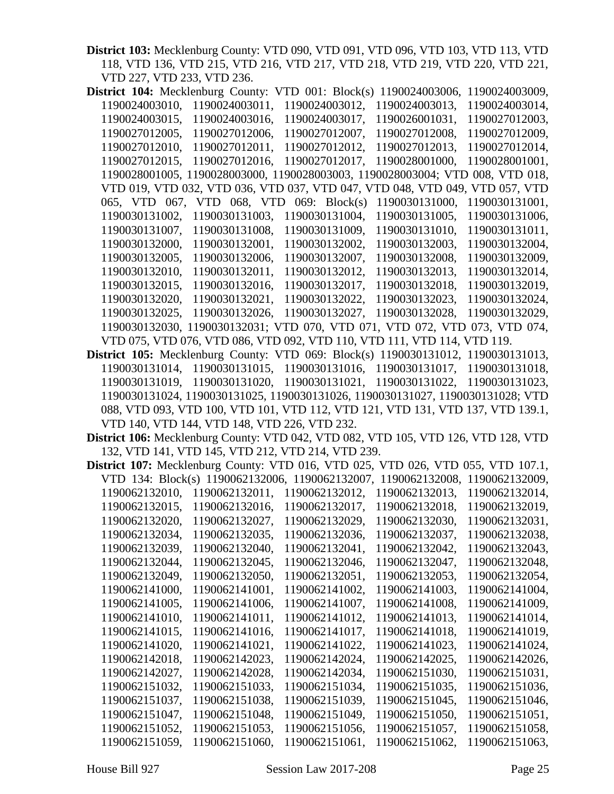**District 103:** Mecklenburg County: VTD 090, VTD 091, VTD 096, VTD 103, VTD 113, VTD 118, VTD 136, VTD 215, VTD 216, VTD 217, VTD 218, VTD 219, VTD 220, VTD 221, VTD 227, VTD 233, VTD 236.

| <b>District 104:</b> Mecklenburg County: |                                                                               |                               | VTD $001$ : Block(s) | 1190024003006, | 1190024003009, |  |
|------------------------------------------|-------------------------------------------------------------------------------|-------------------------------|----------------------|----------------|----------------|--|
| 1190024003010,                           |                                                                               | 1190024003011,                | 1190024003012,       | 1190024003013, | 1190024003014, |  |
| 1190024003015,                           |                                                                               | 1190024003016,                | 1190024003017,       | 1190026001031, | 1190027012003, |  |
| 1190027012005,                           |                                                                               | 1190027012006,                | 1190027012007,       | 1190027012008, | 1190027012009. |  |
| 1190027012010,                           |                                                                               | 1190027012011,                | 1190027012012.       | 1190027012013. | 1190027012014, |  |
| 1190027012015,                           |                                                                               | 1190027012016, 1190027012017, |                      | 1190028001000, | 1190028001001, |  |
|                                          | 1190028001005, 1190028003000, 1190028003003, 1190028003004; VTD 008, VTD 018, |                               |                      |                |                |  |
|                                          | VTD 019, VTD 032, VTD 036, VTD 037, VTD 047, VTD 048, VTD 049, VTD 057, VTD   |                               |                      |                |                |  |
|                                          | 065, VTD 067, VTD 068, VTD 069: Block(s)                                      |                               |                      | 1190030131000, | 1190030131001, |  |
| 1190030131002.                           |                                                                               | 1190030131003,                | 1190030131004,       | 1190030131005, | 1190030131006, |  |
| 1190030131007,                           |                                                                               | 1190030131008,                | 1190030131009,       | 1190030131010, | 1190030131011, |  |
| 1190030132000,                           |                                                                               | 1190030132001,                | 1190030132002,       | 1190030132003, | 1190030132004, |  |
| 1190030132005,                           |                                                                               | 1190030132006,                | 1190030132007,       | 1190030132008, | 1190030132009, |  |
| 1190030132010,                           |                                                                               | 1190030132011,                | 1190030132012.       | 1190030132013. | 1190030132014, |  |
| 1190030132015,                           |                                                                               | 1190030132016.                | 1190030132017,       | 1190030132018. | 1190030132019. |  |
| 1190030132020,                           |                                                                               | 1190030132021.                | 1190030132022,       | 1190030132023, | 1190030132024, |  |
| 1190030132025,                           |                                                                               | 1190030132026.                | 1190030132027,       | 1190030132028. | 1190030132029, |  |
|                                          | 1190030132030, 1190030132031; VTD 070, VTD 071, VTD 072, VTD 073, VTD 074,    |                               |                      |                |                |  |
|                                          | VTD 075, VTD 076, VTD 086, VTD 092, VTD 110, VTD 111, VTD 114, VTD 119.       |                               |                      |                |                |  |

**District 105:** Mecklenburg County: VTD 069: Block(s) 1190030131012, 1190030131013, 1190030131014, 1190030131015, 1190030131016, 1190030131017, 1190030131018, 1190030131019, 1190030131020, 1190030131021, 1190030131022, 1190030131023, 1190030131024, 1190030131025, 1190030131026, 1190030131027, 1190030131028; VTD 088, VTD 093, VTD 100, VTD 101, VTD 112, VTD 121, VTD 131, VTD 137, VTD 139.1, VTD 140, VTD 144, VTD 148, VTD 226, VTD 232.

**District 106:** Mecklenburg County: VTD 042, VTD 082, VTD 105, VTD 126, VTD 128, VTD 132, VTD 141, VTD 145, VTD 212, VTD 214, VTD 239.

|                |                |                |  | District 107: Mecklenburg County: VTD 016, VTD 025, VTD 026, VTD 055, VTD 107.1, |                |  |                |  |
|----------------|----------------|----------------|--|----------------------------------------------------------------------------------|----------------|--|----------------|--|
|                |                |                |  | VTD 134: Block(s) 1190062132006, 1190062132007, 1190062132008, 1190062132009,    |                |  |                |  |
|                | 1190062132010, | 1190062132011, |  | 1190062132012,                                                                   | 1190062132013. |  | 1190062132014, |  |
|                | 1190062132015, | 1190062132016, |  | 1190062132017,                                                                   | 1190062132018, |  | 1190062132019, |  |
|                | 1190062132020, | 1190062132027, |  | 1190062132029,                                                                   | 1190062132030, |  | 1190062132031, |  |
|                | 1190062132034, | 1190062132035, |  | 1190062132036,                                                                   | 1190062132037, |  | 1190062132038, |  |
|                | 1190062132039, | 1190062132040, |  | 1190062132041,                                                                   | 1190062132042, |  | 1190062132043, |  |
|                | 1190062132044, | 1190062132045, |  | 1190062132046,                                                                   | 1190062132047, |  | 1190062132048, |  |
|                | 1190062132049, | 1190062132050, |  | 1190062132051,                                                                   | 1190062132053, |  | 1190062132054, |  |
| 1190062141000, |                | 1190062141001, |  | 1190062141002,                                                                   | 1190062141003, |  | 1190062141004, |  |
| 1190062141005, |                | 1190062141006, |  | 1190062141007,                                                                   | 1190062141008, |  | 1190062141009, |  |
|                | 1190062141010, | 1190062141011, |  | 1190062141012,                                                                   | 1190062141013, |  | 1190062141014, |  |
| 1190062141015, |                | 1190062141016, |  | 1190062141017,                                                                   | 1190062141018, |  | 1190062141019, |  |
| 1190062141020, |                | 1190062141021, |  | 1190062141022.                                                                   | 1190062141023, |  | 1190062141024, |  |
| 1190062142018, |                | 1190062142023, |  | 1190062142024,                                                                   | 1190062142025, |  | 1190062142026, |  |
| 1190062142027, |                | 1190062142028, |  | 1190062142034,                                                                   | 1190062151030, |  | 1190062151031, |  |
| 1190062151032, |                | 1190062151033, |  | 1190062151034,                                                                   | 1190062151035, |  | 1190062151036, |  |
|                | 1190062151037, | 1190062151038, |  | 1190062151039,                                                                   | 1190062151045, |  | 1190062151046, |  |
|                | 1190062151047, | 1190062151048, |  | 1190062151049,                                                                   | 1190062151050, |  | 1190062151051, |  |
| 1190062151052, |                | 1190062151053, |  | 1190062151056,                                                                   | 1190062151057, |  | 1190062151058, |  |
| 1190062151059, |                | 1190062151060. |  | 1190062151061,                                                                   | 1190062151062. |  | 1190062151063. |  |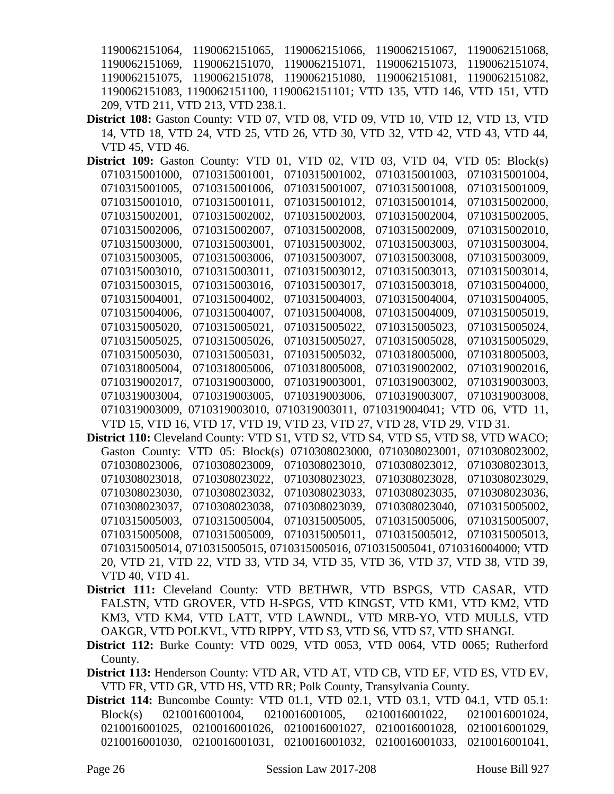1190062151064, 1190062151065, 1190062151066, 1190062151067, 1190062151068, 1190062151069, 1190062151070, 1190062151071, 1190062151073, 1190062151074, 1190062151075, 1190062151078, 1190062151080, 1190062151081, 1190062151082, 1190062151083, 1190062151100, 1190062151101; VTD 135, VTD 146, VTD 151, VTD 209, VTD 211, VTD 213, VTD 238.1.

**District 108:** Gaston County: VTD 07, VTD 08, VTD 09, VTD 10, VTD 12, VTD 13, VTD 14, VTD 18, VTD 24, VTD 25, VTD 26, VTD 30, VTD 32, VTD 42, VTD 43, VTD 44, VTD 45, VTD 46.

**District 109:** Gaston County: VTD 01, VTD 02, VTD 03, VTD 04, VTD 05: Block(s) 0710315001000, 0710315001001, 0710315001002, 0710315001003, 0710315001004, 0710315001005, 0710315001006, 0710315001007, 0710315001008, 0710315001009, 0710315001010, 0710315001011, 0710315001012, 0710315001014, 0710315002000, 0710315002001, 0710315002002, 0710315002003, 0710315002004, 0710315002005, 0710315002006, 0710315002007, 0710315002008, 0710315002009, 0710315002010, 0710315003000, 0710315003001, 0710315003002, 0710315003003, 0710315003004, 0710315003005, 0710315003006, 0710315003007, 0710315003008, 0710315003009, 0710315003010, 0710315003011, 0710315003012, 0710315003013, 0710315003014, 0710315003015, 0710315003016, 0710315003017, 0710315003018, 0710315004000, 0710315004001, 0710315004002, 0710315004003, 0710315004004, 0710315004005, 0710315004006, 0710315004007, 0710315004008, 0710315004009, 0710315005019, 0710315005020, 0710315005021, 0710315005022, 0710315005023, 0710315005024, 0710315005025, 0710315005026, 0710315005027, 0710315005028, 0710315005029, 0710315005030, 0710315005031, 0710315005032, 0710318005000, 0710318005003, 0710318005004, 0710318005006, 0710318005008, 0710319002002, 0710319002016, 0710319002017, 0710319003000, 0710319003001, 0710319003002, 0710319003003, 0710319003004, 0710319003005, 0710319003006, 0710319003007, 0710319003008, 0710319003009, 0710319003010, 0710319003011, 0710319004041; VTD 06, VTD 11, VTD 15, VTD 16, VTD 17, VTD 19, VTD 23, VTD 27, VTD 28, VTD 29, VTD 31.

- **District 110:** Cleveland County: VTD S1, VTD S2, VTD S4, VTD S5, VTD S8, VTD WACO; Gaston County: VTD 05: Block(s) 0710308023000, 0710308023001, 0710308023002, 0710308023006, 0710308023009, 0710308023010, 0710308023012, 0710308023013, 0710308023018, 0710308023022, 0710308023023, 0710308023028, 0710308023029, 0710308023030, 0710308023032, 0710308023033, 0710308023035, 0710308023036, 0710308023037, 0710308023038, 0710308023039, 0710308023040, 0710315005002, 0710315005003, 0710315005004, 0710315005005, 0710315005006, 0710315005007, 0710315005008, 0710315005009, 0710315005011, 0710315005012, 0710315005013, 0710315005014, 0710315005015, 0710315005016, 0710315005041, 0710316004000; VTD 20, VTD 21, VTD 22, VTD 33, VTD 34, VTD 35, VTD 36, VTD 37, VTD 38, VTD 39, VTD 40, VTD 41.
- **District 111:** Cleveland County: VTD BETHWR, VTD BSPGS, VTD CASAR, VTD FALSTN, VTD GROVER, VTD H-SPGS, VTD KINGST, VTD KM1, VTD KM2, VTD KM3, VTD KM4, VTD LATT, VTD LAWNDL, VTD MRB-YO, VTD MULLS, VTD OAKGR, VTD POLKVL, VTD RIPPY, VTD S3, VTD S6, VTD S7, VTD SHANGI.
- **District 112:** Burke County: VTD 0029, VTD 0053, VTD 0064, VTD 0065; Rutherford County.
- **District 113:** Henderson County: VTD AR, VTD AT, VTD CB, VTD EF, VTD ES, VTD EV, VTD FR, VTD GR, VTD HS, VTD RR; Polk County, Transylvania County.
- **District 114:** Buncombe County: VTD 01.1, VTD 02.1, VTD 03.1, VTD 04.1, VTD 05.1: Block(s) 0210016001004, 0210016001005, 0210016001022, 0210016001024, 0210016001025, 0210016001026, 0210016001027, 0210016001028, 0210016001029, 0210016001030, 0210016001031, 0210016001032, 0210016001033, 0210016001041,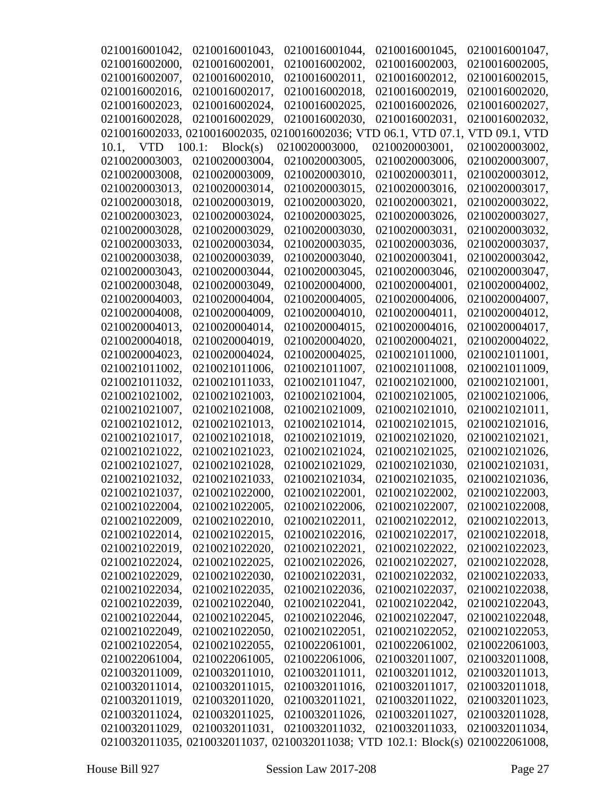| 0210016001042, | 0210016001043,                                                                  | 0210016001044, | 0210016001045,                   | 0210016001047, |
|----------------|---------------------------------------------------------------------------------|----------------|----------------------------------|----------------|
| 0210016002000, | 0210016002001,                                                                  | 0210016002002, | 0210016002003,                   | 0210016002005, |
| 0210016002007, | 0210016002010,                                                                  | 0210016002011, | 0210016002012,                   | 0210016002015, |
| 0210016002016, | 0210016002017,                                                                  | 0210016002018, | 0210016002019,                   | 0210016002020, |
| 0210016002023, | 0210016002024,                                                                  | 0210016002025, | 0210016002026,                   | 0210016002027, |
| 0210016002028, | 0210016002029,                                                                  | 0210016002030, | 0210016002031,                   | 0210016002032, |
|                | 0210016002033, 0210016002035, 02                                                |                | 10016002036; VTD 06.1, VTD 07.1, | VTD 09.1, VTD  |
| 10.1, VTD      | 100.1:<br>Block(s)                                                              | 0210020003000, | 0210020003001,                   | 0210020003002, |
| 0210020003003, | 0210020003004,                                                                  | 0210020003005, | 0210020003006,                   | 0210020003007, |
| 0210020003008, | 0210020003009,                                                                  | 0210020003010, | 0210020003011,                   | 0210020003012, |
| 0210020003013, | 0210020003014,                                                                  | 0210020003015, | 0210020003016,                   | 0210020003017, |
| 0210020003018, | 0210020003019,                                                                  | 0210020003020, | 0210020003021,                   | 0210020003022, |
| 0210020003023, | 0210020003024,                                                                  | 0210020003025, | 0210020003026,                   | 0210020003027, |
| 0210020003028, | 0210020003029,                                                                  | 0210020003030, | 0210020003031,                   | 0210020003032, |
| 0210020003033, | 0210020003034,                                                                  | 0210020003035, | 0210020003036,                   | 0210020003037, |
| 0210020003038, | 0210020003039,                                                                  | 0210020003040, | 0210020003041,                   | 0210020003042, |
| 0210020003043, | 0210020003044,                                                                  | 0210020003045, | 0210020003046,                   | 0210020003047, |
| 0210020003048, | 0210020003049,                                                                  | 0210020004000, | 0210020004001,                   | 0210020004002. |
| 0210020004003, | 0210020004004,                                                                  | 0210020004005, | 0210020004006,                   | 0210020004007, |
| 0210020004008, | 0210020004009,                                                                  | 0210020004010, | 0210020004011,                   | 0210020004012, |
| 0210020004013, | 0210020004014,                                                                  | 0210020004015, | 0210020004016,                   | 0210020004017, |
| 0210020004018, | 0210020004019,                                                                  | 0210020004020, | 0210020004021,                   | 0210020004022, |
| 0210020004023, | 0210020004024,                                                                  | 0210020004025, | 0210021011000,                   | 0210021011001, |
| 0210021011002, | 0210021011006,                                                                  | 0210021011007, | 0210021011008,                   | 0210021011009, |
| 0210021011032, | 0210021011033,                                                                  | 0210021011047, | 0210021021000,                   | 0210021021001, |
| 0210021021002, | 0210021021003,                                                                  | 0210021021004, | 0210021021005,                   | 0210021021006, |
| 0210021021007, | 0210021021008,                                                                  | 0210021021009, | 0210021021010,                   | 0210021021011, |
| 0210021021012, | 0210021021013,                                                                  | 0210021021014, | 0210021021015,                   | 0210021021016, |
| 0210021021017, | 0210021021018,                                                                  | 0210021021019, | 0210021021020,                   | 0210021021021, |
| 0210021021022, | 0210021021023,                                                                  | 0210021021024, | 0210021021025,                   | 0210021021026, |
| 0210021021027, | 0210021021028,                                                                  | 0210021021029, | 0210021021030,                   | 0210021021031, |
| 0210021021032, | 0210021021033,                                                                  | 0210021021034, | 0210021021035,                   | 0210021021036, |
| 0210021021037, | 0210021022000,                                                                  | 0210021022001, | 0210021022002,                   | 0210021022003, |
| 0210021022004, | 0210021022005,                                                                  | 0210021022006, | 0210021022007,                   | 0210021022008, |
| 0210021022009, | 0210021022010,                                                                  | 0210021022011, | 0210021022012,                   | 0210021022013, |
| 0210021022014, | 0210021022015,                                                                  | 0210021022016, | 0210021022017,                   | 0210021022018, |
| 0210021022019, | 0210021022020,                                                                  | 0210021022021, | 0210021022022,                   | 0210021022023, |
| 0210021022024, | 0210021022025,                                                                  | 0210021022026, | 0210021022027,                   | 0210021022028, |
| 0210021022029, | 0210021022030,                                                                  | 0210021022031, | 0210021022032,                   | 0210021022033, |
| 0210021022034, | 0210021022035,                                                                  | 0210021022036, | 0210021022037,                   | 0210021022038, |
| 0210021022039, | 0210021022040,                                                                  | 0210021022041, | 0210021022042,                   | 0210021022043, |
| 0210021022044, | 0210021022045,                                                                  | 0210021022046, | 0210021022047,                   | 0210021022048, |
| 0210021022049, | 0210021022050,                                                                  | 0210021022051, | 0210021022052,                   | 0210021022053, |
| 0210021022054, | 0210021022055,                                                                  | 0210022061001, | 0210022061002,                   | 0210022061003, |
| 0210022061004, | 0210022061005,                                                                  | 0210022061006, | 0210032011007,                   | 0210032011008, |
| 0210032011009, | 0210032011010,                                                                  | 0210032011011, | 0210032011012,                   | 0210032011013, |
| 0210032011014, | 0210032011015,                                                                  | 0210032011016, | 0210032011017,                   | 0210032011018, |
| 0210032011019, | 0210032011020,                                                                  | 0210032011021, | 0210032011022,                   | 0210032011023, |
| 0210032011024, | 0210032011025,                                                                  | 0210032011026, | 0210032011027,                   | 0210032011028, |
| 0210032011029, | 0210032011031,                                                                  | 0210032011032, | 0210032011033,                   | 0210032011034, |
|                | 0210032011035, 0210032011037, 0210032011038; VTD 102.1: Block(s) 0210022061008, |                |                                  |                |
|                |                                                                                 |                |                                  |                |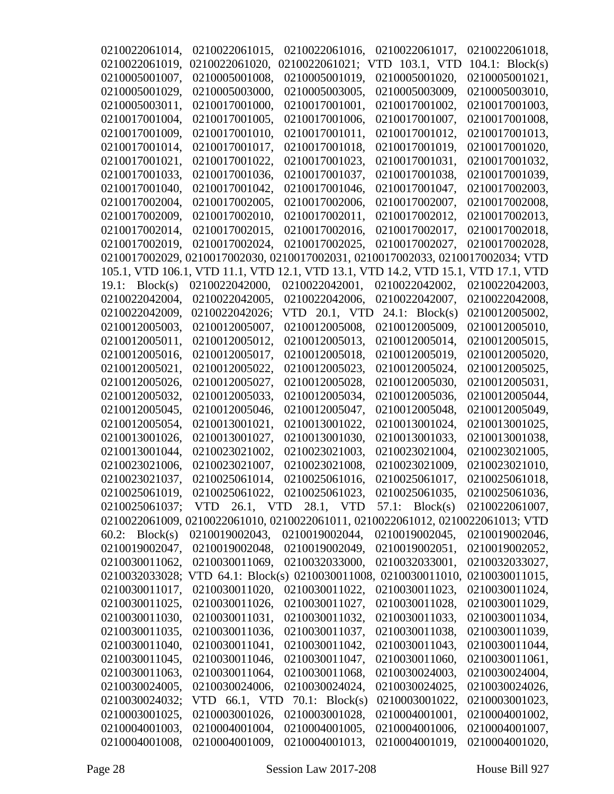| 0210022061014,    | 0210022061015, | 0210022061016,                                                                 | 0210022061017.    | 0210022061018,       |
|-------------------|----------------|--------------------------------------------------------------------------------|-------------------|----------------------|
| 0210022061019,    | 0210022061020, | 0210022061021;                                                                 | VTD 103.1, VTD    | $104.1$ : Block(s)   |
| 0210005001007,    | 0210005001008, | 0210005001019,                                                                 | 0210005001020,    | 0210005001021,       |
| 0210005001029,    | 0210005003000, | 0210005003005,                                                                 | 0210005003009,    | 0210005003010,       |
| 0210005003011,    | 0210017001000, | 0210017001001,                                                                 | 0210017001002,    | 0210017001003.       |
| 0210017001004,    | 0210017001005, | 0210017001006,                                                                 | 0210017001007,    | 0210017001008,       |
| 0210017001009,    | 0210017001010, | 0210017001011,                                                                 | 0210017001012,    | 0210017001013,       |
| 0210017001014,    | 0210017001017, | 0210017001018,                                                                 | 0210017001019.    | 0210017001020,       |
| 0210017001021,    | 0210017001022, | 0210017001023,                                                                 | 0210017001031,    | 0210017001032,       |
| 0210017001033,    | 0210017001036, | 0210017001037,                                                                 | 0210017001038,    | 0210017001039,       |
| 0210017001040.    | 0210017001042, | 0210017001046.                                                                 | 0210017001047,    | 0210017002003,       |
| 0210017002004,    | 0210017002005, | 0210017002006,                                                                 | 0210017002007,    | 0210017002008,       |
| 0210017002009,    | 0210017002010, | 0210017002011,                                                                 | 0210017002012,    | 0210017002013,       |
| 0210017002014,    | 0210017002015, | 0210017002016,                                                                 | 0210017002017,    | 0210017002018,       |
| 0210017002019,    | 0210017002024, | 0210017002025,                                                                 | 0210017002027,    | 0210017002028,       |
|                   |                | 0210017002029, 0210017002030, 0210017002031, 0210017002033, 0210017002034; VTD |                   |                      |
|                   |                | 105.1, VTD 106.1, VTD 11.1, VTD 12.1, VTD 13.1, VTD 14.2, VTD 15.1,            |                   | <b>VTD 17.1, VTD</b> |
| Block(s)<br>19.1: | 0210022042000, | 0210022042001,                                                                 | 0210022042002,    | 0210022042003,       |
| 0210022042004,    | 0210022042005, | 0210022042006.                                                                 | 0210022042007,    | 0210022042008,       |
| 0210022042009,    | 0210022042026; | VTD 20.1, VTD                                                                  | $24.1$ : Block(s) | 0210012005002,       |
| 0210012005003,    | 0210012005007, | 0210012005008,                                                                 | 0210012005009,    | 0210012005010.       |
| 0210012005011,    | 0210012005012, | 0210012005013,                                                                 | 0210012005014,    | 0210012005015,       |
| 0210012005016,    | 0210012005017, | 0210012005018,                                                                 | 0210012005019,    | 0210012005020,       |
| 0210012005021,    | 0210012005022, | 0210012005023,                                                                 | 0210012005024,    | 0210012005025,       |
| 0210012005026,    | 0210012005027, | 0210012005028,                                                                 | 0210012005030,    | 0210012005031,       |
| 0210012005032,    | 0210012005033, | 0210012005034,                                                                 | 0210012005036,    | 0210012005044,       |
| 0210012005045,    | 0210012005046, | 0210012005047,                                                                 | 0210012005048,    | 0210012005049,       |
| 0210012005054,    | 0210013001021, | 0210013001022,                                                                 | 0210013001024,    | 0210013001025,       |
| 0210013001026,    | 0210013001027, | 0210013001030,                                                                 | 0210013001033.    | 0210013001038,       |
| 0210013001044,    | 0210023021002. | 0210023021003.                                                                 | 0210023021004,    | 0210023021005.       |
| 0210023021006,    | 0210023021007, | 0210023021008,                                                                 | 0210023021009,    | 0210023021010,       |
| 0210023021037,    | 0210025061014, | 0210025061016,                                                                 | 0210025061017,    | 0210025061018,       |
| 0210025061019,    |                | 0210025061022, 0210025061023, 0210025061035,                                   |                   | 0210025061036,       |
| 0210025061037;    | <b>VTD</b>     | 26.1, VTD 28.1, VTD                                                            | 57.1:<br>Block(s) | 0210022061007,       |
|                   |                | 0210022061009, 0210022061010, 0210022061011, 0210022061012, 0210022061013; VTD |                   |                      |
| $60.2$ : Block(s) | 0210019002043, | 0210019002044,                                                                 | 0210019002045,    | 0210019002046,       |
| 0210019002047,    | 0210019002048, | 0210019002049,                                                                 | 0210019002051,    | 0210019002052,       |
| 0210030011062,    | 0210030011069, | 0210032033000,                                                                 | 0210032033001,    | 0210032033027,       |
| 0210032033028;    |                | VTD 64.1: Block(s) 0210030011008, 0210030011010,                               |                   | 0210030011015,       |
| 0210030011017,    | 0210030011020, | 0210030011022,                                                                 | 0210030011023,    | 0210030011024,       |
| 0210030011025,    | 0210030011026, | 0210030011027,                                                                 | 0210030011028,    | 0210030011029,       |
| 0210030011030,    | 0210030011031, | 0210030011032,                                                                 | 0210030011033,    | 0210030011034,       |
| 0210030011035,    | 0210030011036, | 0210030011037,                                                                 | 0210030011038,    | 0210030011039,       |
| 0210030011040,    | 0210030011041, | 0210030011042,                                                                 | 0210030011043,    | 0210030011044,       |
| 0210030011045,    | 0210030011046, | 0210030011047,                                                                 | 0210030011060,    | 0210030011061,       |
| 0210030011063,    | 0210030011064, | 0210030011068,                                                                 | 0210030024003,    | 0210030024004,       |
| 0210030024005,    | 0210030024006, | 0210030024024,                                                                 | 0210030024025,    | 0210030024026,       |
| 0210030024032;    | VTD 66.1, VTD  | 70.1: $Block(s)$                                                               | 0210003001022,    | 0210003001023,       |
| 0210003001025,    | 0210003001026, | 0210003001028,                                                                 | 0210004001001,    | 0210004001002,       |
| 0210004001003,    | 0210004001004, | 0210004001005,                                                                 | 0210004001006,    | 0210004001007,       |
| 0210004001008,    | 0210004001009, | 0210004001013,                                                                 | 0210004001019,    | 0210004001020,       |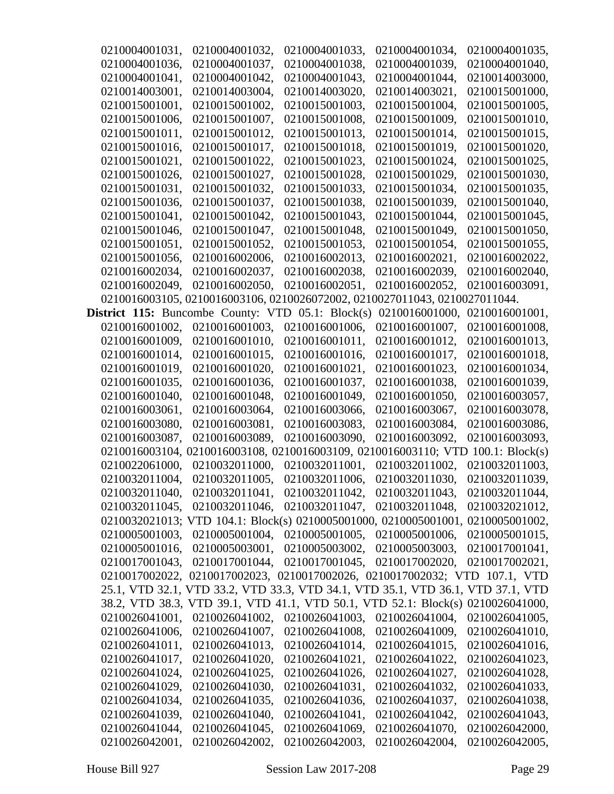| 0210004001031, | 0210004001032,                                                                  | 0210004001033,                | 0210004001034, | 0210004001035, |
|----------------|---------------------------------------------------------------------------------|-------------------------------|----------------|----------------|
| 0210004001036, | 0210004001037,                                                                  | 0210004001038,                | 0210004001039, | 0210004001040, |
| 0210004001041, | 0210004001042,                                                                  | 0210004001043,                | 0210004001044. | 0210014003000, |
| 0210014003001, | 0210014003004,                                                                  | 0210014003020,                | 0210014003021, | 0210015001000, |
| 0210015001001, | 0210015001002,                                                                  | 0210015001003,                | 0210015001004, | 0210015001005, |
| 0210015001006, | 0210015001007,                                                                  | 0210015001008,                | 0210015001009, | 0210015001010, |
| 0210015001011, | 0210015001012,                                                                  | 0210015001013,                | 0210015001014, | 0210015001015, |
| 0210015001016, | 0210015001017,                                                                  | 0210015001018,                | 0210015001019, | 0210015001020, |
| 0210015001021, | 0210015001022,                                                                  | 0210015001023,                | 0210015001024, | 0210015001025, |
| 0210015001026, | 0210015001027,                                                                  | 0210015001028,                | 0210015001029, | 0210015001030, |
| 0210015001031, | 0210015001032,                                                                  | 0210015001033,                | 0210015001034, | 0210015001035, |
| 0210015001036, | 0210015001037,                                                                  | 0210015001038,                | 0210015001039, | 0210015001040, |
| 0210015001041, | 0210015001042,                                                                  | 0210015001043,                | 0210015001044, | 0210015001045, |
| 0210015001046, | 0210015001047,                                                                  | 0210015001048,                | 0210015001049, | 0210015001050, |
| 0210015001051, | 0210015001052,                                                                  | 0210015001053,                | 0210015001054, | 0210015001055, |
| 0210015001056, | 0210016002006,                                                                  | 0210016002013,                | 0210016002021, | 0210016002022, |
| 0210016002034, | 0210016002037,                                                                  | 0210016002038,                | 0210016002039, | 0210016002040, |
| 0210016002049, | 0210016002050,                                                                  | 0210016002051,                | 0210016002052, | 0210016003091, |
|                | 0210016003105, 0210016003106, 0210026072002, 0210027011043, 0210027011044.      |                               |                |                |
|                | <b>District 115:</b> Buncombe County: VTD $05.1$ : Block(s)                     |                               | 0210016001000, | 0210016001001, |
| 0210016001002, | 0210016001003,                                                                  | 0210016001006,                | 0210016001007, | 0210016001008, |
| 0210016001009, | 0210016001010,                                                                  | 0210016001011,                | 0210016001012, | 0210016001013, |
| 0210016001014, | 0210016001015,                                                                  | 0210016001016,                | 0210016001017, | 0210016001018, |
| 0210016001019, | 0210016001020,                                                                  | 0210016001021,                | 0210016001023, | 0210016001034, |
| 0210016001035, | 0210016001036,                                                                  | 0210016001037,                | 0210016001038, | 0210016001039, |
| 0210016001040, | 0210016001048,                                                                  | 0210016001049,                | 0210016001050, | 0210016003057, |
| 0210016003061, | 0210016003064,                                                                  | 0210016003066,                | 0210016003067, | 0210016003078, |
| 0210016003080, | 0210016003081,                                                                  | 0210016003083,                | 0210016003084, | 0210016003086, |
| 0210016003087, | 0210016003089.                                                                  | 0210016003090,                | 0210016003092. | 0210016003093, |
|                | 0210016003104, 0210016003108, 0210016003109, 0210016003110; VTD 100.1: Block(s) |                               |                |                |
| 0210022061000, | 0210032011000,                                                                  | 0210032011001,                | 0210032011002. | 0210032011003, |
| 0210032011004, | 0210032011005,                                                                  | 0210032011006,                | 0210032011030, | 0210032011039, |
| 0210032011040, | 0210032011041,                                                                  | 0210032011042,                | 0210032011043, | 0210032011044, |
| 0210032011045, |                                                                                 | 0210032011046, 0210032011047, | 0210032011048, | 0210032021012, |
|                | 0210032021013; VTD 104.1: Block(s) 0210005001000, 0210005001001, 0210005001002, |                               |                |                |
| 0210005001003, | 0210005001004,                                                                  | 0210005001005,                | 0210005001006, | 0210005001015, |
| 0210005001016, | 0210005003001,                                                                  | 0210005003002,                | 0210005003003. | 0210017001041, |
| 0210017001043, | 0210017001044,                                                                  | 0210017001045,                | 0210017002020, | 0210017002021, |
|                | 0210017002022, 0210017002023, 0210017002026, 0210017002032; VTD 107.1, VTD      |                               |                |                |
|                | 25.1, VTD 32.1, VTD 33.2, VTD 33.3, VTD 34.1, VTD 35.1, VTD 36.1, VTD 37.1, VTD |                               |                |                |
|                | 38.2, VTD 38.3, VTD 39.1, VTD 41.1, VTD 50.1, VTD 52.1: Block(s) 0210026041000, |                               |                |                |
| 0210026041001, | 0210026041002,                                                                  | 0210026041003,                | 0210026041004, | 0210026041005, |
| 0210026041006, | 0210026041007,                                                                  | 0210026041008,                | 0210026041009, | 0210026041010, |
| 0210026041011, | 0210026041013,                                                                  | 0210026041014,                | 0210026041015, | 0210026041016, |
| 0210026041017, | 0210026041020,                                                                  | 0210026041021,                | 0210026041022, | 0210026041023, |
| 0210026041024, | 0210026041025,                                                                  | 0210026041026,                | 0210026041027, | 0210026041028, |
| 0210026041029, | 0210026041030,                                                                  | 0210026041031,                | 0210026041032, | 0210026041033, |
| 0210026041034, | 0210026041035,                                                                  | 0210026041036,                | 0210026041037, | 0210026041038, |
| 0210026041039, | 0210026041040,                                                                  | 0210026041041,                | 0210026041042, | 0210026041043, |
| 0210026041044, | 0210026041045,                                                                  | 0210026041069,                | 0210026041070, | 0210026042000, |
| 0210026042001, | 0210026042002,                                                                  | 0210026042003,                | 0210026042004, | 0210026042005, |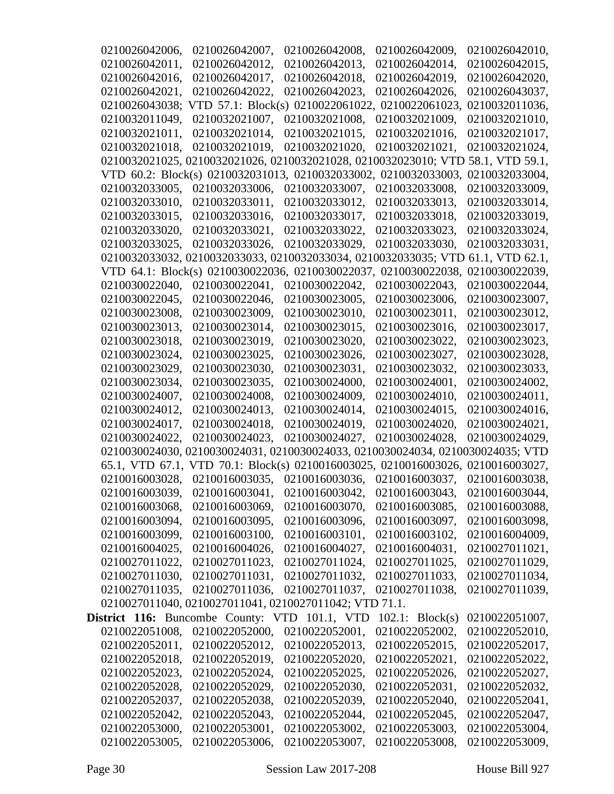| 0210026042006, | 0210026042007,                                                                  | 0210026042008, | 0210026042009,                | 0210026042010, |
|----------------|---------------------------------------------------------------------------------|----------------|-------------------------------|----------------|
| 0210026042011, | 0210026042012,                                                                  | 0210026042013, | 0210026042014,                | 0210026042015. |
| 0210026042016, | 0210026042017,                                                                  | 0210026042018, | 0210026042019,                | 0210026042020, |
| 0210026042021, | 0210026042022,                                                                  | 0210026042023, | 0210026042026,                | 0210026043037, |
| 0210026043038; | VTD $57.1$ : Block(s)                                                           | 0210022061022. | 0210022061023,                | 0210032011036, |
| 0210032011049, | 0210032021007,                                                                  | 0210032021008, | 0210032021009,                | 0210032021010, |
| 0210032021011, | 0210032021014,                                                                  | 0210032021015, | 0210032021016,                | 0210032021017, |
| 0210032021018. | 0210032021019,                                                                  | 0210032021020, | 0210032021021.                | 0210032021024, |
|                | 0210032021025, 0210032021026, 0210032021028, 0210032023010; VTD 58.1, VTD 59.1, |                |                               |                |
|                | VTD 60.2: Block(s) 0210032031013, 0210032033002, 0210032033003,                 |                |                               | 0210032033004, |
| 0210032033005, | 0210032033006,                                                                  | 0210032033007, | 0210032033008,                | 0210032033009, |
| 0210032033010, | 0210032033011,                                                                  | 0210032033012, | 0210032033013,                | 0210032033014, |
| 0210032033015, | 0210032033016,                                                                  | 0210032033017, | 0210032033018,                | 0210032033019, |
| 0210032033020, | 0210032033021,                                                                  | 0210032033022, | 0210032033023,                | 0210032033024, |
| 0210032033025. | 0210032033026,                                                                  | 0210032033029, | 0210032033030,                | 0210032033031, |
|                | 0210032033032, 0210032033033, 0210032033034, 0210032033035; VTD 61.1, VTD 62.1, |                |                               |                |
|                | VTD 64.1: Block(s) 0210030022036, 0210030022037, 0210030022038,                 |                |                               | 0210030022039, |
| 0210030022040, | 0210030022041,                                                                  | 0210030022042, | 0210030022043,                | 0210030022044, |
| 0210030022045, | 0210030022046,                                                                  | 0210030023005, | 0210030023006,                | 0210030023007. |
| 0210030023008, | 0210030023009,                                                                  | 0210030023010, | 0210030023011,                | 0210030023012, |
| 0210030023013, | 0210030023014,                                                                  | 0210030023015, | 0210030023016,                | 0210030023017, |
| 0210030023018, | 0210030023019,                                                                  | 0210030023020, | 0210030023022,                | 0210030023023, |
| 0210030023024, | 0210030023025,                                                                  | 0210030023026, | 0210030023027,                | 0210030023028, |
| 0210030023029, | 0210030023030,                                                                  | 0210030023031, | 0210030023032,                | 0210030023033, |
| 0210030023034, | 0210030023035,                                                                  | 0210030024000, | 0210030024001,                | 0210030024002, |
| 0210030024007, | 0210030024008,                                                                  | 0210030024009, | 0210030024010,                | 0210030024011, |
| 0210030024012, | 0210030024013,                                                                  | 0210030024014, | 0210030024015,                | 0210030024016, |
| 0210030024017, | 0210030024018,                                                                  | 0210030024019, | 0210030024020,                | 0210030024021, |
| 0210030024022, | 0210030024023.                                                                  | 0210030024027, | 0210030024028,                | 0210030024029, |
|                | 0210030024030, 0210030024031, 0210030024033, 0210030024034, 0210030024035; VTD  |                |                               |                |
|                | 65.1, VTD 67.1, VTD 70.1: Block(s) 0210016003025, 0210016003026, 0210016003027, |                |                               |                |
| 0210016003028, | 0210016003035,                                                                  | 0210016003036, | 0210016003037,                | 0210016003038, |
| 0210016003039, | 0210016003041, 0210016003042,                                                   |                | 0210016003043, 0210016003044, |                |
| 0210016003068, | 0210016003069,                                                                  | 0210016003070, | 0210016003085,                | 0210016003088, |
| 0210016003094, | 0210016003095,                                                                  | 0210016003096, | 0210016003097,                | 0210016003098, |
| 0210016003099, | 0210016003100,                                                                  | 0210016003101, | 0210016003102,                | 0210016004009, |
| 0210016004025, | 0210016004026,                                                                  | 0210016004027, | 0210016004031,                | 0210027011021, |
| 0210027011022, | 0210027011023,                                                                  | 0210027011024, | 0210027011025,                | 0210027011029, |
| 0210027011030, | 0210027011031,                                                                  | 0210027011032, | 0210027011033,                | 0210027011034, |
| 0210027011035, | 0210027011036,                                                                  | 0210027011037, | 0210027011038,                | 0210027011039, |
|                | 0210027011040, 0210027011041, 0210027011042; VTD 71.1.                          |                |                               |                |
|                | District 116: Buncombe County: VTD 101.1, VTD                                   |                | $102.1$ : Block(s)            | 0210022051007, |
| 0210022051008, | 0210022052000,                                                                  | 0210022052001, | 0210022052002,                | 0210022052010, |
| 0210022052011. | 0210022052012,                                                                  | 0210022052013, | 0210022052015,                | 0210022052017, |
| 0210022052018, | 0210022052019,                                                                  | 0210022052020, | 0210022052021,                | 0210022052022, |
| 0210022052023, | 0210022052024,                                                                  | 0210022052025, | 0210022052026,                | 0210022052027, |
| 0210022052028, | 0210022052029,                                                                  | 0210022052030, | 0210022052031,                | 0210022052032, |
| 0210022052037, | 0210022052038,                                                                  | 0210022052039, | 0210022052040,                | 0210022052041, |
| 0210022052042, | 0210022052043,                                                                  | 0210022052044, | 0210022052045,                | 0210022052047, |
| 0210022053000, | 0210022053001,                                                                  | 0210022053002, | 0210022053003,                | 0210022053004, |
| 0210022053005, | 0210022053006,                                                                  | 0210022053007, | 0210022053008,                | 0210022053009, |
|                |                                                                                 |                |                               |                |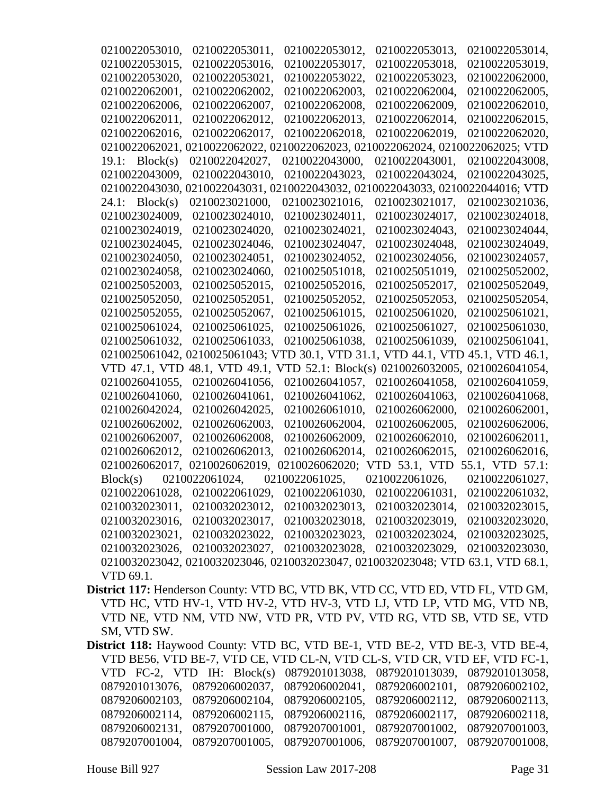| 0210022053010,    | 0210022053011,                                                                  | 0210022053012,                | 0210022053013.                                 | 0210022053014.  |
|-------------------|---------------------------------------------------------------------------------|-------------------------------|------------------------------------------------|-----------------|
| 0210022053015,    | 0210022053016,                                                                  | 0210022053017,                | 0210022053018,                                 | 0210022053019,  |
| 0210022053020,    | 0210022053021,                                                                  | 0210022053022,                | 0210022053023,                                 | 0210022062000,  |
| 0210022062001,    | 0210022062002,                                                                  | 0210022062003,                | 0210022062004,                                 | 0210022062005,  |
| 0210022062006,    | 0210022062007,                                                                  | 0210022062008,                | 0210022062009,                                 | 0210022062010,  |
| 0210022062011,    | 0210022062012,                                                                  | 0210022062013,                | 0210022062014,                                 | 0210022062015,  |
| 0210022062016,    | 0210022062017,                                                                  | 0210022062018,                | 0210022062019,                                 | 0210022062020,  |
| 0210022062021,    | 0210022062022, 02                                                               |                               | 10022062023, 0210022062024, 0210022062025; VTD |                 |
| 19.1: Block(s)    | 0210022042027,                                                                  | 0210022043000,                | 0210022043001,                                 | 0210022043008,  |
| 0210022043009,    | 0210022043010,                                                                  | 0210022043023,                | 0210022043024,                                 | 0210022043025,  |
| 0210022043030,    | 0210022043031, 02                                                               |                               | 10022043032, 0210022043033, 0210022044016; VTD |                 |
| $24.1$ : Block(s) | 0210023021000,                                                                  | 0210023021016,                | 0210023021017,                                 | 0210023021036,  |
| 0210023024009,    | 0210023024010,                                                                  | 0210023024011,                | 0210023024017,                                 | 0210023024018,  |
| 0210023024019,    | 0210023024020,                                                                  | 0210023024021,                | 0210023024043,                                 | 0210023024044,  |
| 0210023024045,    | 0210023024046,                                                                  | 0210023024047,                | 0210023024048,                                 | 0210023024049,  |
| 0210023024050,    | 0210023024051,                                                                  | 0210023024052,                | 0210023024056,                                 | 0210023024057,  |
| 0210023024058,    | 0210023024060,                                                                  | 0210025051018,                | 0210025051019.                                 | 0210025052002,  |
| 0210025052003,    | 0210025052015,                                                                  | 0210025052016,                | 0210025052017,                                 | 0210025052049.  |
| 0210025052050,    | 0210025052051,                                                                  | 0210025052052,                | 0210025052053,                                 | 0210025052054,  |
| 0210025052055,    | 0210025052067,                                                                  | 0210025061015,                | 0210025061020,                                 | 0210025061021,  |
| 0210025061024,    | 0210025061025,                                                                  | 0210025061026,                | 0210025061027,                                 | 0210025061030,  |
| 0210025061032,    | 0210025061033,                                                                  | 0210025061038.                | 0210025061039,                                 | 0210025061041,  |
|                   | 0210025061042, 0210025061043; V                                                 |                               | TD 30.1, VTD 31.1, VTD 44.1, VTD               | 45.1, VTD 46.1, |
| VTD 47.1, VTD     | 48.1, VTD 49.1, VTD 52.1: Block(s)                                              |                               | 0210026032005,                                 | 0210026041054,  |
| 0210026041055,    | 0210026041056,                                                                  | 0210026041057,                | 0210026041058,                                 | 0210026041059,  |
| 0210026041060,    | 0210026041061,                                                                  | 0210026041062,                | 0210026041063,                                 | 0210026041068,  |
| 0210026042024,    | 0210026042025,                                                                  | 0210026061010,                | 0210026062000,                                 | 0210026062001,  |
| 0210026062002,    | 0210026062003,                                                                  | 0210026062004,                | 0210026062005,                                 | 0210026062006,  |
| 0210026062007,    | 0210026062008,                                                                  | 0210026062009,                | 0210026062010,                                 | 0210026062011,  |
| 0210026062012,    | 0210026062013,                                                                  | 0210026062014,                | 0210026062015,                                 | 0210026062016,  |
|                   | 0210026062017,0210026062019,                                                    | 0210026062020;                | VTD 53.1, VTD                                  | 55.1, VTD 57.1: |
| Block(s)          | 0210022061024,                                                                  | 0210022061025,                | 0210022061026,                                 | 0210022061027,  |
| 0210022061028,    | 0210022061029,                                                                  | 0210022061030,                | 0210022061031,                                 | 0210022061032,  |
| 0210032023011,    | 0210032023012,                                                                  | 0210032023013,                | 0210032023014,                                 | 0210032023015,  |
| 0210032023016,    | 0210032023017,                                                                  | 0210032023018,                | 0210032023019,                                 | 0210032023020,  |
| 0210032023021,    |                                                                                 | 0210032023022, 0210032023023, | 0210032023024,                                 | 0210032023025,  |
| 0210032023026,    | 0210032023027,                                                                  | 0210032023028,                | 0210032023029,                                 | 0210032023030,  |
|                   | 0210032023042, 0210032023046, 0210032023047, 0210032023048; VTD 63.1, VTD 68.1, |                               |                                                |                 |
| VTD 69.1.         |                                                                                 |                               |                                                |                 |
|                   | strict 117: Henderson County: VTD BC, VTD BK, VTD CC, VTD ED, VTD FL, VTD GM.   |                               |                                                |                 |

- District 117 VTD HC, VTD HV-1, VTD HV-2, VTD HV-3, VTD LJ, VTD LP, VTD MG, VTD NB, VTD NE, VTD NM, VTD NW, VTD PR, VTD PV, VTD RG, VTD SB, VTD SE, VTD SM, VTD SW.
- **District 118:** Haywood County: VTD BC, VTD BE-1, VTD BE-2, VTD BE-3, VTD BE-4, VTD BE56, VTD BE-7, VTD CE, VTD CL-N, VTD CL-S, VTD CR, VTD EF, VTD FC-1, VTD FC-2, VTD IH: Block(s) 0879201013038, 0879201013039, 0879201013058, 0879201013076, 0879206002037, 0879206002041, 0879206002101, 0879206002102, 0879206002103, 0879206002104, 0879206002105, 0879206002112, 0879206002113, 0879206002114, 0879206002115, 0879206002116, 0879206002117, 0879206002118, 0879206002131, 0879207001000, 0879207001001, 0879207001002, 0879207001003, 0879207001004, 0879207001005, 0879207001006, 0879207001007, 0879207001008,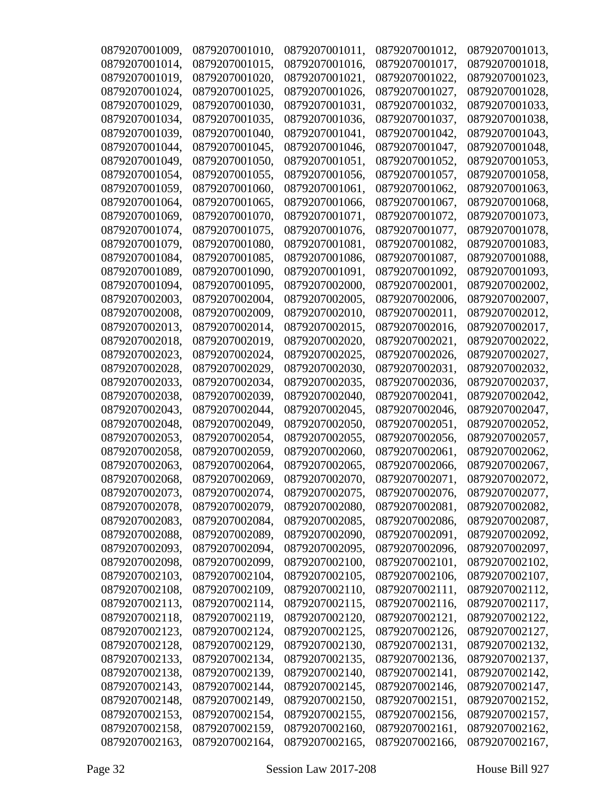| 0879207001009, | 0879207001010, | 0879207001011, | 0879207001012, | 0879207001013, |
|----------------|----------------|----------------|----------------|----------------|
| 0879207001014, | 0879207001015. | 0879207001016, | 0879207001017, | 0879207001018. |
| 0879207001019, | 0879207001020, | 0879207001021, | 0879207001022, | 0879207001023, |
| 0879207001024, | 0879207001025, | 0879207001026, | 0879207001027, | 0879207001028, |
| 0879207001029, | 0879207001030, | 0879207001031, | 0879207001032, | 0879207001033, |
| 0879207001034, | 0879207001035, | 0879207001036, | 0879207001037, | 0879207001038, |
| 0879207001039, | 0879207001040, | 0879207001041, | 0879207001042, | 0879207001043, |
| 0879207001044, | 0879207001045. | 0879207001046, | 0879207001047. | 0879207001048, |
| 0879207001049, | 0879207001050, | 0879207001051, | 0879207001052, | 0879207001053, |
| 0879207001054, | 0879207001055, | 0879207001056, | 0879207001057, | 0879207001058, |
| 0879207001059, | 0879207001060, | 0879207001061, | 0879207001062, | 0879207001063, |
| 0879207001064, | 0879207001065, | 0879207001066, | 0879207001067, | 0879207001068, |
| 0879207001069, | 0879207001070, | 0879207001071, | 0879207001072, | 0879207001073, |
| 0879207001074, | 0879207001075, | 0879207001076, | 0879207001077, | 0879207001078, |
| 0879207001079, | 0879207001080, | 0879207001081, | 0879207001082, | 0879207001083, |
| 0879207001084, | 0879207001085, | 0879207001086, | 0879207001087, | 0879207001088, |
| 0879207001089, | 0879207001090, | 0879207001091, | 0879207001092, | 0879207001093, |
| 0879207001094, | 0879207001095, | 0879207002000, | 0879207002001, | 0879207002002. |
| 0879207002003, | 0879207002004, | 0879207002005, | 0879207002006, | 0879207002007, |
| 0879207002008, | 0879207002009, | 0879207002010, | 0879207002011, | 0879207002012, |
| 0879207002013, | 0879207002014, | 0879207002015, | 0879207002016, | 0879207002017, |
| 0879207002018, | 0879207002019, | 0879207002020, | 0879207002021, | 0879207002022, |
| 0879207002023, | 0879207002024, | 0879207002025, | 0879207002026, | 0879207002027, |
| 0879207002028, | 0879207002029, | 0879207002030, | 0879207002031, | 0879207002032, |
| 0879207002033, | 0879207002034, | 0879207002035, | 0879207002036, | 0879207002037, |
| 0879207002038, | 0879207002039, | 0879207002040, | 0879207002041, | 0879207002042, |
| 0879207002043, | 0879207002044, | 0879207002045, | 0879207002046, | 0879207002047, |
| 0879207002048, | 0879207002049, | 0879207002050, | 0879207002051, | 0879207002052, |
| 0879207002053, | 0879207002054, | 0879207002055, | 0879207002056, | 0879207002057, |
| 0879207002058, | 0879207002059, | 0879207002060, | 0879207002061, | 0879207002062, |
| 0879207002063, | 0879207002064, | 0879207002065, | 0879207002066, | 0879207002067, |
| 0879207002068, | 0879207002069, | 0879207002070, | 0879207002071, | 0879207002072, |
| 0879207002073, | 0879207002074, | 0879207002075, | 0879207002076, | 0879207002077, |
| 0879207002078, | 0879207002079, | 0879207002080, | 0879207002081, | 0879207002082, |
| 0879207002083, | 0879207002084, | 0879207002085, | 0879207002086, | 0879207002087, |
| 0879207002088, | 0879207002089, | 0879207002090, | 0879207002091, | 0879207002092, |
| 0879207002093, | 0879207002094, | 0879207002095, | 0879207002096, | 0879207002097, |
| 0879207002098, | 0879207002099, | 0879207002100, | 0879207002101, | 0879207002102, |
| 0879207002103, | 0879207002104, | 0879207002105, | 0879207002106, | 0879207002107, |
| 0879207002108, | 0879207002109, | 0879207002110, | 0879207002111, | 0879207002112, |
| 0879207002113, | 0879207002114, | 0879207002115, | 0879207002116, | 0879207002117, |
| 0879207002118, | 0879207002119, | 0879207002120, | 0879207002121, | 0879207002122, |
| 0879207002123, | 0879207002124, | 0879207002125, | 0879207002126, | 0879207002127, |
| 0879207002128, | 0879207002129, | 0879207002130, | 0879207002131, | 0879207002132, |
| 0879207002133, | 0879207002134, | 0879207002135, | 0879207002136, | 0879207002137, |
| 0879207002138, | 0879207002139, | 0879207002140, | 0879207002141, | 0879207002142, |
| 0879207002143, | 0879207002144, | 0879207002145, | 0879207002146, | 0879207002147, |
| 0879207002148, | 0879207002149, | 0879207002150, | 0879207002151, | 0879207002152, |
| 0879207002153, | 0879207002154, | 0879207002155, | 0879207002156, | 0879207002157, |
| 0879207002158, | 0879207002159, | 0879207002160, | 0879207002161, | 0879207002162, |
| 0879207002163, | 0879207002164, | 0879207002165, | 0879207002166, | 0879207002167, |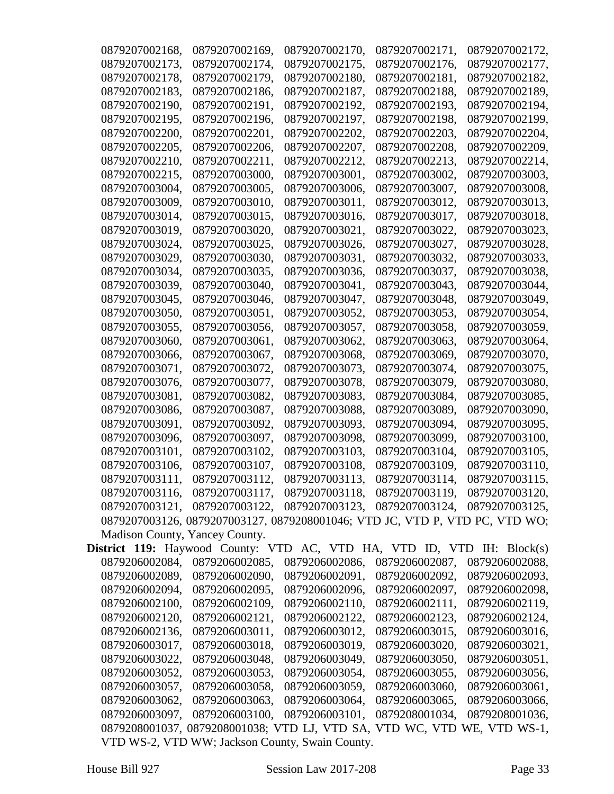| 0879207002168,                                                                | 0879207002169,                                                              | 0879207002170, | 0879207002171,                               | 0879207002172. |
|-------------------------------------------------------------------------------|-----------------------------------------------------------------------------|----------------|----------------------------------------------|----------------|
| 0879207002173,                                                                | 0879207002174,                                                              | 0879207002175, | 0879207002176,                               | 0879207002177, |
| 0879207002178,                                                                | 0879207002179,                                                              | 0879207002180, | 0879207002181,                               | 0879207002182, |
| 0879207002183,                                                                | 0879207002186,                                                              | 0879207002187, | 0879207002188,                               | 0879207002189, |
| 0879207002190,                                                                | 0879207002191,                                                              | 0879207002192, | 0879207002193,                               | 0879207002194, |
| 0879207002195,                                                                | 0879207002196,                                                              | 0879207002197, | 0879207002198,                               | 0879207002199, |
| 0879207002200,                                                                | 0879207002201,                                                              | 0879207002202, | 0879207002203,                               | 0879207002204, |
| 0879207002205,                                                                | 0879207002206,                                                              | 0879207002207, | 0879207002208,                               | 0879207002209, |
| 0879207002210,                                                                | 0879207002211,                                                              | 0879207002212, | 0879207002213,                               | 0879207002214, |
| 0879207002215,                                                                | 0879207003000,                                                              | 0879207003001, | 0879207003002,                               | 0879207003003, |
| 0879207003004,                                                                | 0879207003005,                                                              | 0879207003006, | 0879207003007,                               | 0879207003008, |
| 0879207003009,                                                                | 0879207003010,                                                              | 0879207003011, | 0879207003012,                               | 0879207003013, |
| 0879207003014,                                                                | 0879207003015,                                                              | 0879207003016, | 0879207003017,                               | 0879207003018, |
| 0879207003019,                                                                | 0879207003020,                                                              | 0879207003021, | 0879207003022,                               | 0879207003023, |
| 0879207003024,                                                                | 0879207003025,                                                              | 0879207003026, | 0879207003027,                               | 0879207003028, |
| 0879207003029,                                                                | 0879207003030,                                                              | 0879207003031, | 0879207003032,                               | 0879207003033, |
| 0879207003034,                                                                | 0879207003035,                                                              | 0879207003036, | 0879207003037,                               | 0879207003038, |
| 0879207003039,                                                                | 0879207003040,                                                              | 0879207003041, | 0879207003043,                               | 0879207003044, |
| 0879207003045,                                                                | 0879207003046,                                                              | 0879207003047, | 0879207003048,                               | 0879207003049, |
| 0879207003050,                                                                | 0879207003051,                                                              | 0879207003052, | 0879207003053,                               | 0879207003054, |
| 0879207003055,                                                                | 0879207003056,                                                              | 0879207003057, | 0879207003058,                               | 0879207003059, |
| 0879207003060,                                                                | 0879207003061,                                                              | 0879207003062, | 0879207003063,                               | 0879207003064, |
| 0879207003066,                                                                | 0879207003067,                                                              | 0879207003068, | 0879207003069,                               | 0879207003070, |
| 0879207003071,                                                                | 0879207003072,                                                              | 0879207003073, | 0879207003074,                               | 0879207003075, |
| 0879207003076,                                                                | 0879207003077,                                                              | 0879207003078, | 0879207003079,                               | 0879207003080, |
| 0879207003081,                                                                | 0879207003082,                                                              | 0879207003083, | 0879207003084,                               | 0879207003085, |
| 0879207003086,                                                                | 0879207003087,                                                              | 0879207003088, | 0879207003089,                               | 0879207003090, |
| 0879207003091,                                                                | 0879207003092,                                                              | 0879207003093, | 0879207003094,                               | 0879207003095, |
| 0879207003096,                                                                | 0879207003097,                                                              | 0879207003098, | 0879207003099,                               | 0879207003100, |
| 0879207003101,                                                                | 0879207003102,                                                              | 0879207003103, | 0879207003104,                               | 0879207003105, |
| 0879207003106,                                                                | 0879207003107,                                                              | 0879207003108, | 0879207003109,                               | 0879207003110, |
| 0879207003111,                                                                | 0879207003112,                                                              | 0879207003113, | 0879207003114,                               | 0879207003115, |
| 0879207003116,                                                                | 0879207003117, 0879207003118, 0879207003119, 0879207003120,                 |                |                                              |                |
|                                                                               | 0879207003121, 0879207003122,                                               |                | 0879207003123, 0879207003124, 0879207003125, |                |
|                                                                               | 0879207003126, 0879207003127, 0879208001046; VTD JC, VTD P, VTD PC, VTD WO; |                |                                              |                |
| Madison County, Yancey County.                                                |                                                                             |                |                                              |                |
| <b>District 119:</b> Haywood County: VTD AC, VTD HA, VTD ID, VTD IH: Block(s) |                                                                             |                |                                              |                |
| 0879206002084,                                                                | 0879206002085,                                                              | 0879206002086, | 0879206002087,                               | 0879206002088, |
| 0879206002089,                                                                | 0879206002090,                                                              | 0879206002091, | 0879206002092,                               | 0879206002093, |
| 0879206002094,                                                                | 0879206002095,                                                              | 0879206002096, | 0879206002097,                               | 0879206002098, |
| 0879206002100,                                                                | 0879206002109,                                                              | 0879206002110, | 0879206002111,                               | 0879206002119, |
| 0879206002120,                                                                | 0879206002121,                                                              | 0879206002122, | 0879206002123,                               | 0879206002124, |
| 0879206002136,                                                                | 0879206003011,                                                              | 0879206003012, | 0879206003015,                               | 0879206003016, |
| 0879206003017,                                                                | 0879206003018,                                                              | 0879206003019, | 0879206003020,                               | 0879206003021, |
| 0879206003022,                                                                | 0879206003048,                                                              | 0879206003049, | 0879206003050,                               | 0879206003051, |
| 0879206003052,                                                                | 0879206003053,                                                              | 0879206003054, | 0879206003055,                               | 0879206003056, |
| 0879206003057,                                                                | 0879206003058,                                                              | 0879206003059, | 0879206003060,                               | 0879206003061, |
| 0879206003062,                                                                | 0879206003063,                                                              | 0879206003064, | 0879206003065,                               | 0879206003066, |
| 0879206003097,                                                                | 0879206003100,                                                              | 0879206003101, | 0879208001034,                               | 0879208001036, |
|                                                                               | 0879208001037, 0879208001038; VTD LJ, VTD SA, VTD WC, VTD WE, VTD WS-1,     |                |                                              |                |
|                                                                               | VTD WS-2, VTD WW; Jackson County, Swain County.                             |                |                                              |                |